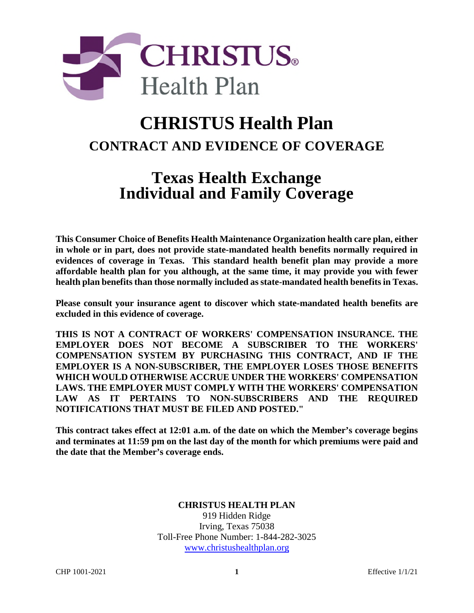

# **CHRISTUS Health Plan CONTRACT AND EVIDENCE OF COVERAGE**

## **Texas Health Exchange Individual and Family Coverage**

**This Consumer Choice of Benefits Health Maintenance Organization health care plan, either in whole or in part, does not provide state-mandated health benefits normally required in evidences of coverage in Texas. This standard health benefit plan may provide a more affordable health plan for you although, at the same time, it may provide you with fewer health plan benefits than those normally included as state-mandated health benefits in Texas.** 

**Please consult your insurance agent to discover which state-mandated health benefits are excluded in this evidence of coverage.**

**THIS IS NOT A CONTRACT OF WORKERS' COMPENSATION INSURANCE. THE EMPLOYER DOES NOT BECOME A SUBSCRIBER TO THE WORKERS' COMPENSATION SYSTEM BY PURCHASING THIS CONTRACT, AND IF THE EMPLOYER IS A NON-SUBSCRIBER, THE EMPLOYER LOSES THOSE BENEFITS WHICH WOULD OTHERWISE ACCRUE UNDER THE WORKERS' COMPENSATION LAWS. THE EMPLOYER MUST COMPLY WITH THE WORKERS' COMPENSATION LAW AS IT PERTAINS TO NON-SUBSCRIBERS AND THE REQUIRED NOTIFICATIONS THAT MUST BE FILED AND POSTED."** 

**This contract takes effect at 12:01 a.m. of the date on which the Member's coverage begins and terminates at 11:59 pm on the last day of the month for which premiums were paid and the date that the Member's coverage ends.** 

#### **CHRISTUS HEALTH PLAN**

919 Hidden Ridge Irving, Texas 75038 Toll-Free Phone Number: 1-844-282-3025 www.christushealthplan.org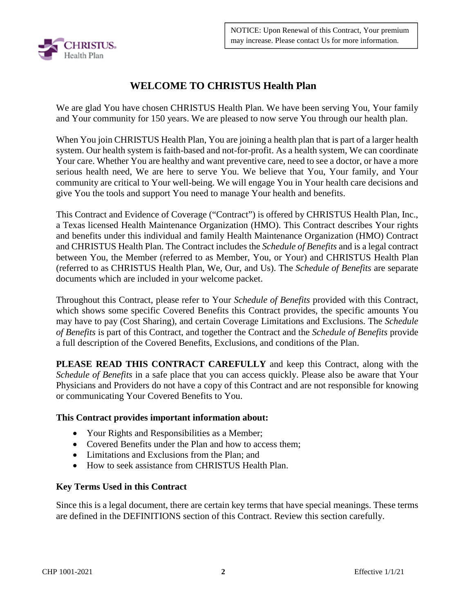

## **WELCOME TO CHRISTUS Health Plan**

We are glad You have chosen CHRISTUS Health Plan. We have been serving You, Your family and Your community for 150 years. We are pleased to now serve You through our health plan.

When You join CHRISTUS Health Plan, You are joining a health plan that is part of a larger health system. Our health system is faith-based and not-for-profit. As a health system, We can coordinate Your care. Whether You are healthy and want preventive care, need to see a doctor, or have a more serious health need, We are here to serve You. We believe that You, Your family, and Your community are critical to Your well-being. We will engage You in Your health care decisions and give You the tools and support You need to manage Your health and benefits.

This Contract and Evidence of Coverage ("Contract") is offered by CHRISTUS Health Plan, Inc., a Texas licensed Health Maintenance Organization (HMO). This Contract describes Your rights and benefits under this individual and family Health Maintenance Organization (HMO) Contract and CHRISTUS Health Plan. The Contract includes the *Schedule of Benefits* and is a legal contract between You, the Member (referred to as Member, You, or Your) and CHRISTUS Health Plan (referred to as CHRISTUS Health Plan, We, Our, and Us). The *Schedule of Benefits* are separate documents which are included in your welcome packet.

Throughout this Contract, please refer to Your *Schedule of Benefits* provided with this Contract, which shows some specific Covered Benefits this Contract provides, the specific amounts You may have to pay (Cost Sharing), and certain Coverage Limitations and Exclusions. The *Schedule of Benefits* is part of this Contract, and together the Contract and the *Schedule of Benefits* provide a full description of the Covered Benefits, Exclusions, and conditions of the Plan.

**PLEASE READ THIS CONTRACT CAREFULLY** and keep this Contract, along with the *Schedule of Benefits* in a safe place that you can access quickly. Please also be aware that Your Physicians and Providers do not have a copy of this Contract and are not responsible for knowing or communicating Your Covered Benefits to You.

#### **This Contract provides important information about:**

- Your Rights and Responsibilities as a Member;
- Covered Benefits under the Plan and how to access them:
- Limitations and Exclusions from the Plan; and
- How to seek assistance from CHRISTUS Health Plan.

#### **Key Terms Used in this Contract**

Since this is a legal document, there are certain key terms that have special meanings. These terms are defined in the DEFINITIONS section of this Contract. Review this section carefully.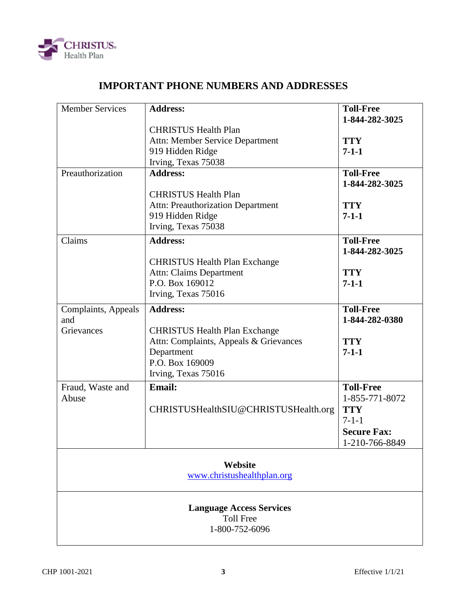

## **IMPORTANT PHONE NUMBERS AND ADDRESSES**

| <b>Member Services</b>          | <b>Address:</b>                                     | <b>Toll-Free</b>   |  |  |
|---------------------------------|-----------------------------------------------------|--------------------|--|--|
|                                 |                                                     | 1-844-282-3025     |  |  |
|                                 | <b>CHRISTUS Health Plan</b>                         | <b>TTY</b>         |  |  |
|                                 | Attn: Member Service Department<br>919 Hidden Ridge | $7 - 1 - 1$        |  |  |
|                                 | Irving, Texas 75038                                 |                    |  |  |
| Preauthorization                | <b>Address:</b>                                     | <b>Toll-Free</b>   |  |  |
|                                 |                                                     | 1-844-282-3025     |  |  |
|                                 | <b>CHRISTUS Health Plan</b>                         |                    |  |  |
|                                 | Attn: Preauthorization Department                   | <b>TTY</b>         |  |  |
|                                 | 919 Hidden Ridge                                    | $7 - 1 - 1$        |  |  |
|                                 | Irving, Texas 75038                                 |                    |  |  |
| Claims                          | <b>Address:</b>                                     | <b>Toll-Free</b>   |  |  |
|                                 |                                                     | 1-844-282-3025     |  |  |
|                                 | <b>CHRISTUS Health Plan Exchange</b>                |                    |  |  |
|                                 | <b>Attn: Claims Department</b>                      | <b>TTY</b>         |  |  |
|                                 | P.O. Box 169012                                     | $7 - 1 - 1$        |  |  |
|                                 | Irving, Texas 75016                                 |                    |  |  |
|                                 |                                                     |                    |  |  |
| Complaints, Appeals             | <b>Address:</b>                                     | <b>Toll-Free</b>   |  |  |
| and                             |                                                     | 1-844-282-0380     |  |  |
| Grievances                      | <b>CHRISTUS Health Plan Exchange</b>                |                    |  |  |
|                                 | Attn: Complaints, Appeals & Grievances              | <b>TTY</b>         |  |  |
|                                 | Department<br>P.O. Box 169009                       | $7 - 1 - 1$        |  |  |
|                                 |                                                     |                    |  |  |
|                                 | Irving, Texas 75016                                 |                    |  |  |
| Fraud, Waste and                | <b>Email:</b>                                       | <b>Toll-Free</b>   |  |  |
| Abuse                           |                                                     | 1-855-771-8072     |  |  |
|                                 | CHRISTUSHealthSIU@CHRISTUSHealth.org                | <b>TTY</b>         |  |  |
|                                 |                                                     | $7 - 1 - 1$        |  |  |
|                                 |                                                     | <b>Secure Fax:</b> |  |  |
|                                 |                                                     | 1-210-766-8849     |  |  |
|                                 |                                                     |                    |  |  |
|                                 | Website                                             |                    |  |  |
| www.christushealthplan.org      |                                                     |                    |  |  |
| <b>Language Access Services</b> |                                                     |                    |  |  |
|                                 | <b>Toll Free</b><br>1-800-752-6096                  |                    |  |  |
|                                 |                                                     |                    |  |  |
|                                 |                                                     |                    |  |  |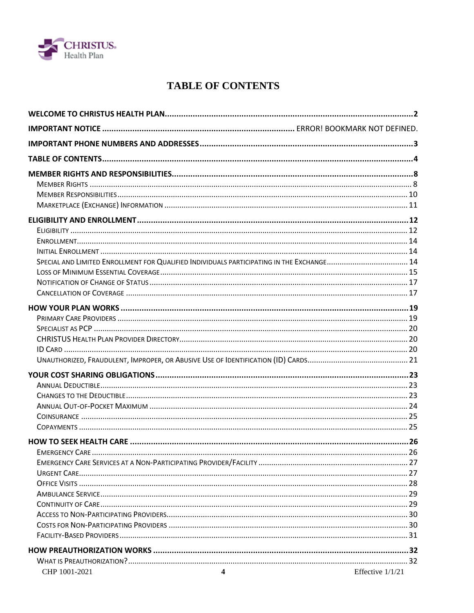

## **TABLE OF CONTENTS**

| SPECIAL AND LIMITED ENROLLMENT FOR QUALIFIED INDIVIDUALS PARTICIPATING IN THE EXCHANGE 14 |                    |
|-------------------------------------------------------------------------------------------|--------------------|
|                                                                                           |                    |
|                                                                                           |                    |
|                                                                                           |                    |
|                                                                                           |                    |
|                                                                                           |                    |
|                                                                                           |                    |
|                                                                                           |                    |
|                                                                                           |                    |
|                                                                                           |                    |
|                                                                                           |                    |
|                                                                                           |                    |
|                                                                                           |                    |
|                                                                                           |                    |
|                                                                                           |                    |
|                                                                                           |                    |
|                                                                                           |                    |
|                                                                                           |                    |
|                                                                                           |                    |
|                                                                                           |                    |
|                                                                                           |                    |
|                                                                                           |                    |
|                                                                                           |                    |
|                                                                                           |                    |
|                                                                                           |                    |
|                                                                                           |                    |
|                                                                                           |                    |
|                                                                                           |                    |
| CHP 1001-2021<br>4                                                                        | Effective $1/1/21$ |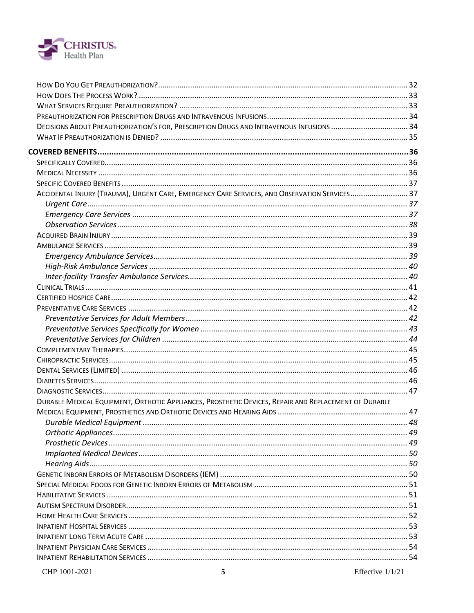

| ACCIDENTAL INJURY (TRAUMA), URGENT CARE, EMERGENCY CARE SERVICES, AND OBSERVATION SERVICES 37         |  |
|-------------------------------------------------------------------------------------------------------|--|
|                                                                                                       |  |
|                                                                                                       |  |
|                                                                                                       |  |
|                                                                                                       |  |
|                                                                                                       |  |
|                                                                                                       |  |
|                                                                                                       |  |
|                                                                                                       |  |
|                                                                                                       |  |
|                                                                                                       |  |
|                                                                                                       |  |
|                                                                                                       |  |
|                                                                                                       |  |
|                                                                                                       |  |
|                                                                                                       |  |
|                                                                                                       |  |
|                                                                                                       |  |
|                                                                                                       |  |
|                                                                                                       |  |
| DURABLE MEDICAL EQUIPMENT, ORTHOTIC APPLIANCES, PROSTHETIC DEVICES, REPAIR AND REPLACEMENT OF DURABLE |  |
|                                                                                                       |  |
|                                                                                                       |  |
|                                                                                                       |  |
|                                                                                                       |  |
|                                                                                                       |  |
|                                                                                                       |  |
|                                                                                                       |  |
|                                                                                                       |  |
|                                                                                                       |  |
|                                                                                                       |  |
|                                                                                                       |  |
|                                                                                                       |  |
|                                                                                                       |  |
|                                                                                                       |  |
|                                                                                                       |  |
|                                                                                                       |  |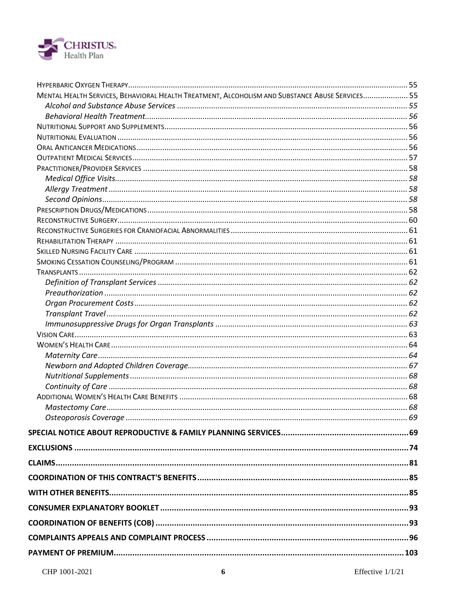

| MENTAL HEALTH SERVICES, BEHAVIORAL HEALTH TREATMENT, ALCOHOLISM AND SUBSTANCE ABUSE SERVICES 55 |  |
|-------------------------------------------------------------------------------------------------|--|
|                                                                                                 |  |
|                                                                                                 |  |
|                                                                                                 |  |
|                                                                                                 |  |
|                                                                                                 |  |
|                                                                                                 |  |
|                                                                                                 |  |
|                                                                                                 |  |
|                                                                                                 |  |
|                                                                                                 |  |
|                                                                                                 |  |
|                                                                                                 |  |
|                                                                                                 |  |
|                                                                                                 |  |
|                                                                                                 |  |
|                                                                                                 |  |
|                                                                                                 |  |
|                                                                                                 |  |
|                                                                                                 |  |
|                                                                                                 |  |
|                                                                                                 |  |
|                                                                                                 |  |
|                                                                                                 |  |
|                                                                                                 |  |
|                                                                                                 |  |
|                                                                                                 |  |
|                                                                                                 |  |
|                                                                                                 |  |
|                                                                                                 |  |
|                                                                                                 |  |
|                                                                                                 |  |
|                                                                                                 |  |
|                                                                                                 |  |
|                                                                                                 |  |
|                                                                                                 |  |
|                                                                                                 |  |
|                                                                                                 |  |
|                                                                                                 |  |
|                                                                                                 |  |
|                                                                                                 |  |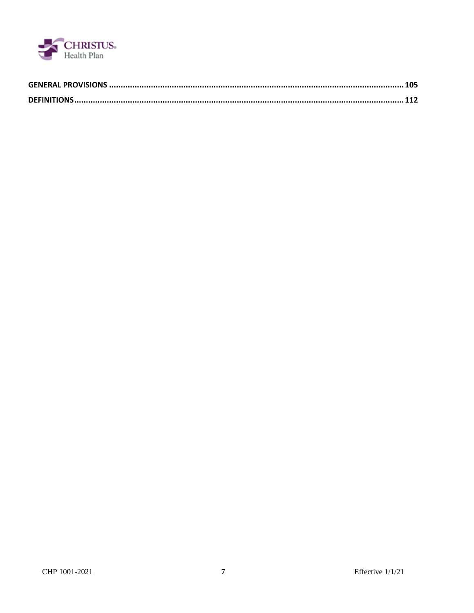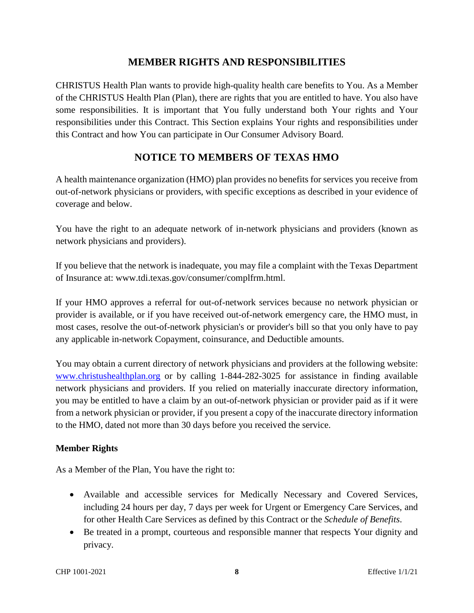## **MEMBER RIGHTS AND RESPONSIBILITIES**

CHRISTUS Health Plan wants to provide high-quality health care benefits to You. As a Member of the CHRISTUS Health Plan (Plan), there are rights that you are entitled to have. You also have some responsibilities. It is important that You fully understand both Your rights and Your responsibilities under this Contract. This Section explains Your rights and responsibilities under this Contract and how You can participate in Our Consumer Advisory Board.

## **NOTICE TO MEMBERS OF TEXAS HMO**

A health maintenance organization (HMO) plan provides no benefits for services you receive from out-of-network physicians or providers, with specific exceptions as described in your evidence of coverage and below.

You have the right to an adequate network of in-network physicians and providers (known as network physicians and providers).

If you believe that the network is inadequate, you may file a complaint with the Texas Department of Insurance at: www.tdi.texas.gov/consumer/complfrm.html.

If your HMO approves a referral for out-of-network services because no network physician or provider is available, or if you have received out-of-network emergency care, the HMO must, in most cases, resolve the out-of-network physician's or provider's bill so that you only have to pay any applicable in-network Copayment, coinsurance, and Deductible amounts.

You may obtain a current directory of network physicians and providers at the following website: www.christushealthplan.org or by calling 1-844-282-3025 for assistance in finding available network physicians and providers. If you relied on materially inaccurate directory information, you may be entitled to have a claim by an out-of-network physician or provider paid as if it were from a network physician or provider, if you present a copy of the inaccurate directory information to the HMO, dated not more than 30 days before you received the service.

#### **Member Rights**

As a Member of the Plan, You have the right to:

- Available and accessible services for Medically Necessary and Covered Services, including 24 hours per day, 7 days per week for Urgent or Emergency Care Services, and for other Health Care Services as defined by this Contract or the *Schedule of Benefits*.
- Be treated in a prompt, courteous and responsible manner that respects Your dignity and privacy.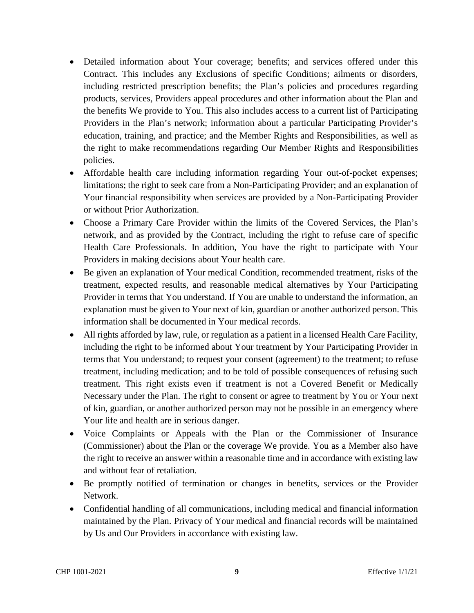- Detailed information about Your coverage; benefits; and services offered under this Contract. This includes any Exclusions of specific Conditions; ailments or disorders, including restricted prescription benefits; the Plan's policies and procedures regarding products, services, Providers appeal procedures and other information about the Plan and the benefits We provide to You. This also includes access to a current list of Participating Providers in the Plan's network; information about a particular Participating Provider's education, training, and practice; and the Member Rights and Responsibilities, as well as the right to make recommendations regarding Our Member Rights and Responsibilities policies.
- Affordable health care including information regarding Your out-of-pocket expenses; limitations; the right to seek care from a Non-Participating Provider; and an explanation of Your financial responsibility when services are provided by a Non-Participating Provider or without Prior Authorization.
- Choose a Primary Care Provider within the limits of the Covered Services, the Plan's network, and as provided by the Contract, including the right to refuse care of specific Health Care Professionals. In addition, You have the right to participate with Your Providers in making decisions about Your health care.
- Be given an explanation of Your medical Condition, recommended treatment, risks of the treatment, expected results, and reasonable medical alternatives by Your Participating Provider in terms that You understand. If You are unable to understand the information, an explanation must be given to Your next of kin, guardian or another authorized person. This information shall be documented in Your medical records.
- All rights afforded by law, rule, or regulation as a patient in a licensed Health Care Facility, including the right to be informed about Your treatment by Your Participating Provider in terms that You understand; to request your consent (agreement) to the treatment; to refuse treatment, including medication; and to be told of possible consequences of refusing such treatment. This right exists even if treatment is not a Covered Benefit or Medically Necessary under the Plan. The right to consent or agree to treatment by You or Your next of kin, guardian, or another authorized person may not be possible in an emergency where Your life and health are in serious danger.
- Voice Complaints or Appeals with the Plan or the Commissioner of Insurance (Commissioner) about the Plan or the coverage We provide. You as a Member also have the right to receive an answer within a reasonable time and in accordance with existing law and without fear of retaliation.
- Be promptly notified of termination or changes in benefits, services or the Provider Network.
- Confidential handling of all communications, including medical and financial information maintained by the Plan. Privacy of Your medical and financial records will be maintained by Us and Our Providers in accordance with existing law.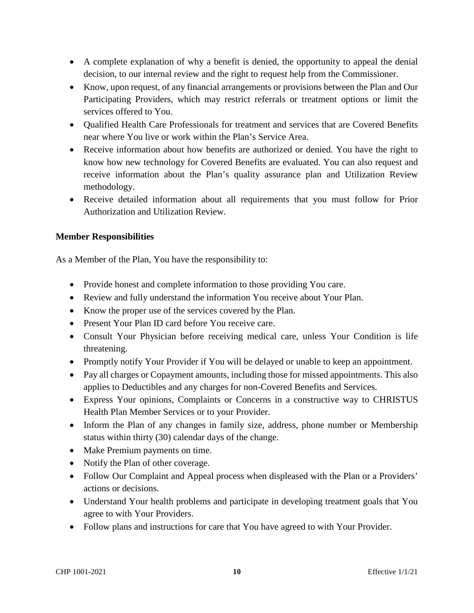- A complete explanation of why a benefit is denied, the opportunity to appeal the denial decision, to our internal review and the right to request help from the Commissioner.
- Know, upon request, of any financial arrangements or provisions between the Plan and Our Participating Providers, which may restrict referrals or treatment options or limit the services offered to You.
- Oualified Health Care Professionals for treatment and services that are Covered Benefits near where You live or work within the Plan's Service Area.
- Receive information about how benefits are authorized or denied. You have the right to know how new technology for Covered Benefits are evaluated. You can also request and receive information about the Plan's quality assurance plan and Utilization Review methodology.
- Receive detailed information about all requirements that you must follow for Prior Authorization and Utilization Review.

#### **Member Responsibilities**

As a Member of the Plan, You have the responsibility to:

- Provide honest and complete information to those providing You care.
- Review and fully understand the information You receive about Your Plan.
- Know the proper use of the services covered by the Plan.
- Present Your Plan ID card before You receive care.
- Consult Your Physician before receiving medical care, unless Your Condition is life threatening.
- Promptly notify Your Provider if You will be delayed or unable to keep an appointment.
- Pay all charges or Copayment amounts, including those for missed appointments. This also applies to Deductibles and any charges for non-Covered Benefits and Services.
- Express Your opinions, Complaints or Concerns in a constructive way to CHRISTUS Health Plan Member Services or to your Provider.
- Inform the Plan of any changes in family size, address, phone number or Membership status within thirty (30) calendar days of the change.
- Make Premium payments on time.
- Notify the Plan of other coverage.
- Follow Our Complaint and Appeal process when displeased with the Plan or a Providers' actions or decisions.
- Understand Your health problems and participate in developing treatment goals that You agree to with Your Providers.
- Follow plans and instructions for care that You have agreed to with Your Provider.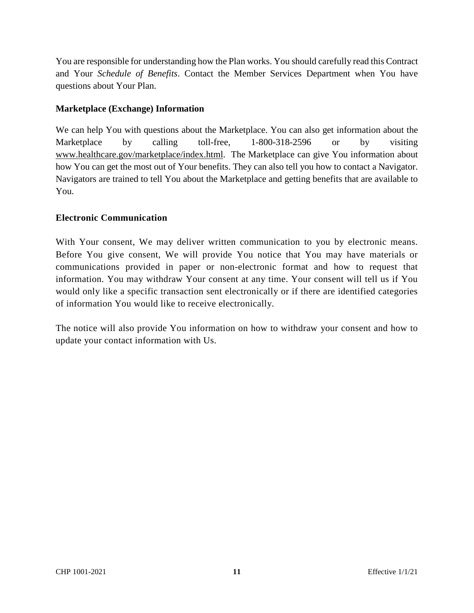You are responsible for understanding how the Plan works. You should carefully read this Contract and Your *Schedule of Benefits*. Contact the Member Services Department when You have questions about Your Plan.

#### **Marketplace (Exchange) Information**

We can help You with questions about the Marketplace. You can also get information about the Marketplace by calling toll-free, 1-800-318-2596 or by visiting www.healthcare.gov/marketplace/index.html. The Marketplace can give You information about how You can get the most out of Your benefits. They can also tell you how to contact a Navigator. Navigators are trained to tell You about the Marketplace and getting benefits that are available to You.

#### **Electronic Communication**

With Your consent, We may deliver written communication to you by electronic means. Before You give consent, We will provide You notice that You may have materials or communications provided in paper or non-electronic format and how to request that information. You may withdraw Your consent at any time. Your consent will tell us if You would only like a specific transaction sent electronically or if there are identified categories of information You would like to receive electronically.

The notice will also provide You information on how to withdraw your consent and how to update your contact information with Us.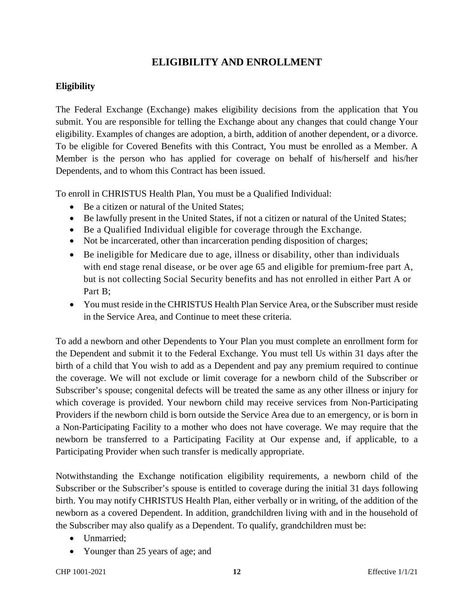## **ELIGIBILITY AND ENROLLMENT**

#### **Eligibility**

The Federal Exchange (Exchange) makes eligibility decisions from the application that You submit. You are responsible for telling the Exchange about any changes that could change Your eligibility. Examples of changes are adoption, a birth, addition of another dependent, or a divorce. To be eligible for Covered Benefits with this Contract, You must be enrolled as a Member. A Member is the person who has applied for coverage on behalf of his/herself and his/her Dependents, and to whom this Contract has been issued.

To enroll in CHRISTUS Health Plan, You must be a Qualified Individual:

- Be a citizen or natural of the United States;
- Be lawfully present in the United States, if not a citizen or natural of the United States;
- Be a Qualified Individual eligible for coverage through the Exchange.
- Not be incarcerated, other than incarceration pending disposition of charges;
- Be ineligible for Medicare due to age, illness or disability, other than individuals with end stage renal disease, or be over age 65 and eligible for premium-free part A, but is not collecting Social Security benefits and has not enrolled in either Part A or Part B;
- You must reside in the CHRISTUS Health Plan Service Area, or the Subscriber must reside in the Service Area, and Continue to meet these criteria.

To add a newborn and other Dependents to Your Plan you must complete an enrollment form for the Dependent and submit it to the Federal Exchange. You must tell Us within 31 days after the birth of a child that You wish to add as a Dependent and pay any premium required to continue the coverage. We will not exclude or limit coverage for a newborn child of the Subscriber or Subscriber's spouse; congenital defects will be treated the same as any other illness or injury for which coverage is provided. Your newborn child may receive services from Non-Participating Providers if the newborn child is born outside the Service Area due to an emergency, or is born in a Non-Participating Facility to a mother who does not have coverage. We may require that the newborn be transferred to a Participating Facility at Our expense and, if applicable, to a Participating Provider when such transfer is medically appropriate.

Notwithstanding the Exchange notification eligibility requirements, a newborn child of the Subscriber or the Subscriber's spouse is entitled to coverage during the initial 31 days following birth. You may notify CHRISTUS Health Plan, either verbally or in writing, of the addition of the newborn as a covered Dependent. In addition, grandchildren living with and in the household of the Subscriber may also qualify as a Dependent. To qualify, grandchildren must be:

- Unmarried;
- Younger than 25 years of age; and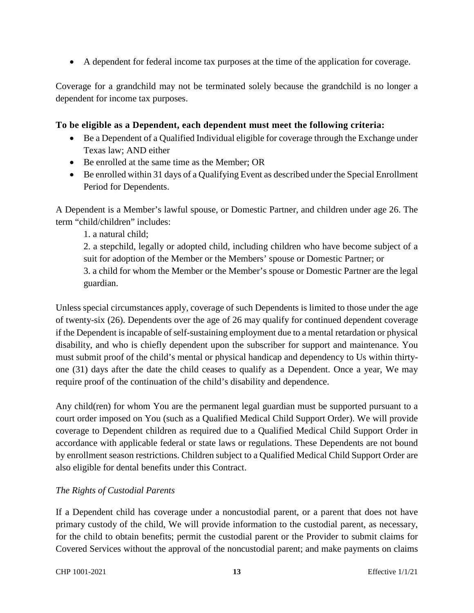A dependent for federal income tax purposes at the time of the application for coverage.

Coverage for a grandchild may not be terminated solely because the grandchild is no longer a dependent for income tax purposes.

#### **To be eligible as a Dependent, each dependent must meet the following criteria:**

- Be a Dependent of a Qualified Individual eligible for coverage through the Exchange under Texas law; AND either
- Be enrolled at the same time as the Member; OR
- Be enrolled within 31 days of a Qualifying Event as described under the Special Enrollment Period for Dependents.

A Dependent is a Member's lawful spouse, or Domestic Partner, and children under age 26. The term "child/children" includes:

1. a natural child;

2. a stepchild, legally or adopted child, including children who have become subject of a suit for adoption of the Member or the Members' spouse or Domestic Partner; or 3. a child for whom the Member or the Member's spouse or Domestic Partner are the legal guardian.

Unless special circumstances apply, coverage of such Dependents is limited to those under the age of twenty-six (26). Dependents over the age of 26 may qualify for continued dependent coverage if the Dependent is incapable of self-sustaining employment due to a mental retardation or physical disability, and who is chiefly dependent upon the subscriber for support and maintenance. You must submit proof of the child's mental or physical handicap and dependency to Us within thirtyone (31) days after the date the child ceases to qualify as a Dependent. Once a year, We may require proof of the continuation of the child's disability and dependence.

Any child(ren) for whom You are the permanent legal guardian must be supported pursuant to a court order imposed on You (such as a Qualified Medical Child Support Order). We will provide coverage to Dependent children as required due to a Qualified Medical Child Support Order in accordance with applicable federal or state laws or regulations. These Dependents are not bound by enrollment season restrictions. Children subject to a Qualified Medical Child Support Order are also eligible for dental benefits under this Contract.

#### *The Rights of Custodial Parents*

If a Dependent child has coverage under a noncustodial parent, or a parent that does not have primary custody of the child, We will provide information to the custodial parent, as necessary, for the child to obtain benefits; permit the custodial parent or the Provider to submit claims for Covered Services without the approval of the noncustodial parent; and make payments on claims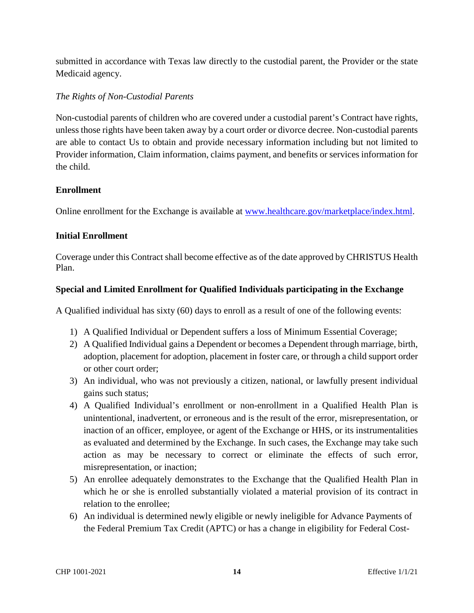submitted in accordance with Texas law directly to the custodial parent, the Provider or the state Medicaid agency.

#### *The Rights of Non-Custodial Parents*

Non-custodial parents of children who are covered under a custodial parent's Contract have rights, unless those rights have been taken away by a court order or divorce decree. Non-custodial parents are able to contact Us to obtain and provide necessary information including but not limited to Provider information, Claim information, claims payment, and benefits or services information for the child.

#### **Enrollment**

Online enrollment for the Exchange is available at www.healthcare.gov/marketplace/index.html.

#### **Initial Enrollment**

Coverage under this Contract shall become effective as of the date approved by CHRISTUS Health Plan.

#### **Special and Limited Enrollment for Qualified Individuals participating in the Exchange**

A Qualified individual has sixty (60) days to enroll as a result of one of the following events:

- 1) A Qualified Individual or Dependent suffers a loss of Minimum Essential Coverage;
- 2) A Qualified Individual gains a Dependent or becomes a Dependent through marriage, birth, adoption, placement for adoption, placement in foster care, or through a child support order or other court order;
- 3) An individual, who was not previously a citizen, national, or lawfully present individual gains such status;
- 4) A Qualified Individual's enrollment or non-enrollment in a Qualified Health Plan is unintentional, inadvertent, or erroneous and is the result of the error, misrepresentation, or inaction of an officer, employee, or agent of the Exchange or HHS, or its instrumentalities as evaluated and determined by the Exchange. In such cases, the Exchange may take such action as may be necessary to correct or eliminate the effects of such error, misrepresentation, or inaction;
- 5) An enrollee adequately demonstrates to the Exchange that the Qualified Health Plan in which he or she is enrolled substantially violated a material provision of its contract in relation to the enrollee;
- 6) An individual is determined newly eligible or newly ineligible for Advance Payments of the Federal Premium Tax Credit (APTC) or has a change in eligibility for Federal Cost-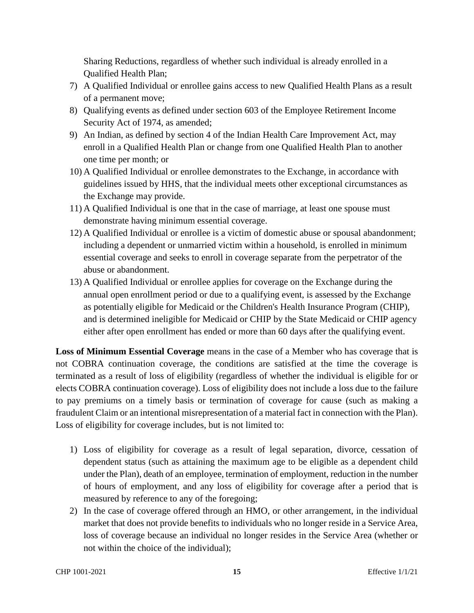Sharing Reductions, regardless of whether such individual is already enrolled in a Qualified Health Plan;

- 7) A Qualified Individual or enrollee gains access to new Qualified Health Plans as a result of a permanent move;
- 8) Qualifying events as defined under section 603 of the Employee Retirement Income Security Act of 1974, as amended;
- 9) An Indian, as defined by section 4 of the Indian Health Care Improvement Act, may enroll in a Qualified Health Plan or change from one Qualified Health Plan to another one time per month; or
- 10) A Qualified Individual or enrollee demonstrates to the Exchange, in accordance with guidelines issued by HHS, that the individual meets other exceptional circumstances as the Exchange may provide.
- 11) A Qualified Individual is one that in the case of marriage, at least one spouse must demonstrate having minimum essential coverage.
- 12) A Qualified Individual or enrollee is a victim of domestic abuse or spousal abandonment; including a dependent or unmarried victim within a household, is enrolled in minimum essential coverage and seeks to enroll in coverage separate from the perpetrator of the abuse or abandonment.
- 13) A Qualified Individual or enrollee applies for coverage on the Exchange during the annual open enrollment period or due to a qualifying event, is assessed by the Exchange as potentially eligible for Medicaid or the Children's Health Insurance Program (CHIP), and is determined ineligible for Medicaid or CHIP by the State Medicaid or CHIP agency either after open enrollment has ended or more than 60 days after the qualifying event.

**Loss of Minimum Essential Coverage** means in the case of a Member who has coverage that is not COBRA continuation coverage, the conditions are satisfied at the time the coverage is terminated as a result of loss of eligibility (regardless of whether the individual is eligible for or elects COBRA continuation coverage). Loss of eligibility does not include a loss due to the failure to pay premiums on a timely basis or termination of coverage for cause (such as making a fraudulent Claim or an intentional misrepresentation of a material fact in connection with the Plan). Loss of eligibility for coverage includes, but is not limited to:

- 1) Loss of eligibility for coverage as a result of legal separation, divorce, cessation of dependent status (such as attaining the maximum age to be eligible as a dependent child under the Plan), death of an employee, termination of employment, reduction in the number of hours of employment, and any loss of eligibility for coverage after a period that is measured by reference to any of the foregoing;
- 2) In the case of coverage offered through an HMO, or other arrangement, in the individual market that does not provide benefits to individuals who no longer reside in a Service Area, loss of coverage because an individual no longer resides in the Service Area (whether or not within the choice of the individual);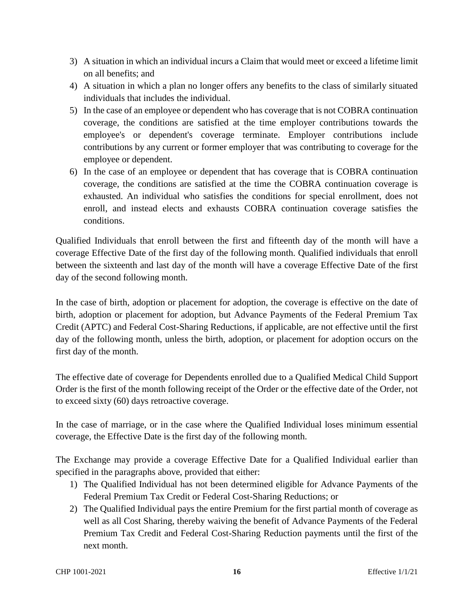- 3) A situation in which an individual incurs a Claim that would meet or exceed a lifetime limit on all benefits; and
- 4) A situation in which a plan no longer offers any benefits to the class of similarly situated individuals that includes the individual.
- 5) In the case of an employee or dependent who has coverage that is not COBRA continuation coverage, the conditions are satisfied at the time employer contributions towards the employee's or dependent's coverage terminate. Employer contributions include contributions by any current or former employer that was contributing to coverage for the employee or dependent.
- 6) In the case of an employee or dependent that has coverage that is COBRA continuation coverage, the conditions are satisfied at the time the COBRA continuation coverage is exhausted. An individual who satisfies the conditions for special enrollment, does not enroll, and instead elects and exhausts COBRA continuation coverage satisfies the conditions.

Qualified Individuals that enroll between the first and fifteenth day of the month will have a coverage Effective Date of the first day of the following month. Qualified individuals that enroll between the sixteenth and last day of the month will have a coverage Effective Date of the first day of the second following month.

In the case of birth, adoption or placement for adoption, the coverage is effective on the date of birth, adoption or placement for adoption, but Advance Payments of the Federal Premium Tax Credit (APTC) and Federal Cost-Sharing Reductions, if applicable, are not effective until the first day of the following month, unless the birth, adoption, or placement for adoption occurs on the first day of the month.

The effective date of coverage for Dependents enrolled due to a Qualified Medical Child Support Order is the first of the month following receipt of the Order or the effective date of the Order, not to exceed sixty (60) days retroactive coverage.

In the case of marriage, or in the case where the Qualified Individual loses minimum essential coverage, the Effective Date is the first day of the following month.

The Exchange may provide a coverage Effective Date for a Qualified Individual earlier than specified in the paragraphs above, provided that either:

- 1) The Qualified Individual has not been determined eligible for Advance Payments of the Federal Premium Tax Credit or Federal Cost-Sharing Reductions; or
- 2) The Qualified Individual pays the entire Premium for the first partial month of coverage as well as all Cost Sharing, thereby waiving the benefit of Advance Payments of the Federal Premium Tax Credit and Federal Cost-Sharing Reduction payments until the first of the next month.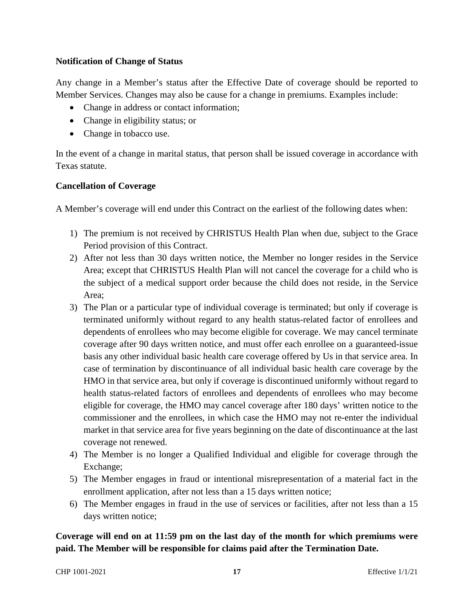#### **Notification of Change of Status**

Any change in a Member's status after the Effective Date of coverage should be reported to Member Services. Changes may also be cause for a change in premiums. Examples include:

- Change in address or contact information;
- Change in eligibility status; or
- Change in tobacco use.

In the event of a change in marital status, that person shall be issued coverage in accordance with Texas statute.

#### **Cancellation of Coverage**

A Member's coverage will end under this Contract on the earliest of the following dates when:

- 1) The premium is not received by CHRISTUS Health Plan when due, subject to the Grace Period provision of this Contract.
- 2) After not less than 30 days written notice, the Member no longer resides in the Service Area; except that CHRISTUS Health Plan will not cancel the coverage for a child who is the subject of a medical support order because the child does not reside, in the Service Area;
- 3) The Plan or a particular type of individual coverage is terminated; but only if coverage is terminated uniformly without regard to any health status-related factor of enrollees and dependents of enrollees who may become eligible for coverage. We may cancel terminate coverage after 90 days written notice, and must offer each enrollee on a guaranteed-issue basis any other individual basic health care coverage offered by Us in that service area. In case of termination by discontinuance of all individual basic health care coverage by the HMO in that service area, but only if coverage is discontinued uniformly without regard to health status-related factors of enrollees and dependents of enrollees who may become eligible for coverage, the HMO may cancel coverage after 180 days' written notice to the commissioner and the enrollees, in which case the HMO may not re-enter the individual market in that service area for five years beginning on the date of discontinuance at the last coverage not renewed.
- 4) The Member is no longer a Qualified Individual and eligible for coverage through the Exchange;
- 5) The Member engages in fraud or intentional misrepresentation of a material fact in the enrollment application, after not less than a 15 days written notice;
- 6) The Member engages in fraud in the use of services or facilities, after not less than a 15 days written notice;

#### **Coverage will end on at 11:59 pm on the last day of the month for which premiums were paid. The Member will be responsible for claims paid after the Termination Date.**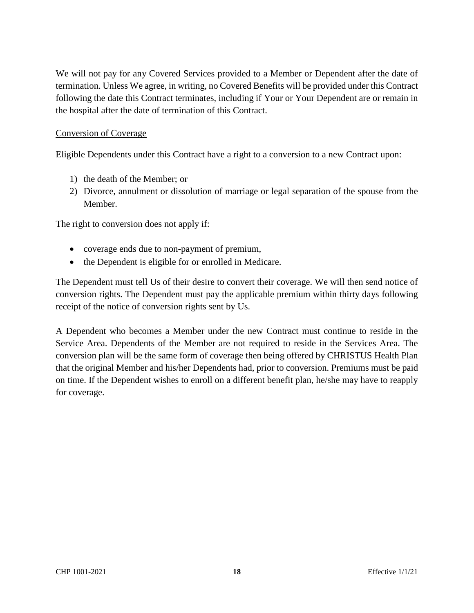We will not pay for any Covered Services provided to a Member or Dependent after the date of termination. Unless We agree, in writing, no Covered Benefits will be provided under this Contract following the date this Contract terminates, including if Your or Your Dependent are or remain in the hospital after the date of termination of this Contract.

#### Conversion of Coverage

Eligible Dependents under this Contract have a right to a conversion to a new Contract upon:

- 1) the death of the Member; or
- 2) Divorce, annulment or dissolution of marriage or legal separation of the spouse from the Member.

The right to conversion does not apply if:

- coverage ends due to non-payment of premium,
- the Dependent is eligible for or enrolled in Medicare.

The Dependent must tell Us of their desire to convert their coverage. We will then send notice of conversion rights. The Dependent must pay the applicable premium within thirty days following receipt of the notice of conversion rights sent by Us.

A Dependent who becomes a Member under the new Contract must continue to reside in the Service Area. Dependents of the Member are not required to reside in the Services Area. The conversion plan will be the same form of coverage then being offered by CHRISTUS Health Plan that the original Member and his/her Dependents had, prior to conversion. Premiums must be paid on time. If the Dependent wishes to enroll on a different benefit plan, he/she may have to reapply for coverage.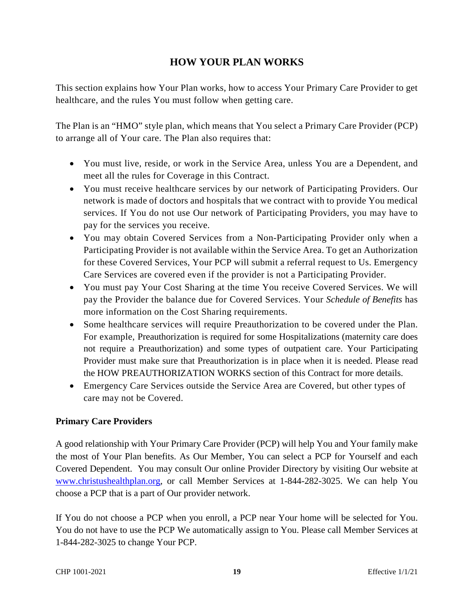## **HOW YOUR PLAN WORKS**

This section explains how Your Plan works, how to access Your Primary Care Provider to get healthcare, and the rules You must follow when getting care.

The Plan is an "HMO" style plan, which means that You select a Primary Care Provider (PCP) to arrange all of Your care. The Plan also requires that:

- You must live, reside, or work in the Service Area, unless You are a Dependent, and meet all the rules for Coverage in this Contract.
- You must receive healthcare services by our network of Participating Providers. Our network is made of doctors and hospitals that we contract with to provide You medical services. If You do not use Our network of Participating Providers, you may have to pay for the services you receive.
- You may obtain Covered Services from a Non-Participating Provider only when a Participating Provider is not available within the Service Area. To get an Authorization for these Covered Services, Your PCP will submit a referral request to Us. Emergency Care Services are covered even if the provider is not a Participating Provider.
- You must pay Your Cost Sharing at the time You receive Covered Services. We will pay the Provider the balance due for Covered Services. Your *Schedule of Benefits* has more information on the Cost Sharing requirements.
- Some healthcare services will require Preauthorization to be covered under the Plan. For example, Preauthorization is required for some Hospitalizations (maternity care does not require a Preauthorization) and some types of outpatient care. Your Participating Provider must make sure that Preauthorization is in place when it is needed. Please read the HOW PREAUTHORIZATION WORKS section of this Contract for more details.
- Emergency Care Services outside the Service Area are Covered, but other types of care may not be Covered.

#### **Primary Care Providers**

A good relationship with Your Primary Care Provider (PCP) will help You and Your family make the most of Your Plan benefits. As Our Member, You can select a PCP for Yourself and each Covered Dependent. You may consult Our online Provider Directory by visiting Our website at www.christushealthplan.org, or call Member Services at 1-844-282-3025. We can help You choose a PCP that is a part of Our provider network.

If You do not choose a PCP when you enroll, a PCP near Your home will be selected for You. You do not have to use the PCP We automatically assign to You. Please call Member Services at 1-844-282-3025 to change Your PCP.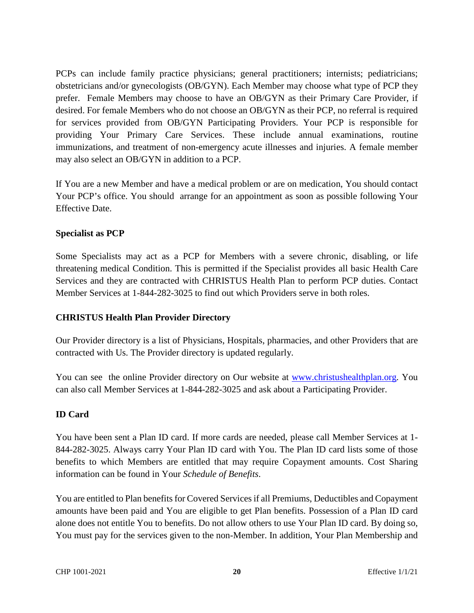PCPs can include family practice physicians; general practitioners; internists; pediatricians; obstetricians and/or gynecologists (OB/GYN). Each Member may choose what type of PCP they prefer. Female Members may choose to have an OB/GYN as their Primary Care Provider, if desired. For female Members who do not choose an OB/GYN as their PCP, no referral is required for services provided from OB/GYN Participating Providers. Your PCP is responsible for providing Your Primary Care Services. These include annual examinations, routine immunizations, and treatment of non-emergency acute illnesses and injuries. A female member may also select an OB/GYN in addition to a PCP.

If You are a new Member and have a medical problem or are on medication, You should contact Your PCP's office. You should arrange for an appointment as soon as possible following Your Effective Date.

#### **Specialist as PCP**

Some Specialists may act as a PCP for Members with a severe chronic, disabling, or life threatening medical Condition. This is permitted if the Specialist provides all basic Health Care Services and they are contracted with CHRISTUS Health Plan to perform PCP duties. Contact Member Services at 1-844-282-3025 to find out which Providers serve in both roles.

#### **CHRISTUS Health Plan Provider Directory**

Our Provider directory is a list of Physicians, Hospitals, pharmacies, and other Providers that are contracted with Us. The Provider directory is updated regularly.

You can see the online Provider directory on Our website at www.christushealthplan.org. You can also call Member Services at 1-844-282-3025 and ask about a Participating Provider.

#### **ID Card**

You have been sent a Plan ID card. If more cards are needed, please call Member Services at 1- 844-282-3025. Always carry Your Plan ID card with You. The Plan ID card lists some of those benefits to which Members are entitled that may require Copayment amounts. Cost Sharing information can be found in Your *Schedule of Benefits*.

You are entitled to Plan benefits for Covered Services if all Premiums, Deductibles and Copayment amounts have been paid and You are eligible to get Plan benefits. Possession of a Plan ID card alone does not entitle You to benefits. Do not allow others to use Your Plan ID card. By doing so, You must pay for the services given to the non-Member. In addition, Your Plan Membership and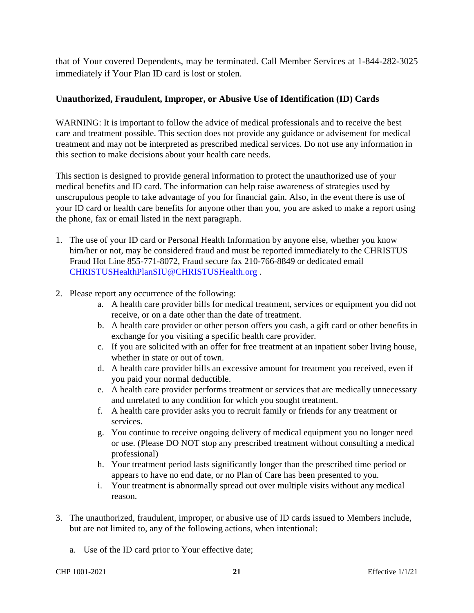that of Your covered Dependents, may be terminated. Call Member Services at 1-844-282-3025 immediately if Your Plan ID card is lost or stolen.

#### **Unauthorized, Fraudulent, Improper, or Abusive Use of Identification (ID) Cards**

WARNING: It is important to follow the advice of medical professionals and to receive the best care and treatment possible. This section does not provide any guidance or advisement for medical treatment and may not be interpreted as prescribed medical services. Do not use any information in this section to make decisions about your health care needs.

This section is designed to provide general information to protect the unauthorized use of your medical benefits and ID card. The information can help raise awareness of strategies used by unscrupulous people to take advantage of you for financial gain. Also, in the event there is use of your ID card or health care benefits for anyone other than you, you are asked to make a report using the phone, fax or email listed in the next paragraph.

- 1. The use of your ID card or Personal Health Information by anyone else, whether you know him/her or not, may be considered fraud and must be reported immediately to the CHRISTUS Fraud Hot Line 855-771-8072, Fraud secure fax 210-766-8849 or dedicated email CHRISTUSHealthPlanSIU@CHRISTUSHealth.org .
- 2. Please report any occurrence of the following:
	- a. A health care provider bills for medical treatment, services or equipment you did not receive, or on a date other than the date of treatment.
	- b. A health care provider or other person offers you cash, a gift card or other benefits in exchange for you visiting a specific health care provider.
	- c. If you are solicited with an offer for free treatment at an inpatient sober living house, whether in state or out of town.
	- d. A health care provider bills an excessive amount for treatment you received, even if you paid your normal deductible.
	- e. A health care provider performs treatment or services that are medically unnecessary and unrelated to any condition for which you sought treatment.
	- f. A health care provider asks you to recruit family or friends for any treatment or services.
	- g. You continue to receive ongoing delivery of medical equipment you no longer need or use. (Please DO NOT stop any prescribed treatment without consulting a medical professional)
	- h. Your treatment period lasts significantly longer than the prescribed time period or appears to have no end date, or no Plan of Care has been presented to you.
	- i. Your treatment is abnormally spread out over multiple visits without any medical reason.
- 3. The unauthorized, fraudulent, improper, or abusive use of ID cards issued to Members include, but are not limited to, any of the following actions, when intentional:
	- a. Use of the ID card prior to Your effective date;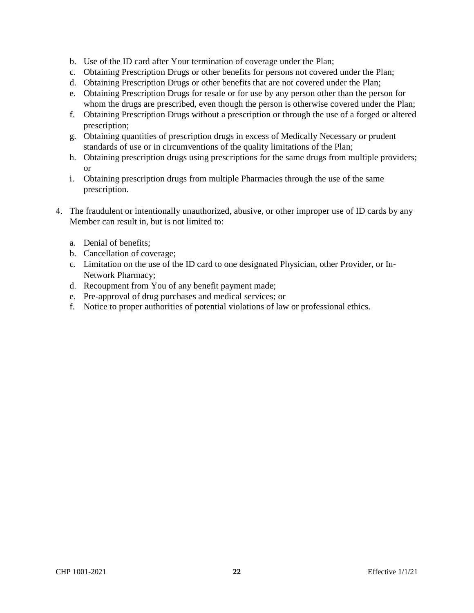- b. Use of the ID card after Your termination of coverage under the Plan;
- c. Obtaining Prescription Drugs or other benefits for persons not covered under the Plan;
- d. Obtaining Prescription Drugs or other benefits that are not covered under the Plan;
- e. Obtaining Prescription Drugs for resale or for use by any person other than the person for whom the drugs are prescribed, even though the person is otherwise covered under the Plan;
- f. Obtaining Prescription Drugs without a prescription or through the use of a forged or altered prescription;
- g. Obtaining quantities of prescription drugs in excess of Medically Necessary or prudent standards of use or in circumventions of the quality limitations of the Plan;
- h. Obtaining prescription drugs using prescriptions for the same drugs from multiple providers; or
- i. Obtaining prescription drugs from multiple Pharmacies through the use of the same prescription.
- 4. The fraudulent or intentionally unauthorized, abusive, or other improper use of ID cards by any Member can result in, but is not limited to:
	- a. Denial of benefits;
	- b. Cancellation of coverage;
	- c. Limitation on the use of the ID card to one designated Physician, other Provider, or In-Network Pharmacy;
	- d. Recoupment from You of any benefit payment made;
	- e. Pre-approval of drug purchases and medical services; or
	- f. Notice to proper authorities of potential violations of law or professional ethics.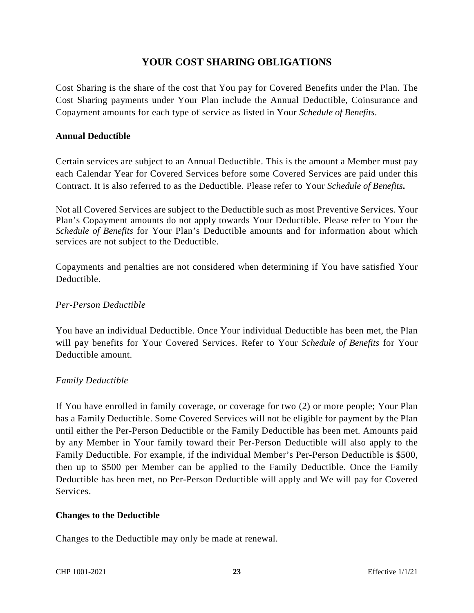## **YOUR COST SHARING OBLIGATIONS**

Cost Sharing is the share of the cost that You pay for Covered Benefits under the Plan. The Cost Sharing payments under Your Plan include the Annual Deductible, Coinsurance and Copayment amounts for each type of service as listed in Your *Schedule of Benefits*.

#### **Annual Deductible**

Certain services are subject to an Annual Deductible. This is the amount a Member must pay each Calendar Year for Covered Services before some Covered Services are paid under this Contract. It is also referred to as the Deductible. Please refer to Your *Schedule of Benefits***.**

Not all Covered Services are subject to the Deductible such as most Preventive Services. Your Plan's Copayment amounts do not apply towards Your Deductible. Please refer to Your the *Schedule of Benefits* for Your Plan's Deductible amounts and for information about which services are not subject to the Deductible.

Copayments and penalties are not considered when determining if You have satisfied Your Deductible.

#### *Per-Person Deductible*

You have an individual Deductible. Once Your individual Deductible has been met, the Plan will pay benefits for Your Covered Services. Refer to Your *Schedule of Benefits* for Your Deductible amount.

#### *Family Deductible*

If You have enrolled in family coverage, or coverage for two (2) or more people; Your Plan has a Family Deductible. Some Covered Services will not be eligible for payment by the Plan until either the Per-Person Deductible or the Family Deductible has been met. Amounts paid by any Member in Your family toward their Per-Person Deductible will also apply to the Family Deductible. For example, if the individual Member's Per-Person Deductible is \$500, then up to \$500 per Member can be applied to the Family Deductible. Once the Family Deductible has been met, no Per-Person Deductible will apply and We will pay for Covered Services.

#### **Changes to the Deductible**

Changes to the Deductible may only be made at renewal.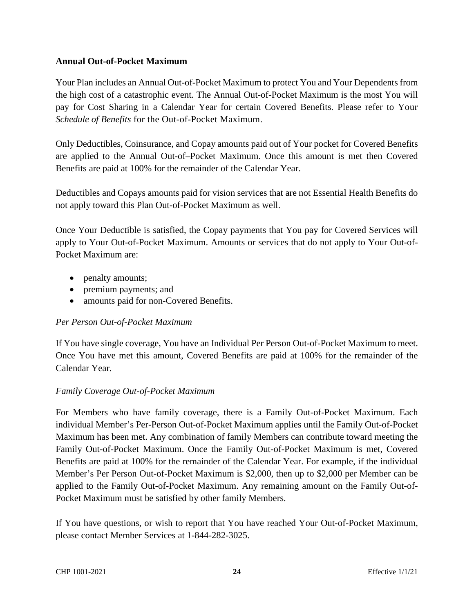#### **Annual Out-of-Pocket Maximum**

Your Plan includes an Annual Out-of-Pocket Maximum to protect You and Your Dependents from the high cost of a catastrophic event. The Annual Out-of-Pocket Maximum is the most You will pay for Cost Sharing in a Calendar Year for certain Covered Benefits. Please refer to Your *Schedule of Benefits* for the Out-of-Pocket Maximum.

Only Deductibles, Coinsurance, and Copay amounts paid out of Your pocket for Covered Benefits are applied to the Annual Out-of–Pocket Maximum. Once this amount is met then Covered Benefits are paid at 100% for the remainder of the Calendar Year.

Deductibles and Copays amounts paid for vision services that are not Essential Health Benefits do not apply toward this Plan Out-of-Pocket Maximum as well.

Once Your Deductible is satisfied, the Copay payments that You pay for Covered Services will apply to Your Out-of-Pocket Maximum. Amounts or services that do not apply to Your Out-of-Pocket Maximum are:

- penalty amounts;
- premium payments; and
- amounts paid for non-Covered Benefits.

#### *Per Person Out-of-Pocket Maximum*

If You have single coverage, You have an Individual Per Person Out-of-Pocket Maximum to meet. Once You have met this amount, Covered Benefits are paid at 100% for the remainder of the Calendar Year.

#### *Family Coverage Out-of-Pocket Maximum*

For Members who have family coverage, there is a Family Out-of-Pocket Maximum. Each individual Member's Per-Person Out-of-Pocket Maximum applies until the Family Out-of-Pocket Maximum has been met. Any combination of family Members can contribute toward meeting the Family Out-of-Pocket Maximum. Once the Family Out-of-Pocket Maximum is met, Covered Benefits are paid at 100% for the remainder of the Calendar Year. For example, if the individual Member's Per Person Out-of-Pocket Maximum is \$2,000, then up to \$2,000 per Member can be applied to the Family Out-of-Pocket Maximum. Any remaining amount on the Family Out-of-Pocket Maximum must be satisfied by other family Members.

If You have questions, or wish to report that You have reached Your Out-of-Pocket Maximum, please contact Member Services at 1-844-282-3025.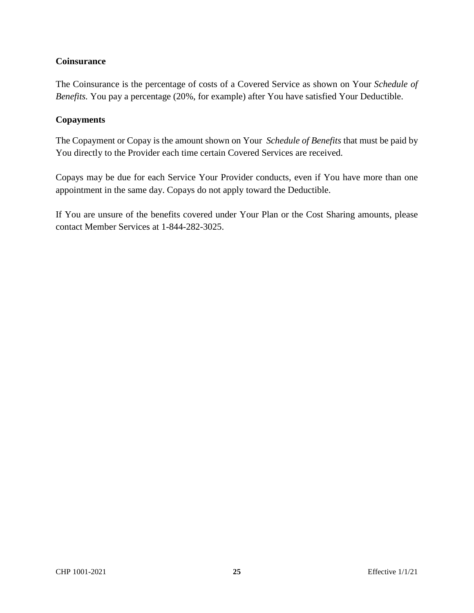#### **Coinsurance**

The Coinsurance is the percentage of costs of a Covered Service as shown on Your *Schedule of Benefits.* You pay a percentage (20%, for example) after You have satisfied Your Deductible.

#### **Copayments**

The Copayment or Copay is the amount shown on Your *Schedule of Benefits* that must be paid by You directly to the Provider each time certain Covered Services are received.

Copays may be due for each Service Your Provider conducts, even if You have more than one appointment in the same day. Copays do not apply toward the Deductible.

If You are unsure of the benefits covered under Your Plan or the Cost Sharing amounts, please contact Member Services at 1-844-282-3025.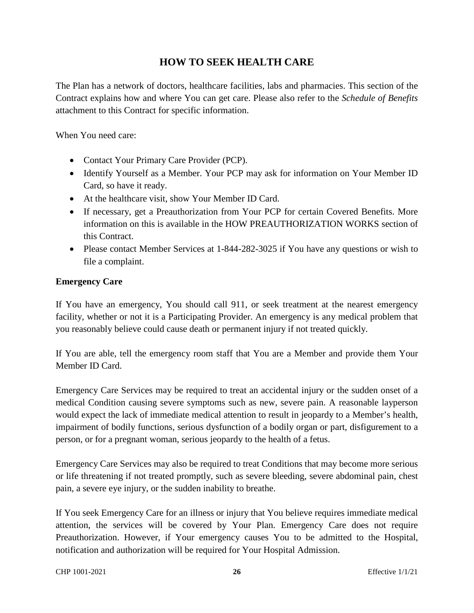## **HOW TO SEEK HEALTH CARE**

The Plan has a network of doctors, healthcare facilities, labs and pharmacies. This section of the Contract explains how and where You can get care. Please also refer to the *Schedule of Benefits* attachment to this Contract for specific information.

When You need care:

- Contact Your Primary Care Provider (PCP).
- Identify Yourself as a Member. Your PCP may ask for information on Your Member ID Card, so have it ready.
- At the healthcare visit, show Your Member ID Card.
- If necessary, get a Preauthorization from Your PCP for certain Covered Benefits. More information on this is available in the HOW PREAUTHORIZATION WORKS section of this Contract.
- Please contact Member Services at 1-844-282-3025 if You have any questions or wish to file a complaint.

#### **Emergency Care**

If You have an emergency, You should call 911, or seek treatment at the nearest emergency facility, whether or not it is a Participating Provider. An emergency is any medical problem that you reasonably believe could cause death or permanent injury if not treated quickly.

If You are able, tell the emergency room staff that You are a Member and provide them Your Member ID Card.

Emergency Care Services may be required to treat an accidental injury or the sudden onset of a medical Condition causing severe symptoms such as new, severe pain. A reasonable layperson would expect the lack of immediate medical attention to result in jeopardy to a Member's health, impairment of bodily functions, serious dysfunction of a bodily organ or part, disfigurement to a person, or for a pregnant woman, serious jeopardy to the health of a fetus.

Emergency Care Services may also be required to treat Conditions that may become more serious or life threatening if not treated promptly, such as severe bleeding, severe abdominal pain, chest pain, a severe eye injury, or the sudden inability to breathe.

If You seek Emergency Care for an illness or injury that You believe requires immediate medical attention, the services will be covered by Your Plan. Emergency Care does not require Preauthorization. However, if Your emergency causes You to be admitted to the Hospital, notification and authorization will be required for Your Hospital Admission.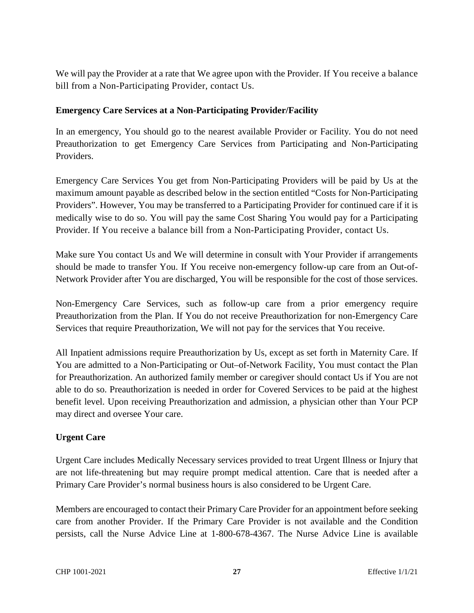We will pay the Provider at a rate that We agree upon with the Provider. If You receive a balance bill from a Non-Participating Provider, contact Us.

#### **Emergency Care Services at a Non-Participating Provider/Facility**

In an emergency, You should go to the nearest available Provider or Facility. You do not need Preauthorization to get Emergency Care Services from Participating and Non-Participating Providers.

Emergency Care Services You get from Non-Participating Providers will be paid by Us at the maximum amount payable as described below in the section entitled "Costs for Non-Participating Providers". However, You may be transferred to a Participating Provider for continued care if it is medically wise to do so. You will pay the same Cost Sharing You would pay for a Participating Provider. If You receive a balance bill from a Non-Participating Provider, contact Us.

Make sure You contact Us and We will determine in consult with Your Provider if arrangements should be made to transfer You. If You receive non-emergency follow-up care from an Out-of-Network Provider after You are discharged, You will be responsible for the cost of those services.

Non-Emergency Care Services, such as follow-up care from a prior emergency require Preauthorization from the Plan. If You do not receive Preauthorization for non-Emergency Care Services that require Preauthorization, We will not pay for the services that You receive.

All Inpatient admissions require Preauthorization by Us, except as set forth in Maternity Care. If You are admitted to a Non-Participating or Out–of-Network Facility, You must contact the Plan for Preauthorization. An authorized family member or caregiver should contact Us if You are not able to do so. Preauthorization is needed in order for Covered Services to be paid at the highest benefit level. Upon receiving Preauthorization and admission, a physician other than Your PCP may direct and oversee Your care.

#### **Urgent Care**

Urgent Care includes Medically Necessary services provided to treat Urgent Illness or Injury that are not life-threatening but may require prompt medical attention. Care that is needed after a Primary Care Provider's normal business hours is also considered to be Urgent Care.

Members are encouraged to contact their Primary Care Provider for an appointment before seeking care from another Provider. If the Primary Care Provider is not available and the Condition persists, call the Nurse Advice Line at 1-800-678-4367. The Nurse Advice Line is available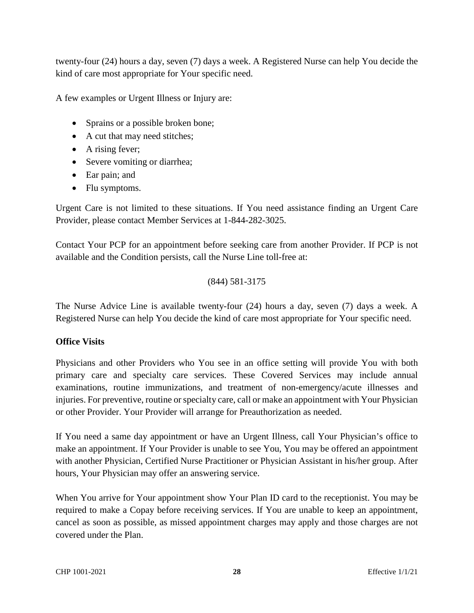twenty-four (24) hours a day, seven (7) days a week. A Registered Nurse can help You decide the kind of care most appropriate for Your specific need.

A few examples or Urgent Illness or Injury are:

- Sprains or a possible broken bone;
- A cut that may need stitches;
- A rising fever;
- Severe vomiting or diarrhea;
- Ear pain; and
- Flu symptoms.

Urgent Care is not limited to these situations. If You need assistance finding an Urgent Care Provider, please contact Member Services at 1-844-282-3025.

Contact Your PCP for an appointment before seeking care from another Provider. If PCP is not available and the Condition persists, call the Nurse Line toll-free at:

(844) 581-3175

The Nurse Advice Line is available twenty-four (24) hours a day, seven (7) days a week. A Registered Nurse can help You decide the kind of care most appropriate for Your specific need.

#### **Office Visits**

Physicians and other Providers who You see in an office setting will provide You with both primary care and specialty care services. These Covered Services may include annual examinations, routine immunizations, and treatment of non-emergency/acute illnesses and injuries. For preventive, routine or specialty care, call or make an appointment with Your Physician or other Provider. Your Provider will arrange for Preauthorization as needed.

If You need a same day appointment or have an Urgent Illness, call Your Physician's office to make an appointment. If Your Provider is unable to see You, You may be offered an appointment with another Physician, Certified Nurse Practitioner or Physician Assistant in his/her group. After hours, Your Physician may offer an answering service.

When You arrive for Your appointment show Your Plan ID card to the receptionist. You may be required to make a Copay before receiving services. If You are unable to keep an appointment, cancel as soon as possible, as missed appointment charges may apply and those charges are not covered under the Plan.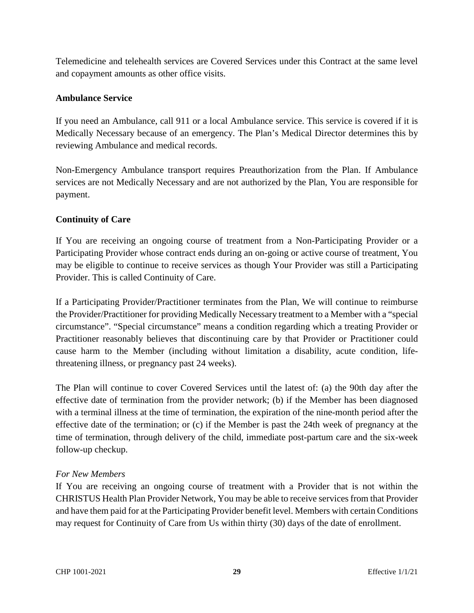Telemedicine and telehealth services are Covered Services under this Contract at the same level and copayment amounts as other office visits.

#### **Ambulance Service**

If you need an Ambulance, call 911 or a local Ambulance service. This service is covered if it is Medically Necessary because of an emergency. The Plan's Medical Director determines this by reviewing Ambulance and medical records.

Non-Emergency Ambulance transport requires Preauthorization from the Plan. If Ambulance services are not Medically Necessary and are not authorized by the Plan, You are responsible for payment.

#### **Continuity of Care**

If You are receiving an ongoing course of treatment from a Non-Participating Provider or a Participating Provider whose contract ends during an on-going or active course of treatment, You may be eligible to continue to receive services as though Your Provider was still a Participating Provider. This is called Continuity of Care.

If a Participating Provider/Practitioner terminates from the Plan, We will continue to reimburse the Provider/Practitioner for providing Medically Necessary treatment to a Member with a "special circumstance". "Special circumstance" means a condition regarding which a treating Provider or Practitioner reasonably believes that discontinuing care by that Provider or Practitioner could cause harm to the Member (including without limitation a disability, acute condition, lifethreatening illness, or pregnancy past 24 weeks).

The Plan will continue to cover Covered Services until the latest of: (a) the 90th day after the effective date of termination from the provider network; (b) if the Member has been diagnosed with a terminal illness at the time of termination, the expiration of the nine-month period after the effective date of the termination; or (c) if the Member is past the 24th week of pregnancy at the time of termination, through delivery of the child, immediate post-partum care and the six-week follow-up checkup.

#### *For New Members*

If You are receiving an ongoing course of treatment with a Provider that is not within the CHRISTUS Health Plan Provider Network, You may be able to receive services from that Provider and have them paid for at the Participating Provider benefit level. Members with certain Conditions may request for Continuity of Care from Us within thirty (30) days of the date of enrollment.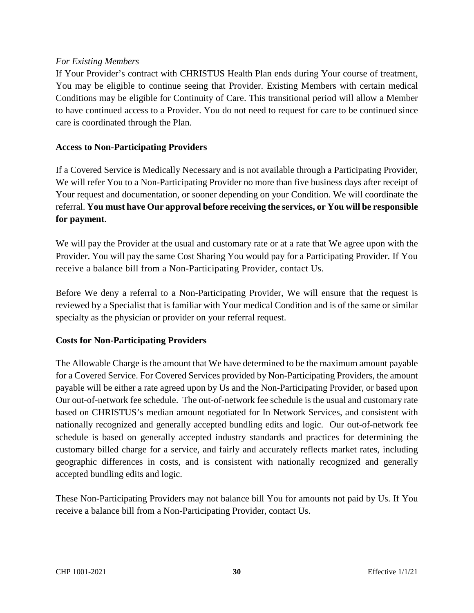#### *For Existing Members*

If Your Provider's contract with CHRISTUS Health Plan ends during Your course of treatment, You may be eligible to continue seeing that Provider. Existing Members with certain medical Conditions may be eligible for Continuity of Care. This transitional period will allow a Member to have continued access to a Provider. You do not need to request for care to be continued since care is coordinated through the Plan.

#### **Access to Non-Participating Providers**

If a Covered Service is Medically Necessary and is not available through a Participating Provider, We will refer You to a Non-Participating Provider no more than five business days after receipt of Your request and documentation, or sooner depending on your Condition. We will coordinate the referral. **You must have Our approval before receiving the services, or You will be responsible for payment**.

We will pay the Provider at the usual and customary rate or at a rate that We agree upon with the Provider. You will pay the same Cost Sharing You would pay for a Participating Provider. If You receive a balance bill from a Non-Participating Provider, contact Us.

Before We deny a referral to a Non-Participating Provider, We will ensure that the request is reviewed by a Specialist that is familiar with Your medical Condition and is of the same or similar specialty as the physician or provider on your referral request.

#### **Costs for Non-Participating Providers**

The Allowable Charge is the amount that We have determined to be the maximum amount payable for a Covered Service. For Covered Services provided by Non-Participating Providers, the amount payable will be either a rate agreed upon by Us and the Non-Participating Provider, or based upon Our out-of-network fee schedule. The out-of-network fee schedule is the usual and customary rate based on CHRISTUS's median amount negotiated for In Network Services, and consistent with nationally recognized and generally accepted bundling edits and logic. Our out-of-network fee schedule is based on generally accepted industry standards and practices for determining the customary billed charge for a service, and fairly and accurately reflects market rates, including geographic differences in costs, and is consistent with nationally recognized and generally accepted bundling edits and logic.

These Non-Participating Providers may not balance bill You for amounts not paid by Us. If You receive a balance bill from a Non-Participating Provider, contact Us.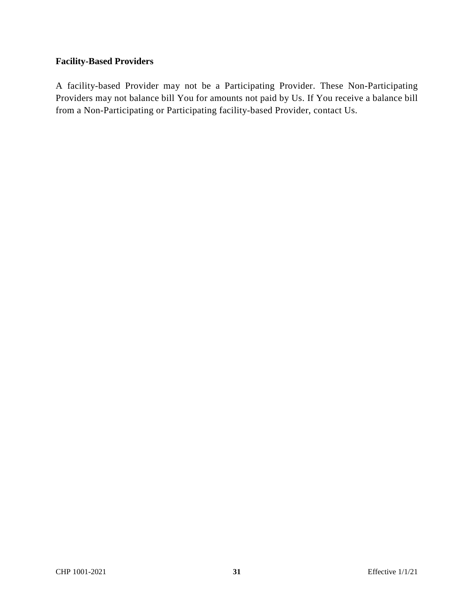#### **Facility-Based Providers**

A facility-based Provider may not be a Participating Provider. These Non-Participating Providers may not balance bill You for amounts not paid by Us. If You receive a balance bill from a Non-Participating or Participating facility-based Provider, contact Us.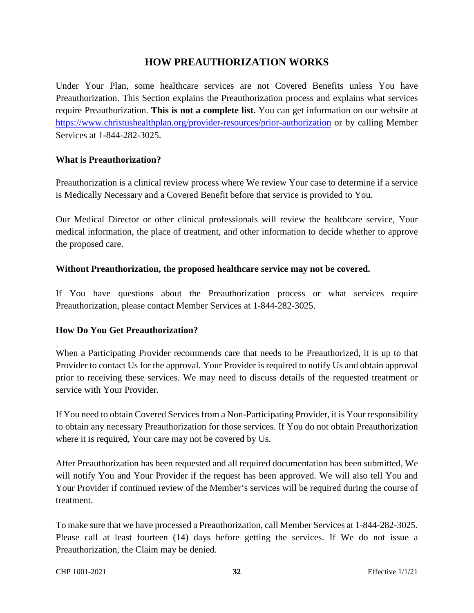#### **HOW PREAUTHORIZATION WORKS**

Under Your Plan, some healthcare services are not Covered Benefits unless You have Preauthorization. This Section explains the Preauthorization process and explains what services require Preauthorization. **This is not a complete list.** You can get information on our website at https://www.christushealthplan.org/provider-resources/prior-authorization or by calling Member Services at 1-844-282-3025.

#### **What is Preauthorization?**

Preauthorization is a clinical review process where We review Your case to determine if a service is Medically Necessary and a Covered Benefit before that service is provided to You.

Our Medical Director or other clinical professionals will review the healthcare service, Your medical information, the place of treatment, and other information to decide whether to approve the proposed care.

#### **Without Preauthorization, the proposed healthcare service may not be covered.**

If You have questions about the Preauthorization process or what services require Preauthorization, please contact Member Services at 1-844-282-3025.

#### **How Do You Get Preauthorization?**

When a Participating Provider recommends care that needs to be Preauthorized, it is up to that Provider to contact Us for the approval. Your Provider is required to notify Us and obtain approval prior to receiving these services. We may need to discuss details of the requested treatment or service with Your Provider.

If You need to obtain Covered Services from a Non-Participating Provider, it is Your responsibility to obtain any necessary Preauthorization for those services. If You do not obtain Preauthorization where it is required, Your care may not be covered by Us.

After Preauthorization has been requested and all required documentation has been submitted, We will notify You and Your Provider if the request has been approved. We will also tell You and Your Provider if continued review of the Member's services will be required during the course of treatment.

To make sure that we have processed a Preauthorization, call Member Services at 1-844-282-3025. Please call at least fourteen (14) days before getting the services. If We do not issue a Preauthorization, the Claim may be denied.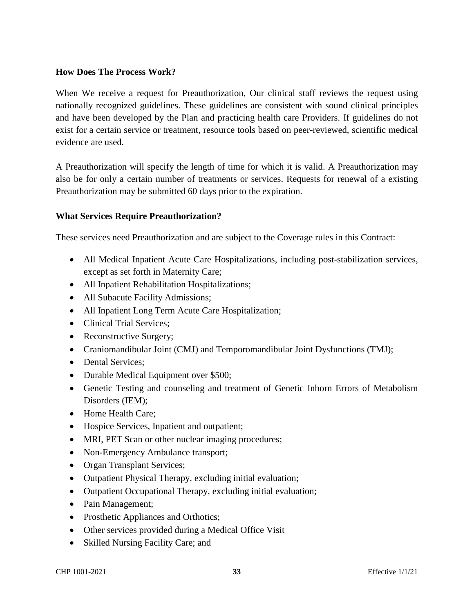#### **How Does The Process Work?**

When We receive a request for Preauthorization, Our clinical staff reviews the request using nationally recognized guidelines. These guidelines are consistent with sound clinical principles and have been developed by the Plan and practicing health care Providers. If guidelines do not exist for a certain service or treatment, resource tools based on peer-reviewed, scientific medical evidence are used.

A Preauthorization will specify the length of time for which it is valid. A Preauthorization may also be for only a certain number of treatments or services. Requests for renewal of a existing Preauthorization may be submitted 60 days prior to the expiration.

#### **What Services Require Preauthorization?**

These services need Preauthorization and are subject to the Coverage rules in this Contract:

- All Medical Inpatient Acute Care Hospitalizations, including post-stabilization services, except as set forth in Maternity Care;
- All Inpatient Rehabilitation Hospitalizations;
- All Subacute Facility Admissions;
- All Inpatient Long Term Acute Care Hospitalization;
- Clinical Trial Services;
- Reconstructive Surgery;
- Craniomandibular Joint (CMJ) and Temporomandibular Joint Dysfunctions (TMJ);
- Dental Services:
- Durable Medical Equipment over \$500;
- Genetic Testing and counseling and treatment of Genetic Inborn Errors of Metabolism Disorders (IEM);
- Home Health Care:
- Hospice Services, Inpatient and outpatient;
- MRI, PET Scan or other nuclear imaging procedures;
- Non-Emergency Ambulance transport;
- Organ Transplant Services;
- Outpatient Physical Therapy, excluding initial evaluation;
- Outpatient Occupational Therapy, excluding initial evaluation;
- Pain Management;
- Prosthetic Appliances and Orthotics;
- Other services provided during a Medical Office Visit
- Skilled Nursing Facility Care; and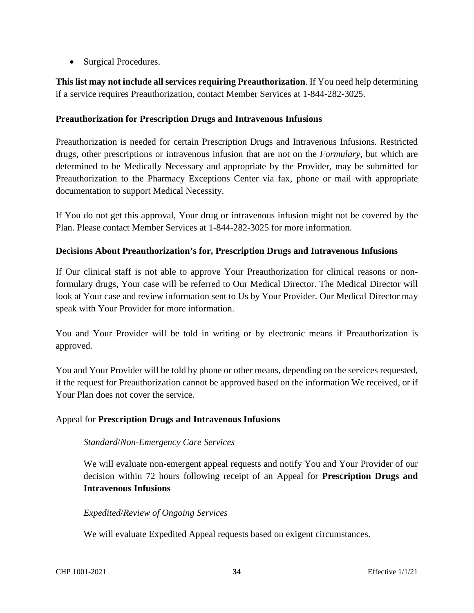• Surgical Procedures.

**This list may not include all services requiring Preauthorization**. If You need help determining if a service requires Preauthorization, contact Member Services at 1-844-282-3025.

#### **Preauthorization for Prescription Drugs and Intravenous Infusions**

Preauthorization is needed for certain Prescription Drugs and Intravenous Infusions. Restricted drugs, other prescriptions or intravenous infusion that are not on the *Formulary,* but which are determined to be Medically Necessary and appropriate by the Provider, may be submitted for Preauthorization to the Pharmacy Exceptions Center via fax, phone or mail with appropriate documentation to support Medical Necessity.

If You do not get this approval, Your drug or intravenous infusion might not be covered by the Plan. Please contact Member Services at 1-844-282-3025 for more information.

#### **Decisions About Preauthorization's for, Prescription Drugs and Intravenous Infusions**

If Our clinical staff is not able to approve Your Preauthorization for clinical reasons or nonformulary drugs, Your case will be referred to Our Medical Director. The Medical Director will look at Your case and review information sent to Us by Your Provider. Our Medical Director may speak with Your Provider for more information.

You and Your Provider will be told in writing or by electronic means if Preauthorization is approved.

You and Your Provider will be told by phone or other means, depending on the services requested, if the request for Preauthorization cannot be approved based on the information We received, or if Your Plan does not cover the service.

#### Appeal for **Prescription Drugs and Intravenous Infusions**

#### *Standard*/*Non-Emergency Care Services*

We will evaluate non-emergent appeal requests and notify You and Your Provider of our decision within 72 hours following receipt of an Appeal for **Prescription Drugs and Intravenous Infusions** 

#### *Expedited*/*Review of Ongoing Services*

We will evaluate Expedited Appeal requests based on exigent circumstances.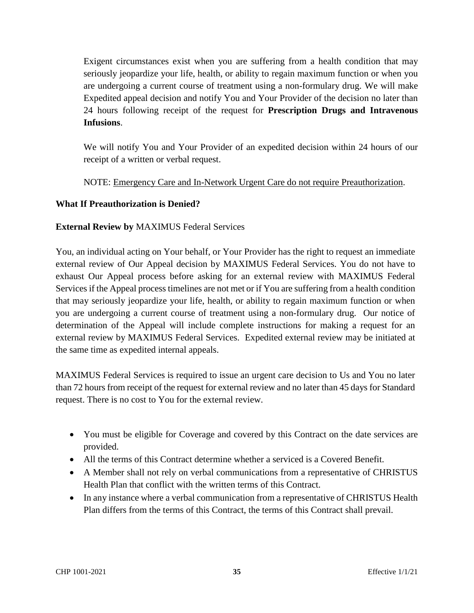Exigent circumstances exist when you are suffering from a health condition that may seriously jeopardize your life, health, or ability to regain maximum function or when you are undergoing a current course of treatment using a non-formulary drug. We will make Expedited appeal decision and notify You and Your Provider of the decision no later than 24 hours following receipt of the request for **Prescription Drugs and Intravenous Infusions**.

We will notify You and Your Provider of an expedited decision within 24 hours of our receipt of a written or verbal request.

NOTE: Emergency Care and In-Network Urgent Care do not require Preauthorization.

#### **What If Preauthorization is Denied?**

#### **External Review by** MAXIMUS Federal Services

You, an individual acting on Your behalf, or Your Provider has the right to request an immediate external review of Our Appeal decision by MAXIMUS Federal Services. You do not have to exhaust Our Appeal process before asking for an external review with MAXIMUS Federal Services if the Appeal process timelines are not met or if You are suffering from a health condition that may seriously jeopardize your life, health, or ability to regain maximum function or when you are undergoing a current course of treatment using a non-formulary drug. Our notice of determination of the Appeal will include complete instructions for making a request for an external review by MAXIMUS Federal Services. Expedited external review may be initiated at the same time as expedited internal appeals.

MAXIMUS Federal Services is required to issue an urgent care decision to Us and You no later than 72 hours from receipt of the request for external review and no later than 45 days for Standard request. There is no cost to You for the external review.

- You must be eligible for Coverage and covered by this Contract on the date services are provided.
- All the terms of this Contract determine whether a serviced is a Covered Benefit.
- A Member shall not rely on verbal communications from a representative of CHRISTUS Health Plan that conflict with the written terms of this Contract.
- In any instance where a verbal communication from a representative of CHRISTUS Health Plan differs from the terms of this Contract, the terms of this Contract shall prevail.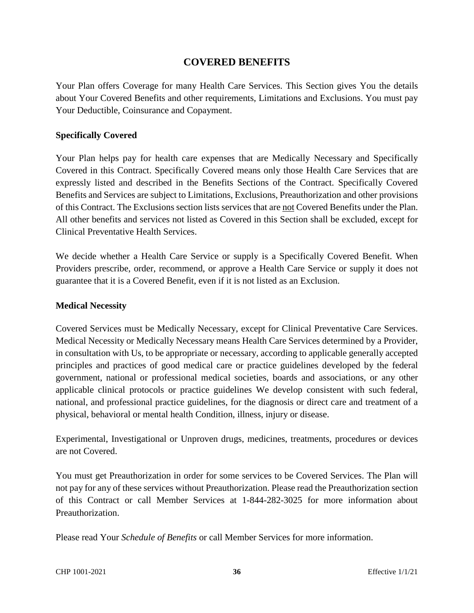#### **COVERED BENEFITS**

Your Plan offers Coverage for many Health Care Services. This Section gives You the details about Your Covered Benefits and other requirements, Limitations and Exclusions. You must pay Your Deductible, Coinsurance and Copayment.

#### **Specifically Covered**

Your Plan helps pay for health care expenses that are Medically Necessary and Specifically Covered in this Contract. Specifically Covered means only those Health Care Services that are expressly listed and described in the Benefits Sections of the Contract. Specifically Covered Benefits and Services are subject to Limitations, Exclusions, Preauthorization and other provisions of this Contract. The Exclusions section lists services that are not Covered Benefits under the Plan. All other benefits and services not listed as Covered in this Section shall be excluded, except for Clinical Preventative Health Services.

We decide whether a Health Care Service or supply is a Specifically Covered Benefit. When Providers prescribe, order, recommend, or approve a Health Care Service or supply it does not guarantee that it is a Covered Benefit, even if it is not listed as an Exclusion.

#### **Medical Necessity**

Covered Services must be Medically Necessary, except for Clinical Preventative Care Services. Medical Necessity or Medically Necessary means Health Care Services determined by a Provider, in consultation with Us, to be appropriate or necessary, according to applicable generally accepted principles and practices of good medical care or practice guidelines developed by the federal government, national or professional medical societies, boards and associations, or any other applicable clinical protocols or practice guidelines We develop consistent with such federal, national, and professional practice guidelines, for the diagnosis or direct care and treatment of a physical, behavioral or mental health Condition, illness, injury or disease.

Experimental, Investigational or Unproven drugs, medicines, treatments, procedures or devices are not Covered.

You must get Preauthorization in order for some services to be Covered Services. The Plan will not pay for any of these services without Preauthorization. Please read the Preauthorization section of this Contract or call Member Services at 1-844-282-3025 for more information about Preauthorization.

Please read Your *Schedule of Benefits* or call Member Services for more information.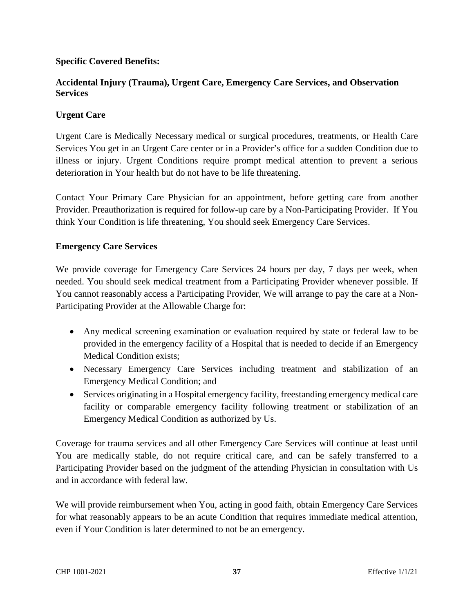### **Specific Covered Benefits:**

### **Accidental Injury (Trauma), Urgent Care, Emergency Care Services, and Observation Services**

#### **Urgent Care**

Urgent Care is Medically Necessary medical or surgical procedures, treatments, or Health Care Services You get in an Urgent Care center or in a Provider's office for a sudden Condition due to illness or injury. Urgent Conditions require prompt medical attention to prevent a serious deterioration in Your health but do not have to be life threatening.

Contact Your Primary Care Physician for an appointment, before getting care from another Provider. Preauthorization is required for follow-up care by a Non-Participating Provider. If You think Your Condition is life threatening, You should seek Emergency Care Services.

#### **Emergency Care Services**

We provide coverage for Emergency Care Services 24 hours per day, 7 days per week, when needed. You should seek medical treatment from a Participating Provider whenever possible. If You cannot reasonably access a Participating Provider, We will arrange to pay the care at a Non-Participating Provider at the Allowable Charge for:

- Any medical screening examination or evaluation required by state or federal law to be provided in the emergency facility of a Hospital that is needed to decide if an Emergency Medical Condition exists;
- Necessary Emergency Care Services including treatment and stabilization of an Emergency Medical Condition; and
- Services originating in a Hospital emergency facility, freestanding emergency medical care facility or comparable emergency facility following treatment or stabilization of an Emergency Medical Condition as authorized by Us.

Coverage for trauma services and all other Emergency Care Services will continue at least until You are medically stable, do not require critical care, and can be safely transferred to a Participating Provider based on the judgment of the attending Physician in consultation with Us and in accordance with federal law.

We will provide reimbursement when You, acting in good faith, obtain Emergency Care Services for what reasonably appears to be an acute Condition that requires immediate medical attention, even if Your Condition is later determined to not be an emergency.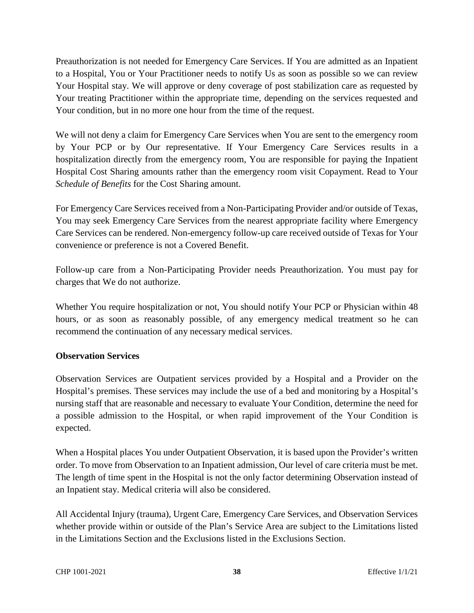Preauthorization is not needed for Emergency Care Services. If You are admitted as an Inpatient to a Hospital, You or Your Practitioner needs to notify Us as soon as possible so we can review Your Hospital stay. We will approve or deny coverage of post stabilization care as requested by Your treating Practitioner within the appropriate time, depending on the services requested and Your condition, but in no more one hour from the time of the request.

We will not deny a claim for Emergency Care Services when You are sent to the emergency room by Your PCP or by Our representative. If Your Emergency Care Services results in a hospitalization directly from the emergency room, You are responsible for paying the Inpatient Hospital Cost Sharing amounts rather than the emergency room visit Copayment. Read to Your *Schedule of Benefits* for the Cost Sharing amount.

For Emergency Care Services received from a Non-Participating Provider and/or outside of Texas, You may seek Emergency Care Services from the nearest appropriate facility where Emergency Care Services can be rendered. Non-emergency follow-up care received outside of Texas for Your convenience or preference is not a Covered Benefit.

Follow-up care from a Non-Participating Provider needs Preauthorization. You must pay for charges that We do not authorize.

Whether You require hospitalization or not, You should notify Your PCP or Physician within 48 hours, or as soon as reasonably possible, of any emergency medical treatment so he can recommend the continuation of any necessary medical services.

### **Observation Services**

Observation Services are Outpatient services provided by a Hospital and a Provider on the Hospital's premises. These services may include the use of a bed and monitoring by a Hospital's nursing staff that are reasonable and necessary to evaluate Your Condition, determine the need for a possible admission to the Hospital, or when rapid improvement of the Your Condition is expected.

When a Hospital places You under Outpatient Observation, it is based upon the Provider's written order. To move from Observation to an Inpatient admission, Our level of care criteria must be met. The length of time spent in the Hospital is not the only factor determining Observation instead of an Inpatient stay. Medical criteria will also be considered.

All Accidental Injury (trauma), Urgent Care, Emergency Care Services, and Observation Services whether provide within or outside of the Plan's Service Area are subject to the Limitations listed in the Limitations Section and the Exclusions listed in the Exclusions Section.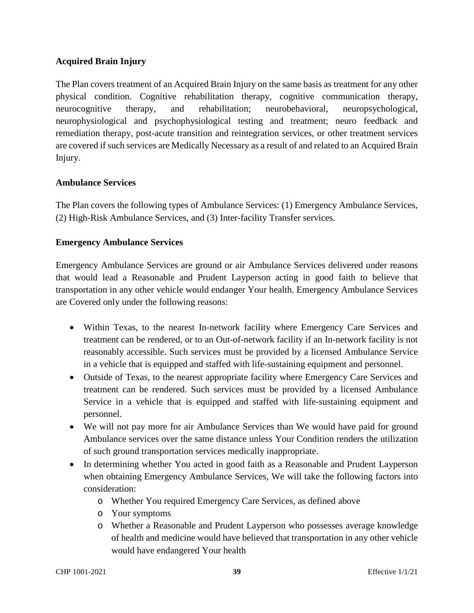### **Acquired Brain Injury**

The Plan covers treatment of an Acquired Brain Injury on the same basis as treatment for any other physical condition. Cognitive rehabilitation therapy, cognitive communication therapy, neurocognitive therapy, and rehabilitation; neurobehavioral, neuropsychological, neurophysiological and psychophysiological testing and treatment; neuro feedback and remediation therapy, post-acute transition and reintegration services, or other treatment services are covered if such services are Medically Necessary as a result of and related to an Acquired Brain Injury.

#### **Ambulance Services**

The Plan covers the following types of Ambulance Services: (1) Emergency Ambulance Services, (2) High-Risk Ambulance Services, and (3) Inter-facility Transfer services.

#### **Emergency Ambulance Services**

Emergency Ambulance Services are ground or air Ambulance Services delivered under reasons that would lead a Reasonable and Prudent Layperson acting in good faith to believe that transportation in any other vehicle would endanger Your health. Emergency Ambulance Services are Covered only under the following reasons:

- Within Texas, to the nearest In-network facility where Emergency Care Services and treatment can be rendered, or to an Out-of-network facility if an In-network facility is not reasonably accessible. Such services must be provided by a licensed Ambulance Service in a vehicle that is equipped and staffed with life-sustaining equipment and personnel.
- Outside of Texas, to the nearest appropriate facility where Emergency Care Services and treatment can be rendered. Such services must be provided by a licensed Ambulance Service in a vehicle that is equipped and staffed with life-sustaining equipment and personnel.
- We will not pay more for air Ambulance Services than We would have paid for ground Ambulance services over the same distance unless Your Condition renders the utilization of such ground transportation services medically inappropriate.
- In determining whether You acted in good faith as a Reasonable and Prudent Layperson when obtaining Emergency Ambulance Services, We will take the following factors into consideration:
	- o Whether You required Emergency Care Services, as defined above
	- o Your symptoms
	- o Whether a Reasonable and Prudent Layperson who possesses average knowledge of health and medicine would have believed that transportation in any other vehicle would have endangered Your health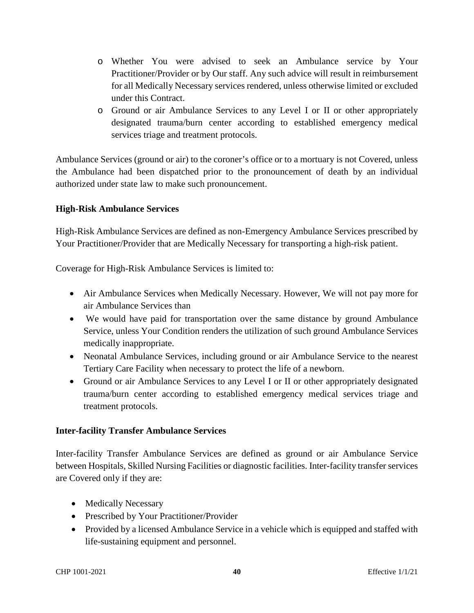- o Whether You were advised to seek an Ambulance service by Your Practitioner/Provider or by Our staff. Any such advice will result in reimbursement for all Medically Necessary services rendered, unless otherwise limited or excluded under this Contract.
- o Ground or air Ambulance Services to any Level I or II or other appropriately designated trauma/burn center according to established emergency medical services triage and treatment protocols.

Ambulance Services (ground or air) to the coroner's office or to a mortuary is not Covered, unless the Ambulance had been dispatched prior to the pronouncement of death by an individual authorized under state law to make such pronouncement.

### **High-Risk Ambulance Services**

High-Risk Ambulance Services are defined as non-Emergency Ambulance Services prescribed by Your Practitioner/Provider that are Medically Necessary for transporting a high-risk patient.

Coverage for High-Risk Ambulance Services is limited to:

- Air Ambulance Services when Medically Necessary. However, We will not pay more for air Ambulance Services than
- We would have paid for transportation over the same distance by ground Ambulance Service, unless Your Condition renders the utilization of such ground Ambulance Services medically inappropriate.
- Neonatal Ambulance Services, including ground or air Ambulance Service to the nearest Tertiary Care Facility when necessary to protect the life of a newborn.
- Ground or air Ambulance Services to any Level I or II or other appropriately designated trauma/burn center according to established emergency medical services triage and treatment protocols.

### **Inter-facility Transfer Ambulance Services**

Inter-facility Transfer Ambulance Services are defined as ground or air Ambulance Service between Hospitals, Skilled Nursing Facilities or diagnostic facilities. Inter-facility transfer services are Covered only if they are:

- Medically Necessary
- Prescribed by Your Practitioner/Provider
- Provided by a licensed Ambulance Service in a vehicle which is equipped and staffed with life-sustaining equipment and personnel.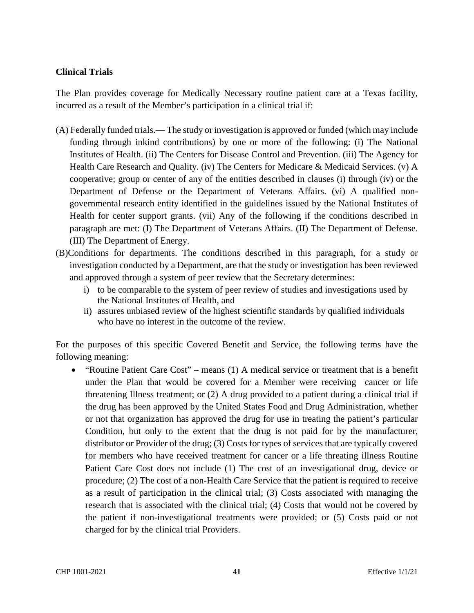### **Clinical Trials**

The Plan provides coverage for Medically Necessary routine patient care at a Texas facility, incurred as a result of the Member's participation in a clinical trial if:

- (A) Federally funded trials.— The study or investigation is approved or funded (which may include funding through inkind contributions) by one or more of the following: (i) The National Institutes of Health. (ii) The Centers for Disease Control and Prevention. (iii) The Agency for Health Care Research and Quality. (iv) The Centers for Medicare & Medicaid Services. (v) A cooperative; group or center of any of the entities described in clauses (i) through (iv) or the Department of Defense or the Department of Veterans Affairs. (vi) A qualified nongovernmental research entity identified in the guidelines issued by the National Institutes of Health for center support grants. (vii) Any of the following if the conditions described in paragraph are met: (I) The Department of Veterans Affairs. (II) The Department of Defense. (III) The Department of Energy.
- (B)Conditions for departments. The conditions described in this paragraph, for a study or investigation conducted by a Department, are that the study or investigation has been reviewed and approved through a system of peer review that the Secretary determines:
	- i) to be comparable to the system of peer review of studies and investigations used by the National Institutes of Health, and
	- ii) assures unbiased review of the highest scientific standards by qualified individuals who have no interest in the outcome of the review.

For the purposes of this specific Covered Benefit and Service, the following terms have the following meaning:

 "Routine Patient Care Cost" – means (1) A medical service or treatment that is a benefit under the Plan that would be covered for a Member were receiving cancer or life threatening Illness treatment; or (2) A drug provided to a patient during a clinical trial if the drug has been approved by the United States Food and Drug Administration, whether or not that organization has approved the drug for use in treating the patient's particular Condition, but only to the extent that the drug is not paid for by the manufacturer, distributor or Provider of the drug; (3) Costs for types of services that are typically covered for members who have received treatment for cancer or a life threating illness Routine Patient Care Cost does not include (1) The cost of an investigational drug, device or procedure; (2) The cost of a non-Health Care Service that the patient is required to receive as a result of participation in the clinical trial; (3) Costs associated with managing the research that is associated with the clinical trial; (4) Costs that would not be covered by the patient if non-investigational treatments were provided; or (5) Costs paid or not charged for by the clinical trial Providers.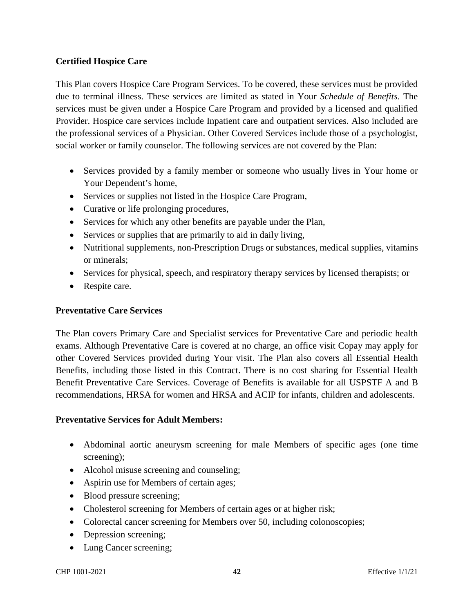### **Certified Hospice Care**

This Plan covers Hospice Care Program Services. To be covered, these services must be provided due to terminal illness. These services are limited as stated in Your *Schedule of Benefits*. The services must be given under a Hospice Care Program and provided by a licensed and qualified Provider. Hospice care services include Inpatient care and outpatient services. Also included are the professional services of a Physician. Other Covered Services include those of a psychologist, social worker or family counselor. The following services are not covered by the Plan:

- Services provided by a family member or someone who usually lives in Your home or Your Dependent's home,
- Services or supplies not listed in the Hospice Care Program,
- Curative or life prolonging procedures,
- Services for which any other benefits are payable under the Plan,
- Services or supplies that are primarily to aid in daily living,
- Nutritional supplements, non-Prescription Drugs or substances, medical supplies, vitamins or minerals;
- Services for physical, speech, and respiratory therapy services by licensed therapists; or
- Respite care.

### **Preventative Care Services**

The Plan covers Primary Care and Specialist services for Preventative Care and periodic health exams. Although Preventative Care is covered at no charge, an office visit Copay may apply for other Covered Services provided during Your visit. The Plan also covers all Essential Health Benefits, including those listed in this Contract. There is no cost sharing for Essential Health Benefit Preventative Care Services. Coverage of Benefits is available for all USPSTF A and B recommendations, HRSA for women and HRSA and ACIP for infants, children and adolescents.

#### **Preventative Services for Adult Members:**

- Abdominal aortic aneurysm screening for male Members of specific ages (one time screening);
- Alcohol misuse screening and counseling;
- Aspirin use for Members of certain ages;
- Blood pressure screening;
- Cholesterol screening for Members of certain ages or at higher risk;
- Colorectal cancer screening for Members over 50, including colonoscopies;
- Depression screening;
- Lung Cancer screening;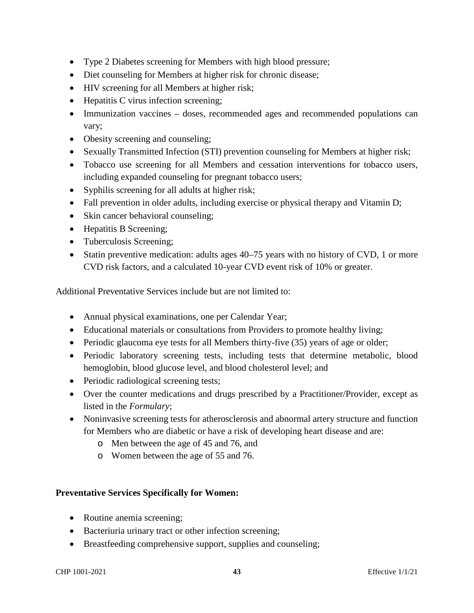- Type 2 Diabetes screening for Members with high blood pressure;
- Diet counseling for Members at higher risk for chronic disease;
- HIV screening for all Members at higher risk;
- Hepatitis C virus infection screening;
- Immunization vaccines doses, recommended ages and recommended populations can vary;
- Obesity screening and counseling;
- Sexually Transmitted Infection (STI) prevention counseling for Members at higher risk;
- Tobacco use screening for all Members and cessation interventions for tobacco users, including expanded counseling for pregnant tobacco users;
- Syphilis screening for all adults at higher risk;
- Fall prevention in older adults, including exercise or physical therapy and Vitamin D;
- Skin cancer behavioral counseling;
- Hepatitis B Screening;
- Tuberculosis Screening;
- Statin preventive medication: adults ages 40–75 years with no history of CVD, 1 or more CVD risk factors, and a calculated 10-year CVD event risk of 10% or greater.

Additional Preventative Services include but are not limited to:

- Annual physical examinations, one per Calendar Year;
- Educational materials or consultations from Providers to promote healthy living;
- Periodic glaucoma eye tests for all Members thirty-five (35) years of age or older;
- Periodic laboratory screening tests, including tests that determine metabolic, blood hemoglobin, blood glucose level, and blood cholesterol level; and
- Periodic radiological screening tests;
- Over the counter medications and drugs prescribed by a Practitioner/Provider, except as listed in the *Formulary*;
- Noninvasive screening tests for atherosclerosis and abnormal artery structure and function for Members who are diabetic or have a risk of developing heart disease and are:
	- o Men between the age of 45 and 76, and
	- o Women between the age of 55 and 76.

### **Preventative Services Specifically for Women:**

- Routine anemia screening;
- Bacteriuria urinary tract or other infection screening;
- Breastfeeding comprehensive support, supplies and counseling;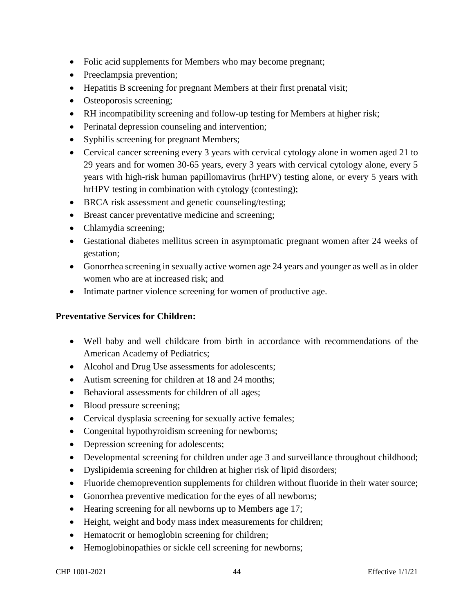- Folic acid supplements for Members who may become pregnant;
- Preeclampsia prevention;
- Hepatitis B screening for pregnant Members at their first prenatal visit;
- Osteoporosis screening;
- RH incompatibility screening and follow-up testing for Members at higher risk;
- Perinatal depression counseling and intervention;
- Syphilis screening for pregnant Members;
- Cervical cancer screening every 3 years with cervical cytology alone in women aged 21 to 29 years and for women 30-65 years, every 3 years with cervical cytology alone, every 5 years with high-risk human papillomavirus (hrHPV) testing alone, or every 5 years with hrHPV testing in combination with cytology (contesting);
- BRCA risk assessment and genetic counseling/testing;
- Breast cancer preventative medicine and screening;
- Chlamydia screening;
- Gestational diabetes mellitus screen in asymptomatic pregnant women after 24 weeks of gestation;
- Gonorrhea screening in sexually active women age 24 years and younger as well as in older women who are at increased risk; and
- Intimate partner violence screening for women of productive age.

### **Preventative Services for Children:**

- Well baby and well childcare from birth in accordance with recommendations of the American Academy of Pediatrics;
- Alcohol and Drug Use assessments for adolescents;
- Autism screening for children at 18 and 24 months;
- Behavioral assessments for children of all ages;
- Blood pressure screening;
- Cervical dysplasia screening for sexually active females;
- Congenital hypothyroidism screening for newborns;
- Depression screening for adolescents;
- Developmental screening for children under age 3 and surveillance throughout childhood;
- Dyslipidemia screening for children at higher risk of lipid disorders;
- Fluoride chemoprevention supplements for children without fluoride in their water source;
- Gonorrhea preventive medication for the eyes of all newborns;
- Hearing screening for all newborns up to Members age 17;
- Height, weight and body mass index measurements for children;
- Hematocrit or hemoglobin screening for children;
- Hemoglobinopathies or sickle cell screening for newborns;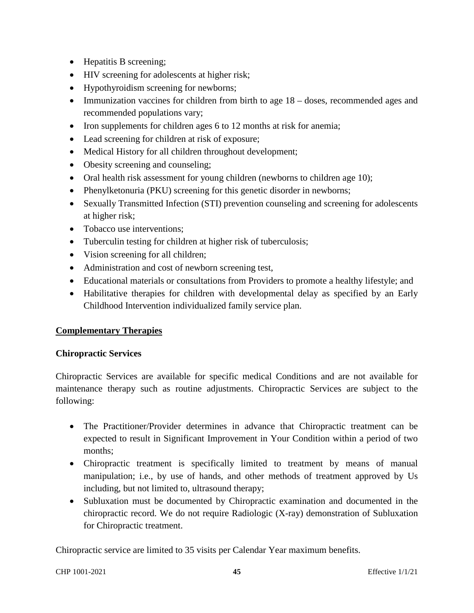- Hepatitis B screening;
- HIV screening for adolescents at higher risk;
- Hypothyroidism screening for newborns;
- Immunization vaccines for children from birth to age  $18 -$  doses, recommended ages and recommended populations vary;
- Iron supplements for children ages 6 to 12 months at risk for anemia;
- Lead screening for children at risk of exposure;
- Medical History for all children throughout development;
- Obesity screening and counseling;
- Oral health risk assessment for young children (newborns to children age 10);
- Phenylketonuria (PKU) screening for this genetic disorder in newborns;
- Sexually Transmitted Infection (STI) prevention counseling and screening for adolescents at higher risk;
- Tobacco use interventions:
- Tuberculin testing for children at higher risk of tuberculosis;
- Vision screening for all children;
- Administration and cost of newborn screening test,
- Educational materials or consultations from Providers to promote a healthy lifestyle; and
- Habilitative therapies for children with developmental delay as specified by an Early Childhood Intervention individualized family service plan.

### **Complementary Therapies**

#### **Chiropractic Services**

Chiropractic Services are available for specific medical Conditions and are not available for maintenance therapy such as routine adjustments. Chiropractic Services are subject to the following:

- The Practitioner/Provider determines in advance that Chiropractic treatment can be expected to result in Significant Improvement in Your Condition within a period of two months;
- Chiropractic treatment is specifically limited to treatment by means of manual manipulation; i.e., by use of hands, and other methods of treatment approved by Us including, but not limited to, ultrasound therapy;
- Subluxation must be documented by Chiropractic examination and documented in the chiropractic record. We do not require Radiologic (X-ray) demonstration of Subluxation for Chiropractic treatment.

Chiropractic service are limited to 35 visits per Calendar Year maximum benefits.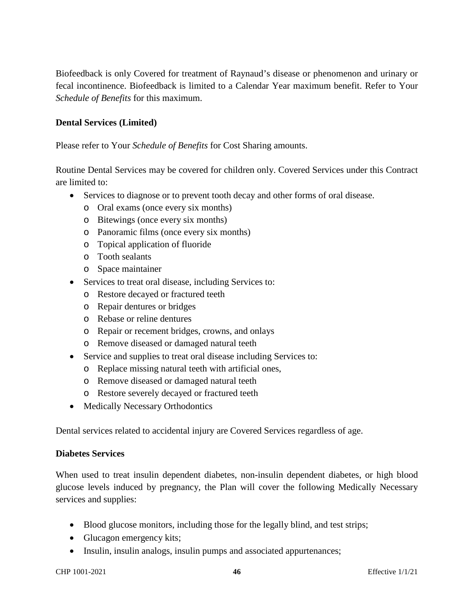Biofeedback is only Covered for treatment of Raynaud's disease or phenomenon and urinary or fecal incontinence. Biofeedback is limited to a Calendar Year maximum benefit. Refer to Your *Schedule of Benefits* for this maximum.

### **Dental Services (Limited)**

Please refer to Your *Schedule of Benefits* for Cost Sharing amounts.

Routine Dental Services may be covered for children only. Covered Services under this Contract are limited to:

- Services to diagnose or to prevent tooth decay and other forms of oral disease.
	- o Oral exams (once every six months)
	- o Bitewings (once every six months)
	- o Panoramic films (once every six months)
	- o Topical application of fluoride
	- o Tooth sealants
	- o Space maintainer
- Services to treat oral disease, including Services to:
	- o Restore decayed or fractured teeth
	- o Repair dentures or bridges
	- o Rebase or reline dentures
	- o Repair or recement bridges, crowns, and onlays
	- o Remove diseased or damaged natural teeth
- Service and supplies to treat oral disease including Services to:
	- o Replace missing natural teeth with artificial ones,
	- o Remove diseased or damaged natural teeth
	- o Restore severely decayed or fractured teeth
- Medically Necessary Orthodontics

Dental services related to accidental injury are Covered Services regardless of age.

#### **Diabetes Services**

When used to treat insulin dependent diabetes, non-insulin dependent diabetes, or high blood glucose levels induced by pregnancy, the Plan will cover the following Medically Necessary services and supplies:

- Blood glucose monitors, including those for the legally blind, and test strips;
- Glucagon emergency kits;
- Insulin, insulin analogs, insulin pumps and associated appurtenances;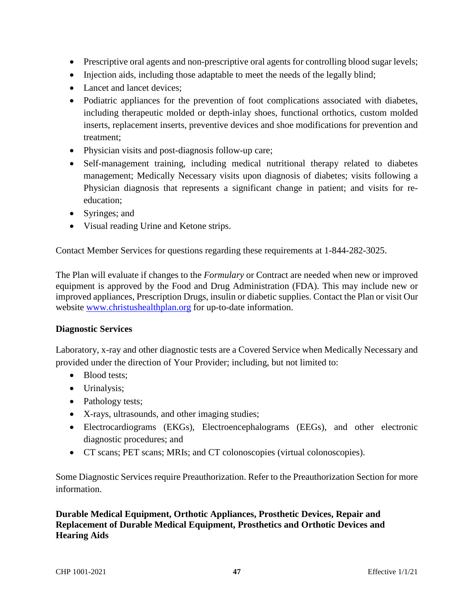- Prescriptive oral agents and non-prescriptive oral agents for controlling blood sugar levels;
- Injection aids, including those adaptable to meet the needs of the legally blind;
- Lancet and lancet devices:
- Podiatric appliances for the prevention of foot complications associated with diabetes, including therapeutic molded or depth-inlay shoes, functional orthotics, custom molded inserts, replacement inserts, preventive devices and shoe modifications for prevention and treatment;
- Physician visits and post-diagnosis follow-up care;
- Self-management training, including medical nutritional therapy related to diabetes management; Medically Necessary visits upon diagnosis of diabetes; visits following a Physician diagnosis that represents a significant change in patient; and visits for reeducation;
- Syringes; and
- Visual reading Urine and Ketone strips.

Contact Member Services for questions regarding these requirements at 1-844-282-3025.

The Plan will evaluate if changes to the *Formulary* or Contract are needed when new or improved equipment is approved by the Food and Drug Administration (FDA). This may include new or improved appliances, Prescription Drugs, insulin or diabetic supplies. Contact the Plan or visit Our website www.christushealthplan.org for up-to-date information.

#### **Diagnostic Services**

Laboratory, x-ray and other diagnostic tests are a Covered Service when Medically Necessary and provided under the direction of Your Provider; including, but not limited to:

- Blood tests;
- Urinalysis;
- Pathology tests;
- X-rays, ultrasounds, and other imaging studies;
- Electrocardiograms (EKGs), Electroencephalograms (EEGs), and other electronic diagnostic procedures; and
- CT scans; PET scans; MRIs; and CT colonoscopies (virtual colonoscopies).

Some Diagnostic Services require Preauthorization. Refer to the Preauthorization Section for more information.

**Durable Medical Equipment, Orthotic Appliances, Prosthetic Devices, Repair and Replacement of Durable Medical Equipment, Prosthetics and Orthotic Devices and Hearing Aids**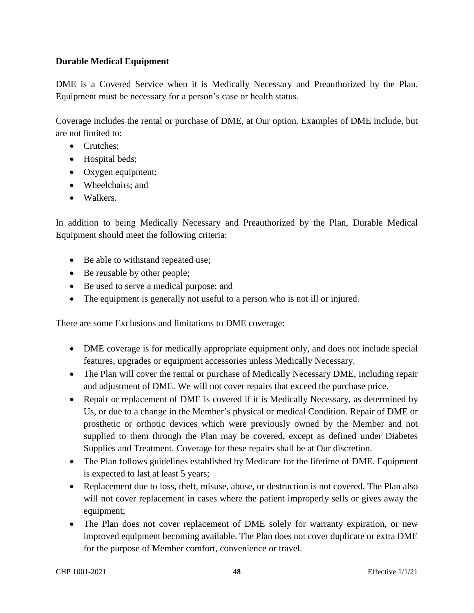### **Durable Medical Equipment**

DME is a Covered Service when it is Medically Necessary and Preauthorized by the Plan. Equipment must be necessary for a person's case or health status.

Coverage includes the rental or purchase of DME, at Our option. Examples of DME include, but are not limited to:

- Crutches:
- Hospital beds;
- Oxygen equipment;
- Wheelchairs; and
- Walkers.

In addition to being Medically Necessary and Preauthorized by the Plan, Durable Medical Equipment should meet the following criteria:

- Be able to withstand repeated use;
- Be reusable by other people;
- Be used to serve a medical purpose; and
- The equipment is generally not useful to a person who is not ill or injured.

There are some Exclusions and limitations to DME coverage:

- DME coverage is for medically appropriate equipment only, and does not include special features, upgrades or equipment accessories unless Medically Necessary.
- The Plan will cover the rental or purchase of Medically Necessary DME, including repair and adjustment of DME. We will not cover repairs that exceed the purchase price.
- Repair or replacement of DME is covered if it is Medically Necessary, as determined by Us, or due to a change in the Member's physical or medical Condition. Repair of DME or prosthetic or orthotic devices which were previously owned by the Member and not supplied to them through the Plan may be covered, except as defined under Diabetes Supplies and Treatment. Coverage for these repairs shall be at Our discretion.
- The Plan follows guidelines established by Medicare for the lifetime of DME. Equipment is expected to last at least 5 years;
- Replacement due to loss, theft, misuse, abuse, or destruction is not covered. The Plan also will not cover replacement in cases where the patient improperly sells or gives away the equipment;
- The Plan does not cover replacement of DME solely for warranty expiration, or new improved equipment becoming available. The Plan does not cover duplicate or extra DME for the purpose of Member comfort, convenience or travel.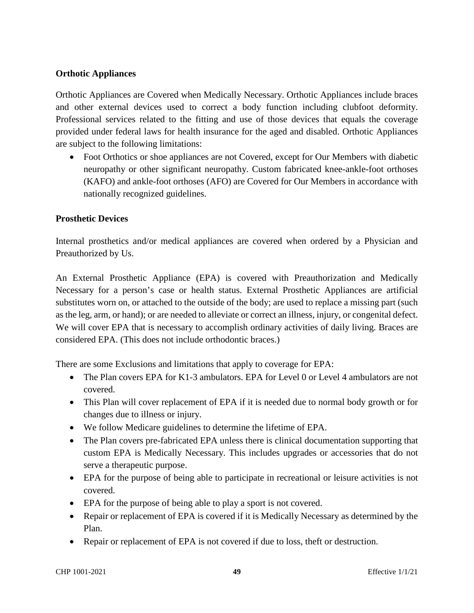### **Orthotic Appliances**

Orthotic Appliances are Covered when Medically Necessary. Orthotic Appliances include braces and other external devices used to correct a body function including clubfoot deformity. Professional services related to the fitting and use of those devices that equals the coverage provided under federal laws for health insurance for the aged and disabled. Orthotic Appliances are subject to the following limitations:

• Foot Orthotics or shoe appliances are not Covered, except for Our Members with diabetic neuropathy or other significant neuropathy. Custom fabricated knee-ankle-foot orthoses (KAFO) and ankle-foot orthoses (AFO) are Covered for Our Members in accordance with nationally recognized guidelines.

#### **Prosthetic Devices**

Internal prosthetics and/or medical appliances are covered when ordered by a Physician and Preauthorized by Us.

An External Prosthetic Appliance (EPA) is covered with Preauthorization and Medically Necessary for a person's case or health status. External Prosthetic Appliances are artificial substitutes worn on, or attached to the outside of the body; are used to replace a missing part (such as the leg, arm, or hand); or are needed to alleviate or correct an illness, injury, or congenital defect. We will cover EPA that is necessary to accomplish ordinary activities of daily living. Braces are considered EPA. (This does not include orthodontic braces.)

There are some Exclusions and limitations that apply to coverage for EPA:

- The Plan covers EPA for K1-3 ambulators. EPA for Level 0 or Level 4 ambulators are not covered.
- This Plan will cover replacement of EPA if it is needed due to normal body growth or for changes due to illness or injury.
- We follow Medicare guidelines to determine the lifetime of EPA.
- The Plan covers pre-fabricated EPA unless there is clinical documentation supporting that custom EPA is Medically Necessary. This includes upgrades or accessories that do not serve a therapeutic purpose.
- EPA for the purpose of being able to participate in recreational or leisure activities is not covered.
- EPA for the purpose of being able to play a sport is not covered.
- Repair or replacement of EPA is covered if it is Medically Necessary as determined by the Plan.
- Repair or replacement of EPA is not covered if due to loss, theft or destruction.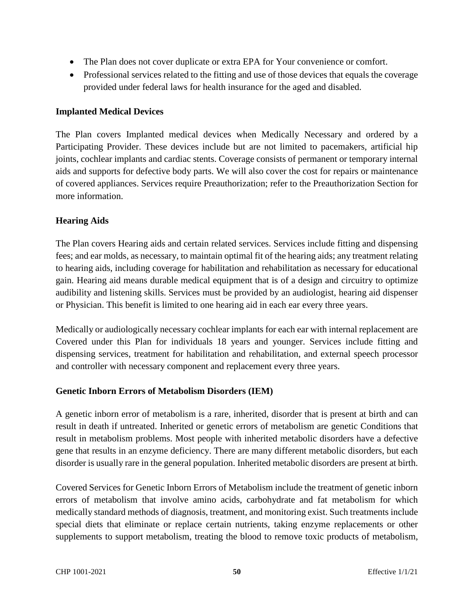- The Plan does not cover duplicate or extra EPA for Your convenience or comfort.
- Professional services related to the fitting and use of those devices that equals the coverage provided under federal laws for health insurance for the aged and disabled.

#### **Implanted Medical Devices**

The Plan covers Implanted medical devices when Medically Necessary and ordered by a Participating Provider. These devices include but are not limited to pacemakers, artificial hip joints, cochlear implants and cardiac stents. Coverage consists of permanent or temporary internal aids and supports for defective body parts. We will also cover the cost for repairs or maintenance of covered appliances. Services require Preauthorization; refer to the Preauthorization Section for more information.

#### **Hearing Aids**

The Plan covers Hearing aids and certain related services. Services include fitting and dispensing fees; and ear molds, as necessary, to maintain optimal fit of the hearing aids; any treatment relating to hearing aids, including coverage for habilitation and rehabilitation as necessary for educational gain. Hearing aid means durable medical equipment that is of a design and circuitry to optimize audibility and listening skills. Services must be provided by an audiologist, hearing aid dispenser or Physician. This benefit is limited to one hearing aid in each ear every three years.

Medically or audiologically necessary cochlear implants for each ear with internal replacement are Covered under this Plan for individuals 18 years and younger. Services include fitting and dispensing services, treatment for habilitation and rehabilitation, and external speech processor and controller with necessary component and replacement every three years.

### **Genetic Inborn Errors of Metabolism Disorders (IEM)**

A genetic inborn error of metabolism is a rare, inherited, disorder that is present at birth and can result in death if untreated. Inherited or genetic errors of metabolism are genetic Conditions that result in metabolism problems. Most people with inherited metabolic disorders have a defective gene that results in an enzyme deficiency. There are many different metabolic disorders, but each disorder is usually rare in the general population. Inherited metabolic disorders are present at birth.

Covered Services for Genetic Inborn Errors of Metabolism include the treatment of genetic inborn errors of metabolism that involve amino acids, carbohydrate and fat metabolism for which medically standard methods of diagnosis, treatment, and monitoring exist. Such treatments include special diets that eliminate or replace certain nutrients, taking enzyme replacements or other supplements to support metabolism, treating the blood to remove toxic products of metabolism,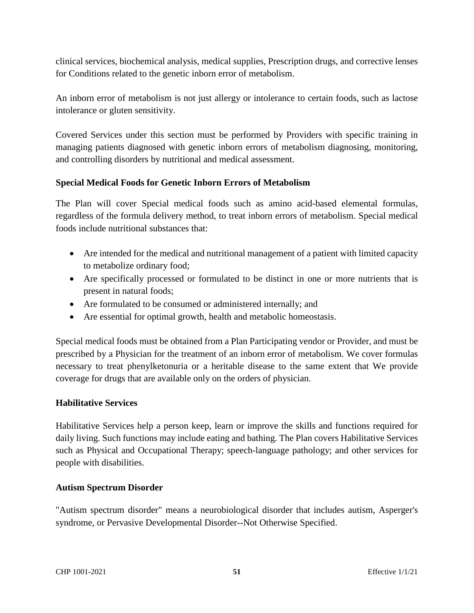clinical services, biochemical analysis, medical supplies, Prescription drugs, and corrective lenses for Conditions related to the genetic inborn error of metabolism.

An inborn error of metabolism is not just allergy or intolerance to certain foods, such as lactose intolerance or gluten sensitivity.

Covered Services under this section must be performed by Providers with specific training in managing patients diagnosed with genetic inborn errors of metabolism diagnosing, monitoring, and controlling disorders by nutritional and medical assessment.

### **Special Medical Foods for Genetic Inborn Errors of Metabolism**

The Plan will cover Special medical foods such as amino acid-based elemental formulas, regardless of the formula delivery method, to treat inborn errors of metabolism. Special medical foods include nutritional substances that:

- Are intended for the medical and nutritional management of a patient with limited capacity to metabolize ordinary food;
- Are specifically processed or formulated to be distinct in one or more nutrients that is present in natural foods;
- Are formulated to be consumed or administered internally; and
- Are essential for optimal growth, health and metabolic homeostasis.

Special medical foods must be obtained from a Plan Participating vendor or Provider, and must be prescribed by a Physician for the treatment of an inborn error of metabolism. We cover formulas necessary to treat phenylketonuria or a heritable disease to the same extent that We provide coverage for drugs that are available only on the orders of physician.

### **Habilitative Services**

Habilitative Services help a person keep, learn or improve the skills and functions required for daily living. Such functions may include eating and bathing. The Plan covers Habilitative Services such as Physical and Occupational Therapy; speech-language pathology; and other services for people with disabilities.

### **Autism Spectrum Disorder**

"Autism spectrum disorder" means a neurobiological disorder that includes autism, Asperger's syndrome, or Pervasive Developmental Disorder--Not Otherwise Specified.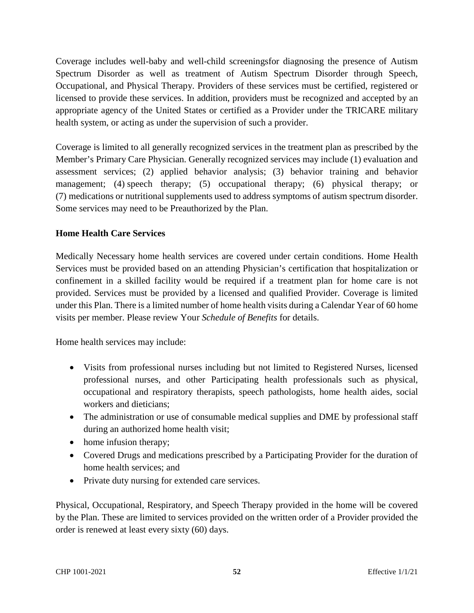Coverage includes well-baby and well-child screeningsfor diagnosing the presence of Autism Spectrum Disorder as well as treatment of Autism Spectrum Disorder through Speech, Occupational, and Physical Therapy. Providers of these services must be certified, registered or licensed to provide these services. In addition, providers must be recognized and accepted by an appropriate agency of the United States or certified as a Provider under the TRICARE military health system, or acting as under the supervision of such a provider.

Coverage is limited to all generally recognized services in the treatment plan as prescribed by the Member's Primary Care Physician. Generally recognized services may include (1) evaluation and assessment services; (2) applied behavior analysis; (3) behavior training and behavior management; (4) speech therapy; (5) occupational therapy; (6) physical therapy; or (7) medications or nutritional supplements used to address symptoms of autism spectrum disorder. Some services may need to be Preauthorized by the Plan.

# **Home Health Care Services**

Medically Necessary home health services are covered under certain conditions. Home Health Services must be provided based on an attending Physician's certification that hospitalization or confinement in a skilled facility would be required if a treatment plan for home care is not provided. Services must be provided by a licensed and qualified Provider. Coverage is limited under this Plan. There is a limited number of home health visits during a Calendar Year of 60 home visits per member. Please review Your *Schedule of Benefits* for details.

Home health services may include:

- Visits from professional nurses including but not limited to Registered Nurses, licensed professional nurses, and other Participating health professionals such as physical, occupational and respiratory therapists, speech pathologists, home health aides, social workers and dieticians;
- The administration or use of consumable medical supplies and DME by professional staff during an authorized home health visit;
- home infusion therapy;
- Covered Drugs and medications prescribed by a Participating Provider for the duration of home health services; and
- Private duty nursing for extended care services.

Physical, Occupational, Respiratory, and Speech Therapy provided in the home will be covered by the Plan. These are limited to services provided on the written order of a Provider provided the order is renewed at least every sixty (60) days.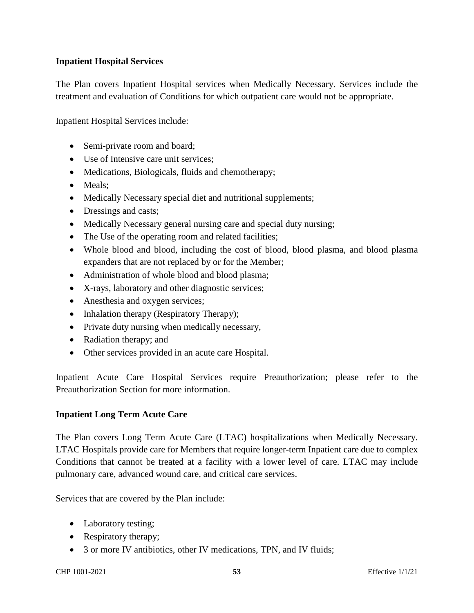### **Inpatient Hospital Services**

The Plan covers Inpatient Hospital services when Medically Necessary. Services include the treatment and evaluation of Conditions for which outpatient care would not be appropriate.

Inpatient Hospital Services include:

- Semi-private room and board;
- Use of Intensive care unit services:
- Medications, Biologicals, fluids and chemotherapy;
- Meals:
- Medically Necessary special diet and nutritional supplements;
- Dressings and casts;
- Medically Necessary general nursing care and special duty nursing;
- The Use of the operating room and related facilities;
- Whole blood and blood, including the cost of blood, blood plasma, and blood plasma expanders that are not replaced by or for the Member;
- Administration of whole blood and blood plasma;
- X-rays, laboratory and other diagnostic services;
- Anesthesia and oxygen services;
- Inhalation therapy (Respiratory Therapy);
- Private duty nursing when medically necessary,
- Radiation therapy; and
- Other services provided in an acute care Hospital.

Inpatient Acute Care Hospital Services require Preauthorization; please refer to the Preauthorization Section for more information.

#### **Inpatient Long Term Acute Care**

The Plan covers Long Term Acute Care (LTAC) hospitalizations when Medically Necessary. LTAC Hospitals provide care for Members that require longer-term Inpatient care due to complex Conditions that cannot be treated at a facility with a lower level of care. LTAC may include pulmonary care, advanced wound care, and critical care services.

Services that are covered by the Plan include:

- Laboratory testing;
- Respiratory therapy;
- 3 or more IV antibiotics, other IV medications, TPN, and IV fluids;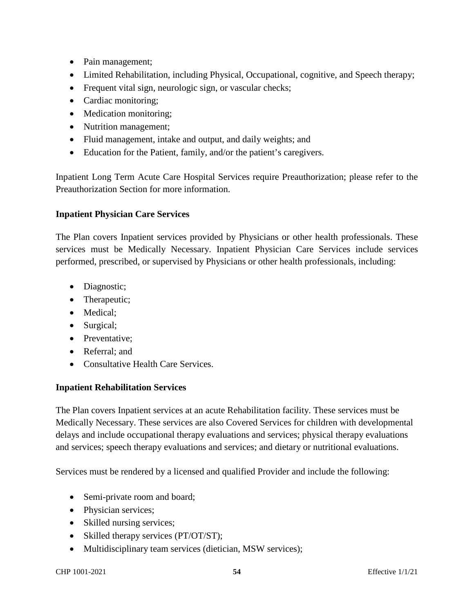- Pain management;
- Limited Rehabilitation, including Physical, Occupational, cognitive, and Speech therapy;
- Frequent vital sign, neurologic sign, or vascular checks;
- Cardiac monitoring;
- Medication monitoring;
- Nutrition management;
- Fluid management, intake and output, and daily weights; and
- Education for the Patient, family, and/or the patient's caregivers.

Inpatient Long Term Acute Care Hospital Services require Preauthorization; please refer to the Preauthorization Section for more information.

#### **Inpatient Physician Care Services**

The Plan covers Inpatient services provided by Physicians or other health professionals. These services must be Medically Necessary. Inpatient Physician Care Services include services performed, prescribed, or supervised by Physicians or other health professionals, including:

- Diagnostic;
- Therapeutic;
- Medical;
- Surgical;
- Preventative:
- Referral: and
- Consultative Health Care Services.

### **Inpatient Rehabilitation Services**

The Plan covers Inpatient services at an acute Rehabilitation facility. These services must be Medically Necessary. These services are also Covered Services for children with developmental delays and include occupational therapy evaluations and services; physical therapy evaluations and services; speech therapy evaluations and services; and dietary or nutritional evaluations.

Services must be rendered by a licensed and qualified Provider and include the following:

- Semi-private room and board;
- Physician services;
- Skilled nursing services;
- Skilled therapy services (PT/OT/ST);
- Multidisciplinary team services (dietician, MSW services);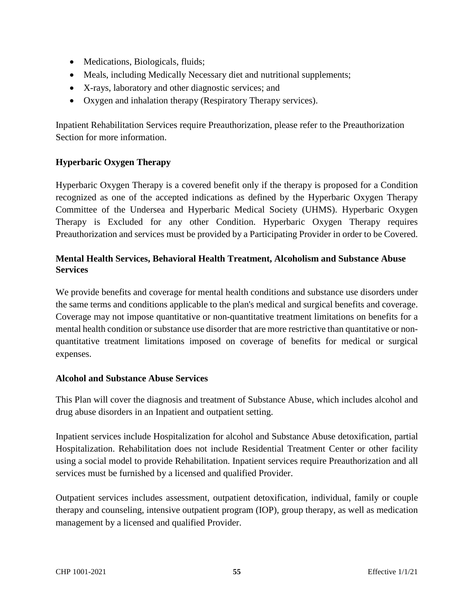- Medications, Biologicals, fluids;
- Meals, including Medically Necessary diet and nutritional supplements;
- X-rays, laboratory and other diagnostic services; and
- Oxygen and inhalation therapy (Respiratory Therapy services).

Inpatient Rehabilitation Services require Preauthorization, please refer to the Preauthorization Section for more information.

# **Hyperbaric Oxygen Therapy**

Hyperbaric Oxygen Therapy is a covered benefit only if the therapy is proposed for a Condition recognized as one of the accepted indications as defined by the Hyperbaric Oxygen Therapy Committee of the Undersea and Hyperbaric Medical Society (UHMS). Hyperbaric Oxygen Therapy is Excluded for any other Condition. Hyperbaric Oxygen Therapy requires Preauthorization and services must be provided by a Participating Provider in order to be Covered.

### **Mental Health Services, Behavioral Health Treatment, Alcoholism and Substance Abuse Services**

We provide benefits and coverage for mental health conditions and substance use disorders under the same terms and conditions applicable to the plan's medical and surgical benefits and coverage. Coverage may not impose quantitative or non-quantitative treatment limitations on benefits for a mental health condition or substance use disorder that are more restrictive than quantitative or nonquantitative treatment limitations imposed on coverage of benefits for medical or surgical expenses.

### **Alcohol and Substance Abuse Services**

This Plan will cover the diagnosis and treatment of Substance Abuse, which includes alcohol and drug abuse disorders in an Inpatient and outpatient setting.

Inpatient services include Hospitalization for alcohol and Substance Abuse detoxification, partial Hospitalization. Rehabilitation does not include Residential Treatment Center or other facility using a social model to provide Rehabilitation. Inpatient services require Preauthorization and all services must be furnished by a licensed and qualified Provider.

Outpatient services includes assessment, outpatient detoxification, individual, family or couple therapy and counseling, intensive outpatient program (IOP), group therapy, as well as medication management by a licensed and qualified Provider.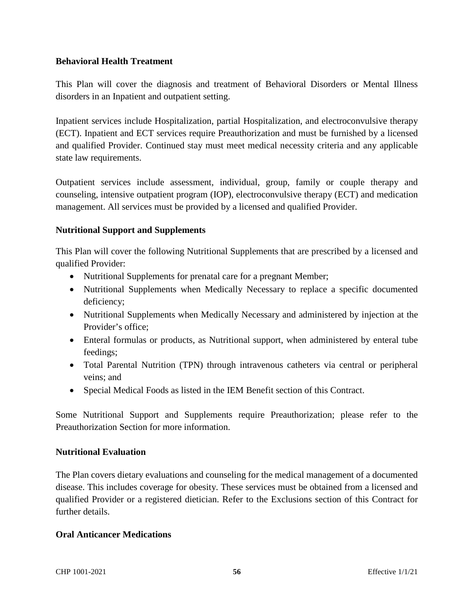#### **Behavioral Health Treatment**

This Plan will cover the diagnosis and treatment of Behavioral Disorders or Mental Illness disorders in an Inpatient and outpatient setting.

Inpatient services include Hospitalization, partial Hospitalization, and electroconvulsive therapy (ECT). Inpatient and ECT services require Preauthorization and must be furnished by a licensed and qualified Provider. Continued stay must meet medical necessity criteria and any applicable state law requirements.

Outpatient services include assessment, individual, group, family or couple therapy and counseling, intensive outpatient program (IOP), electroconvulsive therapy (ECT) and medication management. All services must be provided by a licensed and qualified Provider.

### **Nutritional Support and Supplements**

This Plan will cover the following Nutritional Supplements that are prescribed by a licensed and qualified Provider:

- Nutritional Supplements for prenatal care for a pregnant Member;
- Nutritional Supplements when Medically Necessary to replace a specific documented deficiency;
- Nutritional Supplements when Medically Necessary and administered by injection at the Provider's office;
- Enteral formulas or products, as Nutritional support, when administered by enteral tube feedings;
- Total Parental Nutrition (TPN) through intravenous catheters via central or peripheral veins; and
- Special Medical Foods as listed in the IEM Benefit section of this Contract.

Some Nutritional Support and Supplements require Preauthorization; please refer to the Preauthorization Section for more information.

#### **Nutritional Evaluation**

The Plan covers dietary evaluations and counseling for the medical management of a documented disease. This includes coverage for obesity. These services must be obtained from a licensed and qualified Provider or a registered dietician. Refer to the Exclusions section of this Contract for further details.

#### **Oral Anticancer Medications**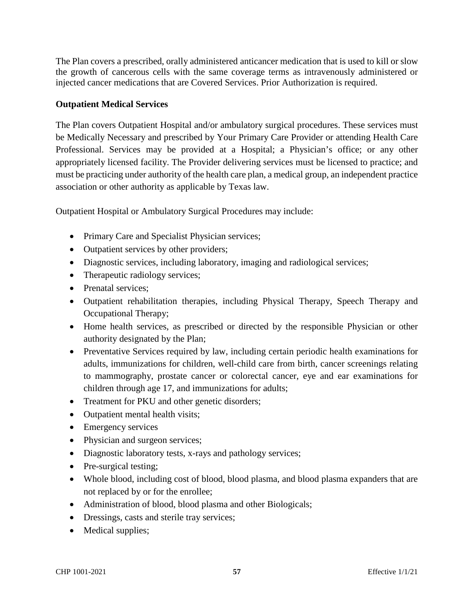The Plan covers a prescribed, orally administered anticancer medication that is used to kill or slow the growth of cancerous cells with the same coverage terms as intravenously administered or injected cancer medications that are Covered Services. Prior Authorization is required.

### **Outpatient Medical Services**

The Plan covers Outpatient Hospital and/or ambulatory surgical procedures. These services must be Medically Necessary and prescribed by Your Primary Care Provider or attending Health Care Professional. Services may be provided at a Hospital; a Physician's office; or any other appropriately licensed facility. The Provider delivering services must be licensed to practice; and must be practicing under authority of the health care plan, a medical group, an independent practice association or other authority as applicable by Texas law.

Outpatient Hospital or Ambulatory Surgical Procedures may include:

- Primary Care and Specialist Physician services;
- Outpatient services by other providers;
- Diagnostic services, including laboratory, imaging and radiological services;
- Therapeutic radiology services;
- Prenatal services:
- Outpatient rehabilitation therapies, including Physical Therapy, Speech Therapy and Occupational Therapy;
- Home health services, as prescribed or directed by the responsible Physician or other authority designated by the Plan;
- Preventative Services required by law, including certain periodic health examinations for adults, immunizations for children, well-child care from birth, cancer screenings relating to mammography, prostate cancer or colorectal cancer, eye and ear examinations for children through age 17, and immunizations for adults;
- Treatment for PKU and other genetic disorders;
- Outpatient mental health visits;
- Emergency services
- Physician and surgeon services;
- Diagnostic laboratory tests, x-rays and pathology services;
- Pre-surgical testing;
- Whole blood, including cost of blood, blood plasma, and blood plasma expanders that are not replaced by or for the enrollee;
- Administration of blood, blood plasma and other Biologicals;
- Dressings, casts and sterile tray services;
- Medical supplies;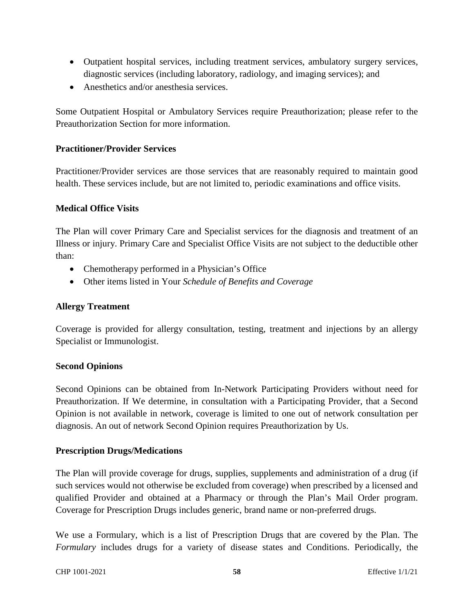- Outpatient hospital services, including treatment services, ambulatory surgery services, diagnostic services (including laboratory, radiology, and imaging services); and
- Anesthetics and/or anesthesia services.

Some Outpatient Hospital or Ambulatory Services require Preauthorization; please refer to the Preauthorization Section for more information.

### **Practitioner/Provider Services**

Practitioner/Provider services are those services that are reasonably required to maintain good health. These services include, but are not limited to, periodic examinations and office visits.

#### **Medical Office Visits**

The Plan will cover Primary Care and Specialist services for the diagnosis and treatment of an Illness or injury. Primary Care and Specialist Office Visits are not subject to the deductible other than:

- Chemotherapy performed in a Physician's Office
- Other items listed in Your *Schedule of Benefits and Coverage*

#### **Allergy Treatment**

Coverage is provided for allergy consultation, testing, treatment and injections by an allergy Specialist or Immunologist.

#### **Second Opinions**

Second Opinions can be obtained from In-Network Participating Providers without need for Preauthorization. If We determine, in consultation with a Participating Provider, that a Second Opinion is not available in network, coverage is limited to one out of network consultation per diagnosis. An out of network Second Opinion requires Preauthorization by Us.

#### **Prescription Drugs/Medications**

The Plan will provide coverage for drugs, supplies, supplements and administration of a drug (if such services would not otherwise be excluded from coverage) when prescribed by a licensed and qualified Provider and obtained at a Pharmacy or through the Plan's Mail Order program. Coverage for Prescription Drugs includes generic, brand name or non-preferred drugs.

We use a Formulary, which is a list of Prescription Drugs that are covered by the Plan. The *Formulary* includes drugs for a variety of disease states and Conditions. Periodically, the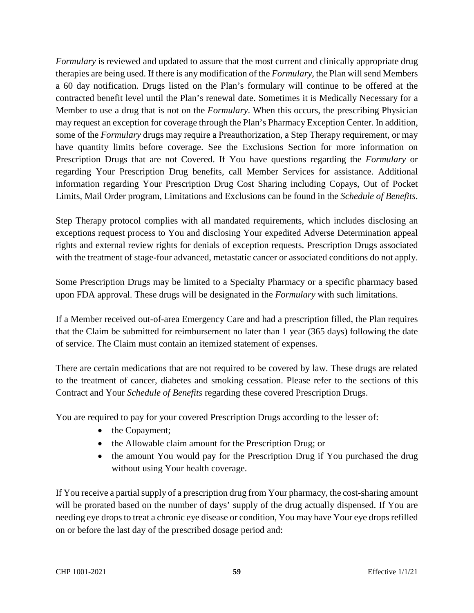*Formulary* is reviewed and updated to assure that the most current and clinically appropriate drug therapies are being used. If there is any modification of the *Formulary*, the Plan will send Members a 60 day notification. Drugs listed on the Plan's formulary will continue to be offered at the contracted benefit level until the Plan's renewal date. Sometimes it is Medically Necessary for a Member to use a drug that is not on the *Formulary*. When this occurs, the prescribing Physician may request an exception for coverage through the Plan's Pharmacy Exception Center. In addition, some of the *Formulary* drugs may require a Preauthorization, a Step Therapy requirement, or may have quantity limits before coverage. See the Exclusions Section for more information on Prescription Drugs that are not Covered. If You have questions regarding the *Formulary* or regarding Your Prescription Drug benefits, call Member Services for assistance. Additional information regarding Your Prescription Drug Cost Sharing including Copays, Out of Pocket Limits, Mail Order program, Limitations and Exclusions can be found in the *Schedule of Benefits*.

Step Therapy protocol complies with all mandated requirements, which includes disclosing an exceptions request process to You and disclosing Your expedited Adverse Determination appeal rights and external review rights for denials of exception requests. Prescription Drugs associated with the treatment of stage-four advanced, metastatic cancer or associated conditions do not apply.

Some Prescription Drugs may be limited to a Specialty Pharmacy or a specific pharmacy based upon FDA approval. These drugs will be designated in the *Formulary* with such limitations.

If a Member received out-of-area Emergency Care and had a prescription filled, the Plan requires that the Claim be submitted for reimbursement no later than 1 year (365 days) following the date of service. The Claim must contain an itemized statement of expenses.

There are certain medications that are not required to be covered by law. These drugs are related to the treatment of cancer, diabetes and smoking cessation. Please refer to the sections of this Contract and Your *Schedule of Benefits* regarding these covered Prescription Drugs.

You are required to pay for your covered Prescription Drugs according to the lesser of:

- the Copayment;
- the Allowable claim amount for the Prescription Drug; or
- the amount You would pay for the Prescription Drug if You purchased the drug without using Your health coverage.

If You receive a partial supply of a prescription drug from Your pharmacy, the cost-sharing amount will be prorated based on the number of days' supply of the drug actually dispensed. If You are needing eye drops to treat a chronic eye disease or condition, You may have Your eye drops refilled on or before the last day of the prescribed dosage period and: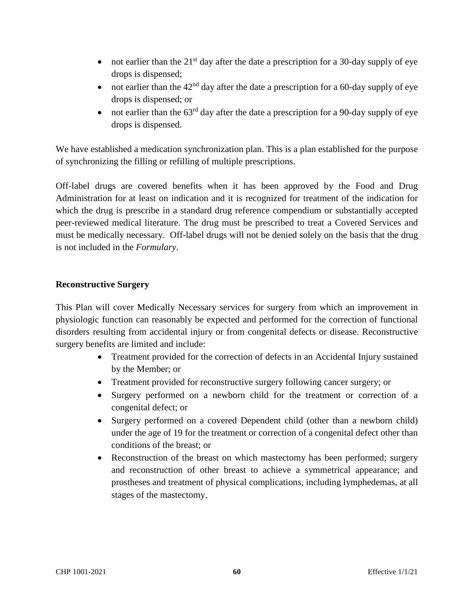- not earlier than the  $21<sup>st</sup>$  day after the date a prescription for a 30-day supply of eye drops is dispensed;
- not earlier than the  $42<sup>nd</sup>$  day after the date a prescription for a 60-day supply of eye drops is dispensed; or
- not earlier than the  $63<sup>rd</sup>$  day after the date a prescription for a 90-day supply of eye drops is dispensed.

We have established a medication synchronization plan. This is a plan established for the purpose of synchronizing the filling or refilling of multiple prescriptions.

Off-label drugs are covered benefits when it has been approved by the Food and Drug Administration for at least on indication and it is recognized for treatment of the indication for which the drug is prescribe in a standard drug reference compendium or substantially accepted peer-reviewed medical literature. The drug must be prescribed to treat a Covered Services and must be medically necessary. Off-label drugs will not be denied solely on the basis that the drug is not included in the *Formulary*.

### **Reconstructive Surgery**

This Plan will cover Medically Necessary services for surgery from which an improvement in physiologic function can reasonably be expected and performed for the correction of functional disorders resulting from accidental injury or from congenital defects or disease. Reconstructive surgery benefits are limited and include:

- Treatment provided for the correction of defects in an Accidental Injury sustained by the Member; or
- Treatment provided for reconstructive surgery following cancer surgery; or
- Surgery performed on a newborn child for the treatment or correction of a congenital defect; or
- Surgery performed on a covered Dependent child (other than a newborn child) under the age of 19 for the treatment or correction of a congenital defect other than conditions of the breast; or
- Reconstruction of the breast on which mastectomy has been performed; surgery and reconstruction of other breast to achieve a symmetrical appearance; and prostheses and treatment of physical complications, including lymphedemas, at all stages of the mastectomy.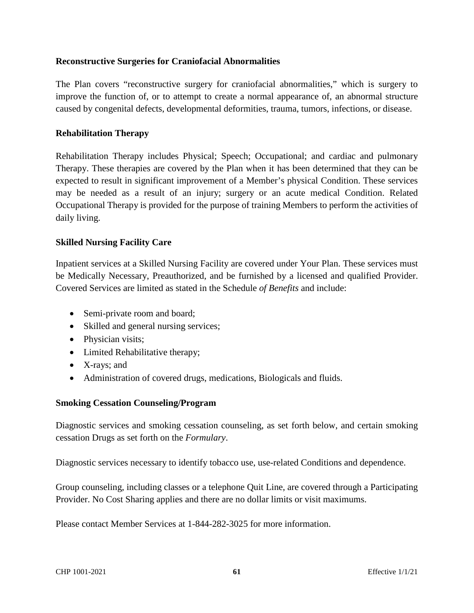#### **Reconstructive Surgeries for Craniofacial Abnormalities**

The Plan covers "reconstructive surgery for craniofacial abnormalities," which is surgery to improve the function of, or to attempt to create a normal appearance of, an abnormal structure caused by congenital defects, developmental deformities, trauma, tumors, infections, or disease.

#### **Rehabilitation Therapy**

Rehabilitation Therapy includes Physical; Speech; Occupational; and cardiac and pulmonary Therapy. These therapies are covered by the Plan when it has been determined that they can be expected to result in significant improvement of a Member's physical Condition. These services may be needed as a result of an injury; surgery or an acute medical Condition. Related Occupational Therapy is provided for the purpose of training Members to perform the activities of daily living.

#### **Skilled Nursing Facility Care**

Inpatient services at a Skilled Nursing Facility are covered under Your Plan. These services must be Medically Necessary, Preauthorized, and be furnished by a licensed and qualified Provider. Covered Services are limited as stated in the Schedule *of Benefits* and include:

- Semi-private room and board;
- Skilled and general nursing services;
- Physician visits;
- Limited Rehabilitative therapy;
- X-rays; and
- Administration of covered drugs, medications, Biologicals and fluids.

#### **Smoking Cessation Counseling/Program**

Diagnostic services and smoking cessation counseling, as set forth below, and certain smoking cessation Drugs as set forth on the *Formulary*.

Diagnostic services necessary to identify tobacco use, use-related Conditions and dependence.

Group counseling, including classes or a telephone Quit Line, are covered through a Participating Provider. No Cost Sharing applies and there are no dollar limits or visit maximums.

Please contact Member Services at 1-844-282-3025 for more information.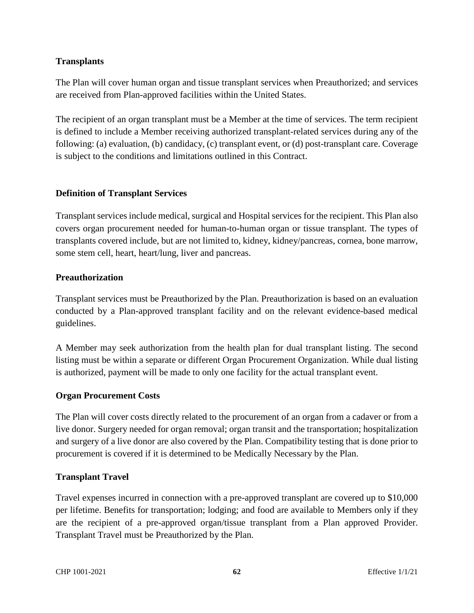### **Transplants**

The Plan will cover human organ and tissue transplant services when Preauthorized; and services are received from Plan-approved facilities within the United States.

The recipient of an organ transplant must be a Member at the time of services. The term recipient is defined to include a Member receiving authorized transplant-related services during any of the following: (a) evaluation, (b) candidacy, (c) transplant event, or (d) post-transplant care. Coverage is subject to the conditions and limitations outlined in this Contract.

#### **Definition of Transplant Services**

Transplant services include medical, surgical and Hospital services for the recipient. This Plan also covers organ procurement needed for human-to-human organ or tissue transplant. The types of transplants covered include, but are not limited to, kidney, kidney/pancreas, cornea, bone marrow, some stem cell, heart, heart/lung, liver and pancreas.

#### **Preauthorization**

Transplant services must be Preauthorized by the Plan. Preauthorization is based on an evaluation conducted by a Plan-approved transplant facility and on the relevant evidence-based medical guidelines.

A Member may seek authorization from the health plan for dual transplant listing. The second listing must be within a separate or different Organ Procurement Organization. While dual listing is authorized, payment will be made to only one facility for the actual transplant event.

### **Organ Procurement Costs**

The Plan will cover costs directly related to the procurement of an organ from a cadaver or from a live donor. Surgery needed for organ removal; organ transit and the transportation; hospitalization and surgery of a live donor are also covered by the Plan. Compatibility testing that is done prior to procurement is covered if it is determined to be Medically Necessary by the Plan.

#### **Transplant Travel**

Travel expenses incurred in connection with a pre-approved transplant are covered up to \$10,000 per lifetime. Benefits for transportation; lodging; and food are available to Members only if they are the recipient of a pre-approved organ/tissue transplant from a Plan approved Provider. Transplant Travel must be Preauthorized by the Plan.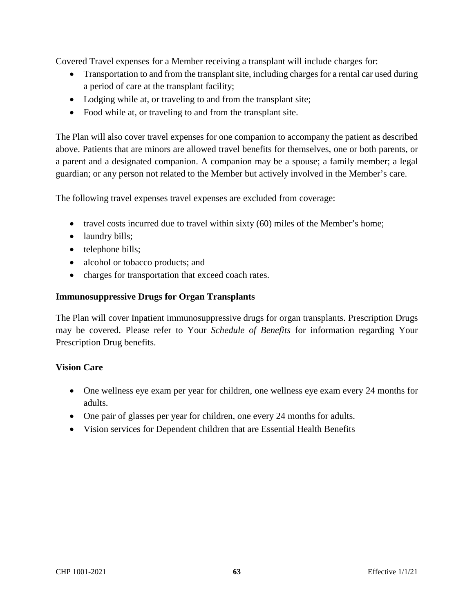Covered Travel expenses for a Member receiving a transplant will include charges for:

- Transportation to and from the transplant site, including charges for a rental car used during a period of care at the transplant facility;
- Lodging while at, or traveling to and from the transplant site;
- Food while at, or traveling to and from the transplant site.

The Plan will also cover travel expenses for one companion to accompany the patient as described above. Patients that are minors are allowed travel benefits for themselves, one or both parents, or a parent and a designated companion. A companion may be a spouse; a family member; a legal guardian; or any person not related to the Member but actively involved in the Member's care.

The following travel expenses travel expenses are excluded from coverage:

- travel costs incurred due to travel within sixty (60) miles of the Member's home;
- laundry bills;
- telephone bills;
- alcohol or tobacco products; and
- charges for transportation that exceed coach rates.

#### **Immunosuppressive Drugs for Organ Transplants**

The Plan will cover Inpatient immunosuppressive drugs for organ transplants. Prescription Drugs may be covered. Please refer to Your *Schedule of Benefits* for information regarding Your Prescription Drug benefits.

#### **Vision Care**

- One wellness eye exam per year for children, one wellness eye exam every 24 months for adults.
- One pair of glasses per year for children, one every 24 months for adults.
- Vision services for Dependent children that are Essential Health Benefits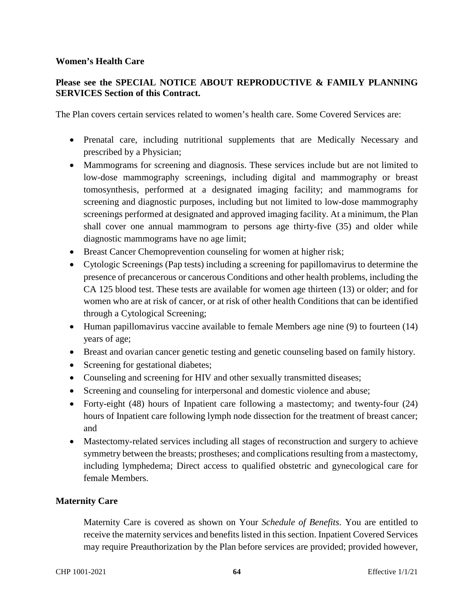#### **Women's Health Care**

### **Please see the SPECIAL NOTICE ABOUT REPRODUCTIVE & FAMILY PLANNING SERVICES Section of this Contract.**

The Plan covers certain services related to women's health care. Some Covered Services are:

- Prenatal care, including nutritional supplements that are Medically Necessary and prescribed by a Physician;
- Mammograms for screening and diagnosis. These services include but are not limited to low-dose mammography screenings, including digital and mammography or breast tomosynthesis, performed at a designated imaging facility; and mammograms for screening and diagnostic purposes, including but not limited to low-dose mammography screenings performed at designated and approved imaging facility. At a minimum, the Plan shall cover one annual mammogram to persons age thirty-five (35) and older while diagnostic mammograms have no age limit;
- Breast Cancer Chemoprevention counseling for women at higher risk;
- Cytologic Screenings (Pap tests) including a screening for papillomavirus to determine the presence of precancerous or cancerous Conditions and other health problems, including the CA 125 blood test. These tests are available for women age thirteen (13) or older; and for women who are at risk of cancer, or at risk of other health Conditions that can be identified through a Cytological Screening;
- Human papillomavirus vaccine available to female Members age nine (9) to fourteen (14) years of age;
- Breast and ovarian cancer genetic testing and genetic counseling based on family history.
- Screening for gestational diabetes;
- Counseling and screening for HIV and other sexually transmitted diseases;
- Screening and counseling for interpersonal and domestic violence and abuse;
- Forty-eight (48) hours of Inpatient care following a mastectomy; and twenty-four (24) hours of Inpatient care following lymph node dissection for the treatment of breast cancer; and
- Mastectomy-related services including all stages of reconstruction and surgery to achieve symmetry between the breasts; prostheses; and complications resulting from a mastectomy, including lymphedema; Direct access to qualified obstetric and gynecological care for female Members.

#### **Maternity Care**

Maternity Care is covered as shown on Your *Schedule of Benefits*. You are entitled to receive the maternity services and benefits listed in this section. Inpatient Covered Services may require Preauthorization by the Plan before services are provided; provided however,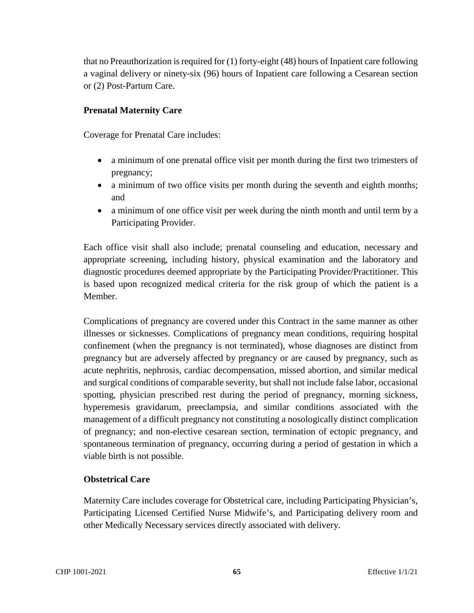that no Preauthorization is required for (1) forty-eight (48) hours of Inpatient care following a vaginal delivery or ninety-six (96) hours of Inpatient care following a Cesarean section or (2) Post-Partum Care.

### **Prenatal Maternity Care**

Coverage for Prenatal Care includes:

- a minimum of one prenatal office visit per month during the first two trimesters of pregnancy;
- a minimum of two office visits per month during the seventh and eighth months; and
- a minimum of one office visit per week during the ninth month and until term by a Participating Provider.

Each office visit shall also include; prenatal counseling and education, necessary and appropriate screening, including history, physical examination and the laboratory and diagnostic procedures deemed appropriate by the Participating Provider/Practitioner. This is based upon recognized medical criteria for the risk group of which the patient is a Member.

Complications of pregnancy are covered under this Contract in the same manner as other illnesses or sicknesses. Complications of pregnancy mean conditions, requiring hospital confinement (when the pregnancy is not terminated), whose diagnoses are distinct from pregnancy but are adversely affected by pregnancy or are caused by pregnancy, such as acute nephritis, nephrosis, cardiac decompensation, missed abortion, and similar medical and surgical conditions of comparable severity, but shall not include false labor, occasional spotting, physician prescribed rest during the period of pregnancy, morning sickness, hyperemesis gravidarum, preeclampsia, and similar conditions associated with the management of a difficult pregnancy not constituting a nosologically distinct complication of pregnancy; and non-elective cesarean section, termination of ectopic pregnancy, and spontaneous termination of pregnancy, occurring during a period of gestation in which a viable birth is not possible.

### **Obstetrical Care**

Maternity Care includes coverage for Obstetrical care, including Participating Physician's, Participating Licensed Certified Nurse Midwife's, and Participating delivery room and other Medically Necessary services directly associated with delivery.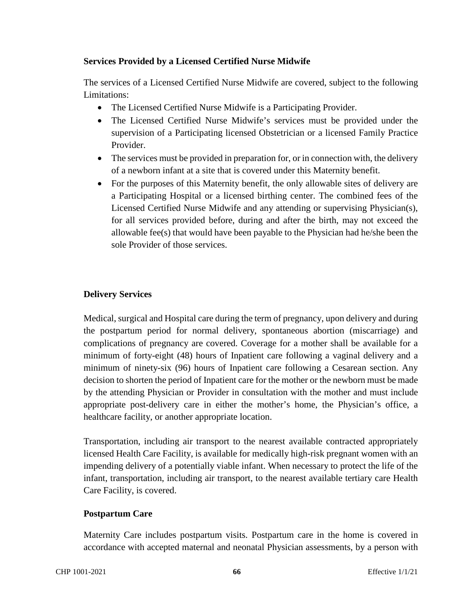### **Services Provided by a Licensed Certified Nurse Midwife**

The services of a Licensed Certified Nurse Midwife are covered, subject to the following Limitations:

- The Licensed Certified Nurse Midwife is a Participating Provider.
- The Licensed Certified Nurse Midwife's services must be provided under the supervision of a Participating licensed Obstetrician or a licensed Family Practice Provider.
- The services must be provided in preparation for, or in connection with, the delivery of a newborn infant at a site that is covered under this Maternity benefit.
- For the purposes of this Maternity benefit, the only allowable sites of delivery are a Participating Hospital or a licensed birthing center. The combined fees of the Licensed Certified Nurse Midwife and any attending or supervising Physician(s), for all services provided before, during and after the birth, may not exceed the allowable fee(s) that would have been payable to the Physician had he/she been the sole Provider of those services.

### **Delivery Services**

Medical, surgical and Hospital care during the term of pregnancy, upon delivery and during the postpartum period for normal delivery, spontaneous abortion (miscarriage) and complications of pregnancy are covered. Coverage for a mother shall be available for a minimum of forty-eight (48) hours of Inpatient care following a vaginal delivery and a minimum of ninety-six (96) hours of Inpatient care following a Cesarean section. Any decision to shorten the period of Inpatient care for the mother or the newborn must be made by the attending Physician or Provider in consultation with the mother and must include appropriate post-delivery care in either the mother's home, the Physician's office, a healthcare facility, or another appropriate location.

Transportation, including air transport to the nearest available contracted appropriately licensed Health Care Facility, is available for medically high-risk pregnant women with an impending delivery of a potentially viable infant. When necessary to protect the life of the infant, transportation, including air transport, to the nearest available tertiary care Health Care Facility, is covered.

### **Postpartum Care**

Maternity Care includes postpartum visits. Postpartum care in the home is covered in accordance with accepted maternal and neonatal Physician assessments, by a person with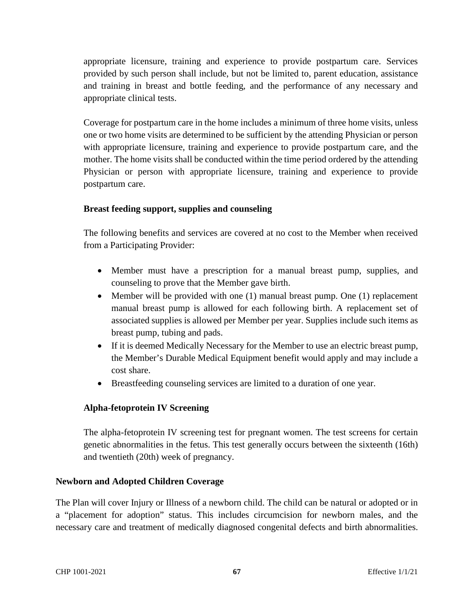appropriate licensure, training and experience to provide postpartum care. Services provided by such person shall include, but not be limited to, parent education, assistance and training in breast and bottle feeding, and the performance of any necessary and appropriate clinical tests.

Coverage for postpartum care in the home includes a minimum of three home visits, unless one or two home visits are determined to be sufficient by the attending Physician or person with appropriate licensure, training and experience to provide postpartum care, and the mother. The home visits shall be conducted within the time period ordered by the attending Physician or person with appropriate licensure, training and experience to provide postpartum care.

### **Breast feeding support, supplies and counseling**

The following benefits and services are covered at no cost to the Member when received from a Participating Provider:

- Member must have a prescription for a manual breast pump, supplies, and counseling to prove that the Member gave birth.
- Member will be provided with one (1) manual breast pump. One (1) replacement manual breast pump is allowed for each following birth. A replacement set of associated supplies is allowed per Member per year. Supplies include such items as breast pump, tubing and pads.
- If it is deemed Medically Necessary for the Member to use an electric breast pump, the Member's Durable Medical Equipment benefit would apply and may include a cost share.
- Breastfeeding counseling services are limited to a duration of one year.

### **Alpha-fetoprotein IV Screening**

The alpha-fetoprotein IV screening test for pregnant women. The test screens for certain genetic abnormalities in the fetus. This test generally occurs between the sixteenth (16th) and twentieth (20th) week of pregnancy.

#### **Newborn and Adopted Children Coverage**

The Plan will cover Injury or Illness of a newborn child. The child can be natural or adopted or in a "placement for adoption" status. This includes circumcision for newborn males, and the necessary care and treatment of medically diagnosed congenital defects and birth abnormalities.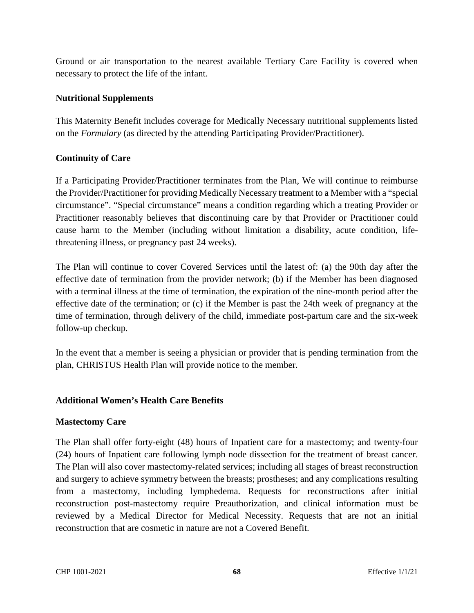Ground or air transportation to the nearest available Tertiary Care Facility is covered when necessary to protect the life of the infant.

### **Nutritional Supplements**

This Maternity Benefit includes coverage for Medically Necessary nutritional supplements listed on the *Formulary* (as directed by the attending Participating Provider/Practitioner).

### **Continuity of Care**

If a Participating Provider/Practitioner terminates from the Plan, We will continue to reimburse the Provider/Practitioner for providing Medically Necessary treatment to a Member with a "special circumstance". "Special circumstance" means a condition regarding which a treating Provider or Practitioner reasonably believes that discontinuing care by that Provider or Practitioner could cause harm to the Member (including without limitation a disability, acute condition, lifethreatening illness, or pregnancy past 24 weeks).

The Plan will continue to cover Covered Services until the latest of: (a) the 90th day after the effective date of termination from the provider network; (b) if the Member has been diagnosed with a terminal illness at the time of termination, the expiration of the nine-month period after the effective date of the termination; or (c) if the Member is past the 24th week of pregnancy at the time of termination, through delivery of the child, immediate post-partum care and the six-week follow-up checkup.

In the event that a member is seeing a physician or provider that is pending termination from the plan, CHRISTUS Health Plan will provide notice to the member.

#### **Additional Women's Health Care Benefits**

#### **Mastectomy Care**

The Plan shall offer forty-eight (48) hours of Inpatient care for a mastectomy; and twenty-four (24) hours of Inpatient care following lymph node dissection for the treatment of breast cancer. The Plan will also cover mastectomy-related services; including all stages of breast reconstruction and surgery to achieve symmetry between the breasts; prostheses; and any complications resulting from a mastectomy, including lymphedema. Requests for reconstructions after initial reconstruction post-mastectomy require Preauthorization, and clinical information must be reviewed by a Medical Director for Medical Necessity. Requests that are not an initial reconstruction that are cosmetic in nature are not a Covered Benefit.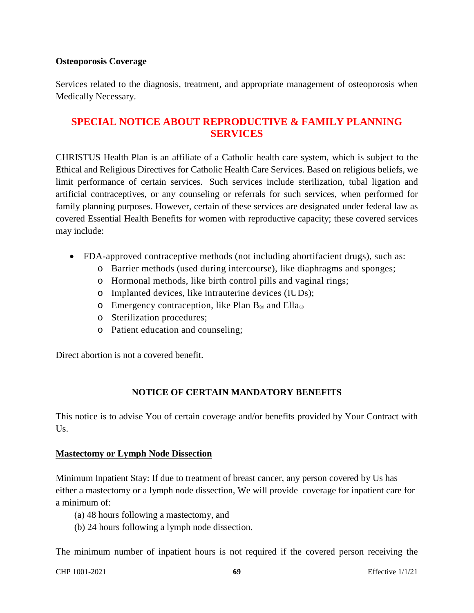#### **Osteoporosis Coverage**

Services related to the diagnosis, treatment, and appropriate management of osteoporosis when Medically Necessary.

# **SPECIAL NOTICE ABOUT REPRODUCTIVE & FAMILY PLANNING SERVICES**

CHRISTUS Health Plan is an affiliate of a Catholic health care system, which is subject to the Ethical and Religious Directives for Catholic Health Care Services. Based on religious beliefs, we limit performance of certain services. Such services include sterilization, tubal ligation and artificial contraceptives, or any counseling or referrals for such services, when performed for family planning purposes. However, certain of these services are designated under federal law as covered Essential Health Benefits for women with reproductive capacity; these covered services may include:

- FDA-approved contraceptive methods (not including abortifacient drugs), such as:
	- o Barrier methods (used during intercourse), like diaphragms and sponges;
	- o Hormonal methods, like birth control pills and vaginal rings;
	- o Implanted devices, like intrauterine devices (IUDs);
	- $\circ$  Emergency contraception, like Plan B<sub>®</sub> and Ella<sub>®</sub>
	- o Sterilization procedures;
	- o Patient education and counseling;

Direct abortion is not a covered benefit.

### **NOTICE OF CERTAIN MANDATORY BENEFITS**

This notice is to advise You of certain coverage and/or benefits provided by Your Contract with Us.

#### **Mastectomy or Lymph Node Dissection**

Minimum Inpatient Stay: If due to treatment of breast cancer, any person covered by Us has either a mastectomy or a lymph node dissection, We will provide coverage for inpatient care for a minimum of:

- (a) 48 hours following a mastectomy, and
- (b) 24 hours following a lymph node dissection.

The minimum number of inpatient hours is not required if the covered person receiving the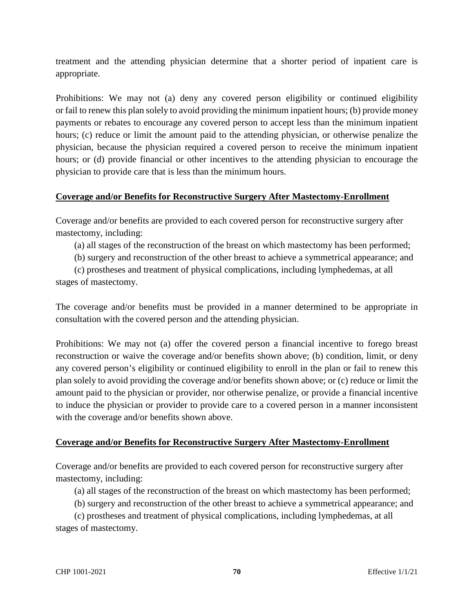treatment and the attending physician determine that a shorter period of inpatient care is appropriate.

Prohibitions: We may not (a) deny any covered person eligibility or continued eligibility or fail to renew this plan solely to avoid providing the minimum inpatient hours; (b) provide money payments or rebates to encourage any covered person to accept less than the minimum inpatient hours; (c) reduce or limit the amount paid to the attending physician, or otherwise penalize the physician, because the physician required a covered person to receive the minimum inpatient hours; or (d) provide financial or other incentives to the attending physician to encourage the physician to provide care that is less than the minimum hours.

### **Coverage and/or Benefits for Reconstructive Surgery After Mastectomy-Enrollment**

Coverage and/or benefits are provided to each covered person for reconstructive surgery after mastectomy, including:

(a) all stages of the reconstruction of the breast on which mastectomy has been performed;

(b) surgery and reconstruction of the other breast to achieve a symmetrical appearance; and

 (c) prostheses and treatment of physical complications, including lymphedemas, at all stages of mastectomy.

The coverage and/or benefits must be provided in a manner determined to be appropriate in consultation with the covered person and the attending physician.

Prohibitions: We may not (a) offer the covered person a financial incentive to forego breast reconstruction or waive the coverage and/or benefits shown above; (b) condition, limit, or deny any covered person's eligibility or continued eligibility to enroll in the plan or fail to renew this plan solely to avoid providing the coverage and/or benefits shown above; or (c) reduce or limit the amount paid to the physician or provider, nor otherwise penalize, or provide a financial incentive to induce the physician or provider to provide care to a covered person in a manner inconsistent with the coverage and/or benefits shown above.

### **Coverage and/or Benefits for Reconstructive Surgery After Mastectomy-Enrollment**

Coverage and/or benefits are provided to each covered person for reconstructive surgery after mastectomy, including:

(a) all stages of the reconstruction of the breast on which mastectomy has been performed;

(b) surgery and reconstruction of the other breast to achieve a symmetrical appearance; and

 (c) prostheses and treatment of physical complications, including lymphedemas, at all stages of mastectomy.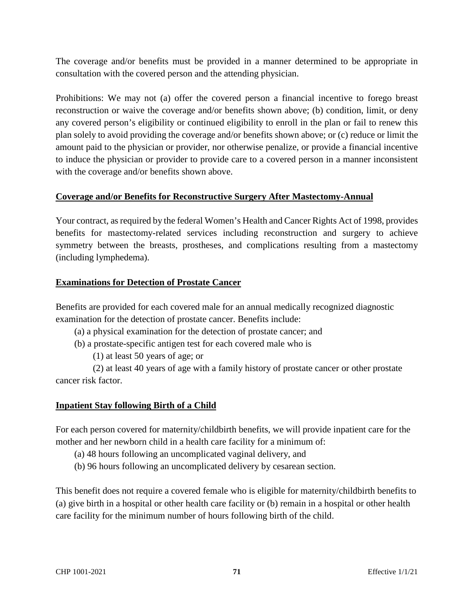The coverage and/or benefits must be provided in a manner determined to be appropriate in consultation with the covered person and the attending physician.

Prohibitions: We may not (a) offer the covered person a financial incentive to forego breast reconstruction or waive the coverage and/or benefits shown above; (b) condition, limit, or deny any covered person's eligibility or continued eligibility to enroll in the plan or fail to renew this plan solely to avoid providing the coverage and/or benefits shown above; or (c) reduce or limit the amount paid to the physician or provider, nor otherwise penalize, or provide a financial incentive to induce the physician or provider to provide care to a covered person in a manner inconsistent with the coverage and/or benefits shown above.

# **Coverage and/or Benefits for Reconstructive Surgery After Mastectomy-Annual**

Your contract, as required by the federal Women's Health and Cancer Rights Act of 1998, provides benefits for mastectomy-related services including reconstruction and surgery to achieve symmetry between the breasts, prostheses, and complications resulting from a mastectomy (including lymphedema).

# **Examinations for Detection of Prostate Cancer**

Benefits are provided for each covered male for an annual medically recognized diagnostic examination for the detection of prostate cancer. Benefits include:

- (a) a physical examination for the detection of prostate cancer; and
- (b) a prostate-specific antigen test for each covered male who is
	- (1) at least 50 years of age; or

 (2) at least 40 years of age with a family history of prostate cancer or other prostate cancer risk factor.

# **Inpatient Stay following Birth of a Child**

For each person covered for maternity/childbirth benefits, we will provide inpatient care for the mother and her newborn child in a health care facility for a minimum of:

- (a) 48 hours following an uncomplicated vaginal delivery, and
- (b) 96 hours following an uncomplicated delivery by cesarean section.

This benefit does not require a covered female who is eligible for maternity/childbirth benefits to (a) give birth in a hospital or other health care facility or (b) remain in a hospital or other health care facility for the minimum number of hours following birth of the child.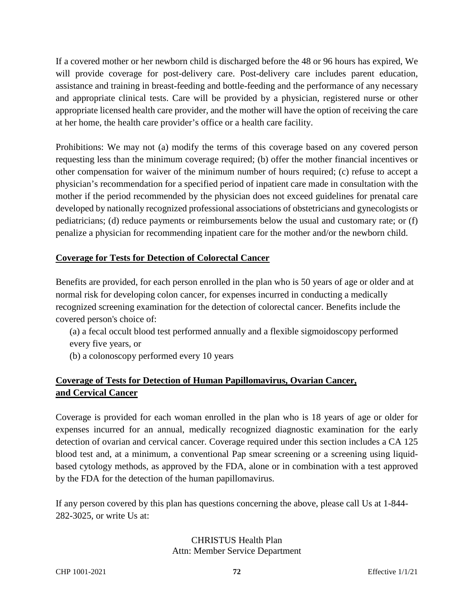If a covered mother or her newborn child is discharged before the 48 or 96 hours has expired, We will provide coverage for post-delivery care. Post-delivery care includes parent education, assistance and training in breast-feeding and bottle-feeding and the performance of any necessary and appropriate clinical tests. Care will be provided by a physician, registered nurse or other appropriate licensed health care provider, and the mother will have the option of receiving the care at her home, the health care provider's office or a health care facility.

Prohibitions: We may not (a) modify the terms of this coverage based on any covered person requesting less than the minimum coverage required; (b) offer the mother financial incentives or other compensation for waiver of the minimum number of hours required; (c) refuse to accept a physician's recommendation for a specified period of inpatient care made in consultation with the mother if the period recommended by the physician does not exceed guidelines for prenatal care developed by nationally recognized professional associations of obstetricians and gynecologists or pediatricians; (d) reduce payments or reimbursements below the usual and customary rate; or (f) penalize a physician for recommending inpatient care for the mother and/or the newborn child.

# **Coverage for Tests for Detection of Colorectal Cancer**

Benefits are provided, for each person enrolled in the plan who is 50 years of age or older and at normal risk for developing colon cancer, for expenses incurred in conducting a medically recognized screening examination for the detection of colorectal cancer. Benefits include the covered person's choice of:

(a) a fecal occult blood test performed annually and a flexible sigmoidoscopy performed every five years, or

(b) a colonoscopy performed every 10 years

# **Coverage of Tests for Detection of Human Papillomavirus, Ovarian Cancer, and Cervical Cancer**

Coverage is provided for each woman enrolled in the plan who is 18 years of age or older for expenses incurred for an annual, medically recognized diagnostic examination for the early detection of ovarian and cervical cancer. Coverage required under this section includes a CA 125 blood test and, at a minimum, a conventional Pap smear screening or a screening using liquidbased cytology methods, as approved by the FDA, alone or in combination with a test approved by the FDA for the detection of the human papillomavirus.

If any person covered by this plan has questions concerning the above, please call Us at 1-844- 282-3025, or write Us at:

#### CHRISTUS Health Plan Attn: Member Service Department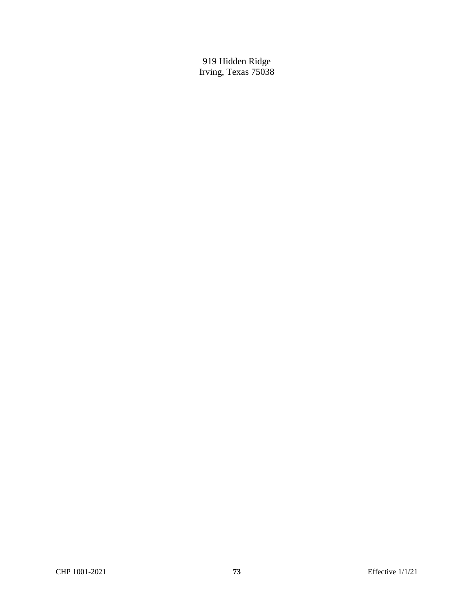919 Hidden Ridge Irving, Texas 75038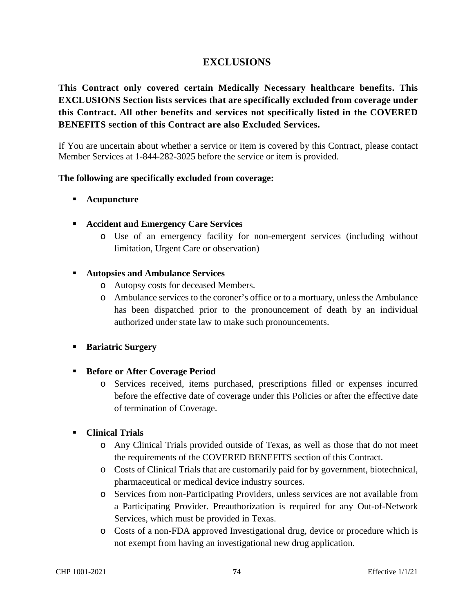# **EXCLUSIONS**

**This Contract only covered certain Medically Necessary healthcare benefits. This EXCLUSIONS Section lists services that are specifically excluded from coverage under this Contract. All other benefits and services not specifically listed in the COVERED BENEFITS section of this Contract are also Excluded Services.** 

If You are uncertain about whether a service or item is covered by this Contract, please contact Member Services at 1-844-282-3025 before the service or item is provided.

#### **The following are specifically excluded from coverage:**

- **Acupuncture**
- **Accident and Emergency Care Services**
	- o Use of an emergency facility for non-emergent services (including without limitation, Urgent Care or observation)

#### **Autopsies and Ambulance Services**

- o Autopsy costs for deceased Members.
- o Ambulance services to the coroner's office or to a mortuary, unless the Ambulance has been dispatched prior to the pronouncement of death by an individual authorized under state law to make such pronouncements.
- **Bariatric Surgery**
- **Before or After Coverage Period** 
	- o Services received, items purchased, prescriptions filled or expenses incurred before the effective date of coverage under this Policies or after the effective date of termination of Coverage.

# **Clinical Trials**

- o Any Clinical Trials provided outside of Texas, as well as those that do not meet the requirements of the COVERED BENEFITS section of this Contract.
- o Costs of Clinical Trials that are customarily paid for by government, biotechnical, pharmaceutical or medical device industry sources.
- o Services from non-Participating Providers, unless services are not available from a Participating Provider. Preauthorization is required for any Out-of-Network Services, which must be provided in Texas.
- o Costs of a non-FDA approved Investigational drug, device or procedure which is not exempt from having an investigational new drug application.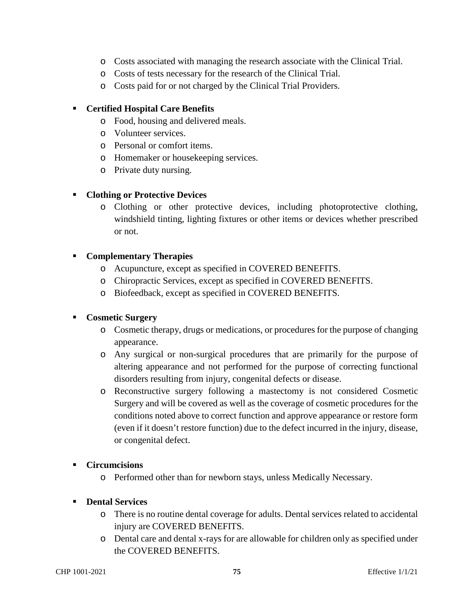- o Costs associated with managing the research associate with the Clinical Trial.
- o Costs of tests necessary for the research of the Clinical Trial.
- o Costs paid for or not charged by the Clinical Trial Providers.

### **Certified Hospital Care Benefits**

- o Food, housing and delivered meals.
- o Volunteer services.
- o Personal or comfort items.
- o Homemaker or housekeeping services.
- o Private duty nursing.

## **Clothing or Protective Devices**

o Clothing or other protective devices, including photoprotective clothing, windshield tinting, lighting fixtures or other items or devices whether prescribed or not.

## **Complementary Therapies**

- o Acupuncture, except as specified in COVERED BENEFITS.
- o Chiropractic Services, except as specified in COVERED BENEFITS.
- o Biofeedback, except as specified in COVERED BENEFITS.

# **Cosmetic Surgery**

- o Cosmetic therapy, drugs or medications, or procedures for the purpose of changing appearance.
- o Any surgical or non-surgical procedures that are primarily for the purpose of altering appearance and not performed for the purpose of correcting functional disorders resulting from injury, congenital defects or disease.
- o Reconstructive surgery following a mastectomy is not considered Cosmetic Surgery and will be covered as well as the coverage of cosmetic procedures for the conditions noted above to correct function and approve appearance or restore form (even if it doesn't restore function) due to the defect incurred in the injury, disease, or congenital defect.

#### **Circumcisions**

o Performed other than for newborn stays, unless Medically Necessary.

# **Dental Services**

- o There is no routine dental coverage for adults. Dental services related to accidental injury are COVERED BENEFITS.
- o Dental care and dental x-rays for are allowable for children only as specified under the COVERED BENEFITS.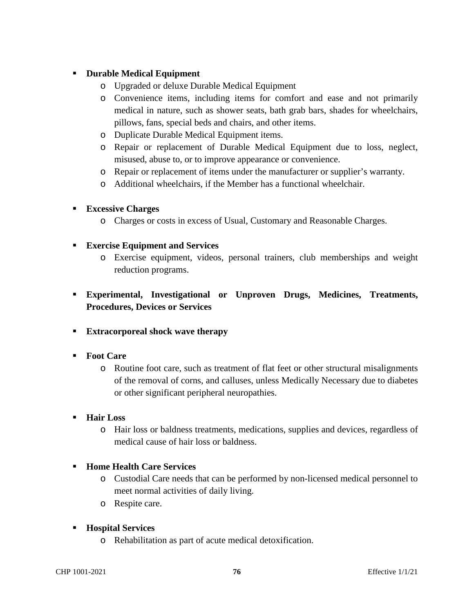# **Durable Medical Equipment**

- o Upgraded or deluxe Durable Medical Equipment
- o Convenience items, including items for comfort and ease and not primarily medical in nature, such as shower seats, bath grab bars, shades for wheelchairs, pillows, fans, special beds and chairs, and other items.
- o Duplicate Durable Medical Equipment items.
- o Repair or replacement of Durable Medical Equipment due to loss, neglect, misused, abuse to, or to improve appearance or convenience.
- o Repair or replacement of items under the manufacturer or supplier's warranty.
- o Additional wheelchairs, if the Member has a functional wheelchair.

## **Excessive Charges**

o Charges or costs in excess of Usual, Customary and Reasonable Charges.

## **Exercise Equipment and Services**

- o Exercise equipment, videos, personal trainers, club memberships and weight reduction programs.
- **Experimental, Investigational or Unproven Drugs, Medicines, Treatments, Procedures, Devices or Services**
- **Extracorporeal shock wave therapy**

# **Foot Care**

o Routine foot care, such as treatment of flat feet or other structural misalignments of the removal of corns, and calluses, unless Medically Necessary due to diabetes or other significant peripheral neuropathies.

#### **Hair Loss**

o Hair loss or baldness treatments, medications, supplies and devices, regardless of medical cause of hair loss or baldness.

# **Home Health Care Services**

- o Custodial Care needs that can be performed by non-licensed medical personnel to meet normal activities of daily living.
- o Respite care.

# **Hospital Services**

o Rehabilitation as part of acute medical detoxification.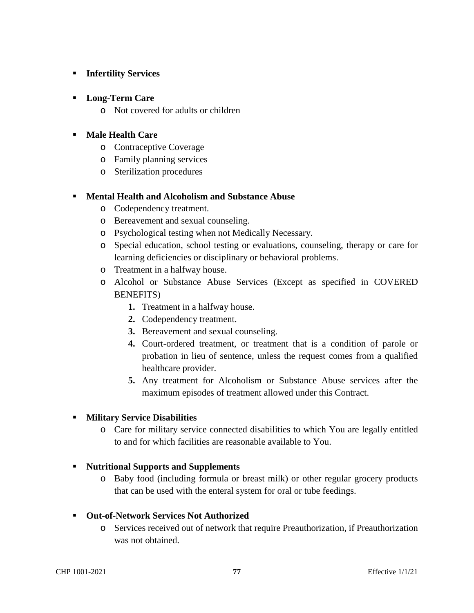# **Infertility Services**

## **Long-Term Care**

o Not covered for adults or children

## **Male Health Care**

- o Contraceptive Coverage
- o Family planning services
- o Sterilization procedures

#### **Mental Health and Alcoholism and Substance Abuse**

- o Codependency treatment.
- o Bereavement and sexual counseling.
- o Psychological testing when not Medically Necessary.
- o Special education, school testing or evaluations, counseling, therapy or care for learning deficiencies or disciplinary or behavioral problems.
- o Treatment in a halfway house.
- o Alcohol or Substance Abuse Services (Except as specified in COVERED BENEFITS)
	- **1.** Treatment in a halfway house.
	- **2.** Codependency treatment.
	- **3.** Bereavement and sexual counseling.
	- **4.** Court-ordered treatment, or treatment that is a condition of parole or probation in lieu of sentence, unless the request comes from a qualified healthcare provider.
	- **5.** Any treatment for Alcoholism or Substance Abuse services after the maximum episodes of treatment allowed under this Contract.

# **Military Service Disabilities**

o Care for military service connected disabilities to which You are legally entitled to and for which facilities are reasonable available to You.

#### **Nutritional Supports and Supplements**

o Baby food (including formula or breast milk) or other regular grocery products that can be used with the enteral system for oral or tube feedings.

#### **Out-of-Network Services Not Authorized**

o Services received out of network that require Preauthorization, if Preauthorization was not obtained.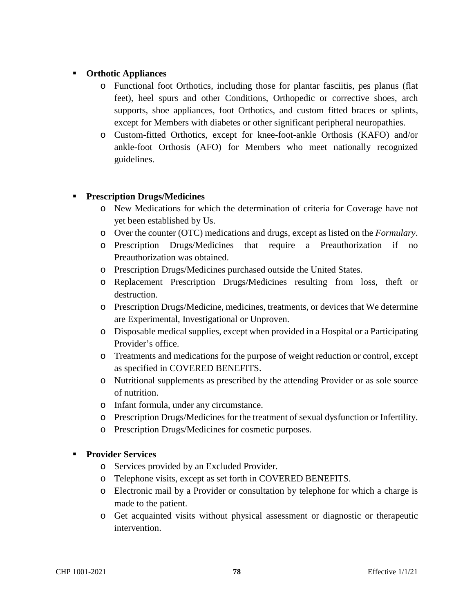# **Orthotic Appliances**

- o Functional foot Orthotics, including those for plantar fasciitis, pes planus (flat feet), heel spurs and other Conditions, Orthopedic or corrective shoes, arch supports, shoe appliances, foot Orthotics, and custom fitted braces or splints, except for Members with diabetes or other significant peripheral neuropathies.
- o Custom-fitted Orthotics, except for knee-foot-ankle Orthosis (KAFO) and/or ankle-foot Orthosis (AFO) for Members who meet nationally recognized guidelines.

# **Prescription Drugs/Medicines**

- o New Medications for which the determination of criteria for Coverage have not yet been established by Us.
- o Over the counter (OTC) medications and drugs, except as listed on the *Formulary*.
- o Prescription Drugs/Medicines that require a Preauthorization if no Preauthorization was obtained.
- o Prescription Drugs/Medicines purchased outside the United States.
- o Replacement Prescription Drugs/Medicines resulting from loss, theft or destruction.
- o Prescription Drugs/Medicine, medicines, treatments, or devices that We determine are Experimental, Investigational or Unproven.
- o Disposable medical supplies, except when provided in a Hospital or a Participating Provider's office.
- o Treatments and medications for the purpose of weight reduction or control, except as specified in COVERED BENEFITS.
- o Nutritional supplements as prescribed by the attending Provider or as sole source of nutrition.
- o Infant formula, under any circumstance.
- o Prescription Drugs/Medicines for the treatment of sexual dysfunction or Infertility.
- o Prescription Drugs/Medicines for cosmetic purposes.

#### **Provider Services**

- o Services provided by an Excluded Provider.
- o Telephone visits, except as set forth in COVERED BENEFITS.
- o Electronic mail by a Provider or consultation by telephone for which a charge is made to the patient.
- o Get acquainted visits without physical assessment or diagnostic or therapeutic intervention.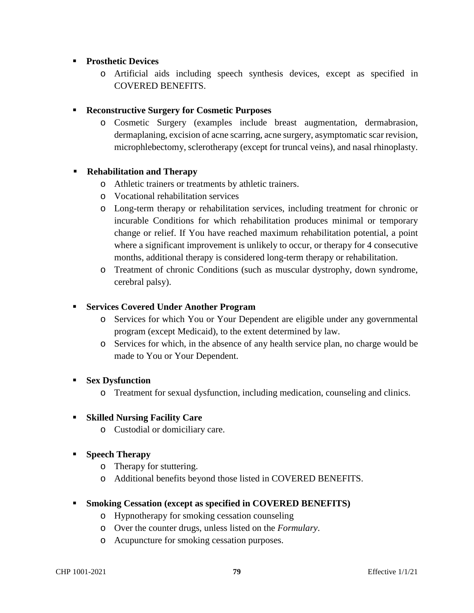## **Prosthetic Devices**

o Artificial aids including speech synthesis devices, except as specified in COVERED BENEFITS.

## **Reconstructive Surgery for Cosmetic Purposes**

o Cosmetic Surgery (examples include breast augmentation, dermabrasion, dermaplaning, excision of acne scarring, acne surgery, asymptomatic scar revision, microphlebectomy, sclerotherapy (except for truncal veins), and nasal rhinoplasty.

## **Rehabilitation and Therapy**

- o Athletic trainers or treatments by athletic trainers.
- o Vocational rehabilitation services
- o Long-term therapy or rehabilitation services, including treatment for chronic or incurable Conditions for which rehabilitation produces minimal or temporary change or relief. If You have reached maximum rehabilitation potential, a point where a significant improvement is unlikely to occur, or therapy for 4 consecutive months, additional therapy is considered long-term therapy or rehabilitation.
- o Treatment of chronic Conditions (such as muscular dystrophy, down syndrome, cerebral palsy).

### **Services Covered Under Another Program**

- o Services for which You or Your Dependent are eligible under any governmental program (except Medicaid), to the extent determined by law.
- o Services for which, in the absence of any health service plan, no charge would be made to You or Your Dependent.

#### **Sex Dysfunction**

o Treatment for sexual dysfunction, including medication, counseling and clinics.

#### **Skilled Nursing Facility Care**

- o Custodial or domiciliary care.
- **Speech Therapy** 
	- o Therapy for stuttering.
	- o Additional benefits beyond those listed in COVERED BENEFITS.

#### **Smoking Cessation (except as specified in COVERED BENEFITS)**

- o Hypnotherapy for smoking cessation counseling
- o Over the counter drugs, unless listed on the *Formulary*.
- o Acupuncture for smoking cessation purposes.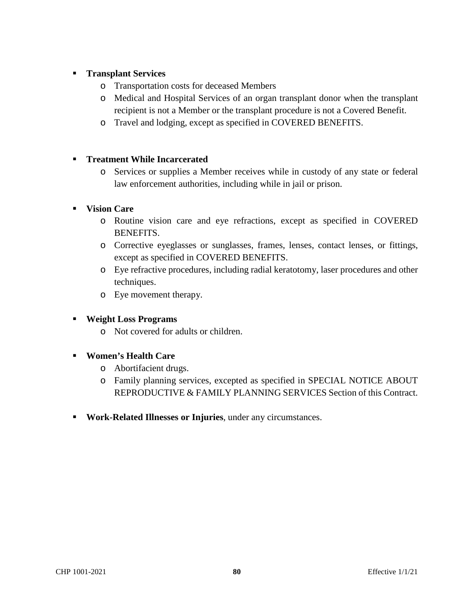# **Transplant Services**

- o Transportation costs for deceased Members
- o Medical and Hospital Services of an organ transplant donor when the transplant recipient is not a Member or the transplant procedure is not a Covered Benefit.
- o Travel and lodging, except as specified in COVERED BENEFITS.

# **Treatment While Incarcerated**

o Services or supplies a Member receives while in custody of any state or federal law enforcement authorities, including while in jail or prison.

# **Vision Care**

- o Routine vision care and eye refractions, except as specified in COVERED BENEFITS.
- o Corrective eyeglasses or sunglasses, frames, lenses, contact lenses, or fittings, except as specified in COVERED BENEFITS.
- o Eye refractive procedures, including radial keratotomy, laser procedures and other techniques.
- o Eye movement therapy.

# **Weight Loss Programs**

- o Not covered for adults or children.
- **Women's Health Care** 
	- o Abortifacient drugs.
	- o Family planning services, excepted as specified in SPECIAL NOTICE ABOUT REPRODUCTIVE & FAMILY PLANNING SERVICES Section of this Contract.
- **Work-Related Illnesses or Injuries**, under any circumstances.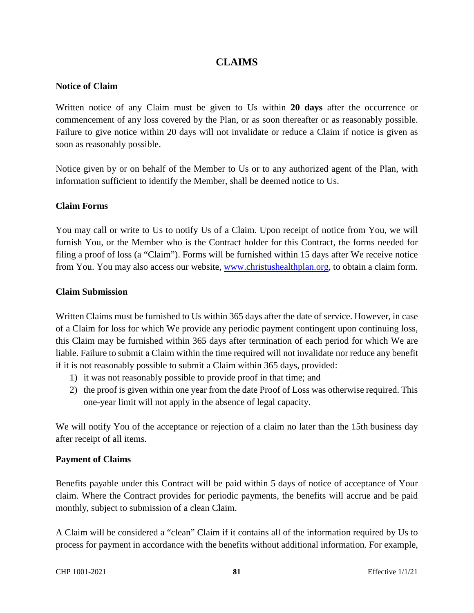# **CLAIMS**

#### **Notice of Claim**

Written notice of any Claim must be given to Us within **20 days** after the occurrence or commencement of any loss covered by the Plan, or as soon thereafter or as reasonably possible. Failure to give notice within 20 days will not invalidate or reduce a Claim if notice is given as soon as reasonably possible.

Notice given by or on behalf of the Member to Us or to any authorized agent of the Plan, with information sufficient to identify the Member, shall be deemed notice to Us.

#### **Claim Forms**

You may call or write to Us to notify Us of a Claim. Upon receipt of notice from You, we will furnish You, or the Member who is the Contract holder for this Contract, the forms needed for filing a proof of loss (a "Claim"). Forms will be furnished within 15 days after We receive notice from You. You may also access our website, www.christushealthplan.org, to obtain a claim form.

#### **Claim Submission**

Written Claims must be furnished to Us within 365 days after the date of service. However, in case of a Claim for loss for which We provide any periodic payment contingent upon continuing loss, this Claim may be furnished within 365 days after termination of each period for which We are liable. Failure to submit a Claim within the time required will not invalidate nor reduce any benefit if it is not reasonably possible to submit a Claim within 365 days, provided:

- 1) it was not reasonably possible to provide proof in that time; and
- 2) the proof is given within one year from the date Proof of Loss was otherwise required. This one-year limit will not apply in the absence of legal capacity.

We will notify You of the acceptance or rejection of a claim no later than the 15th business day after receipt of all items.

#### **Payment of Claims**

Benefits payable under this Contract will be paid within 5 days of notice of acceptance of Your claim. Where the Contract provides for periodic payments, the benefits will accrue and be paid monthly, subject to submission of a clean Claim.

A Claim will be considered a "clean" Claim if it contains all of the information required by Us to process for payment in accordance with the benefits without additional information. For example,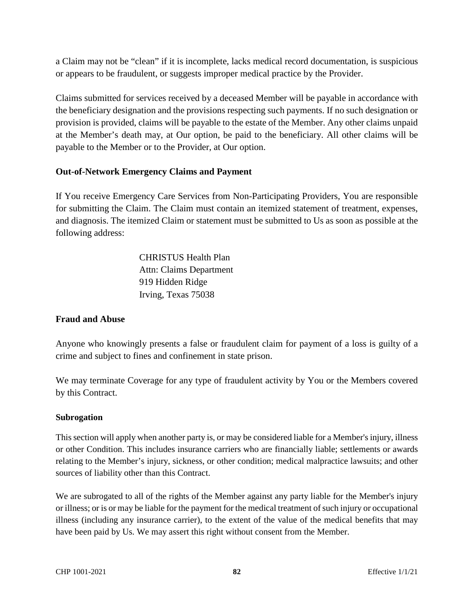a Claim may not be "clean" if it is incomplete, lacks medical record documentation, is suspicious or appears to be fraudulent, or suggests improper medical practice by the Provider.

Claims submitted for services received by a deceased Member will be payable in accordance with the beneficiary designation and the provisions respecting such payments. If no such designation or provision is provided, claims will be payable to the estate of the Member. Any other claims unpaid at the Member's death may, at Our option, be paid to the beneficiary. All other claims will be payable to the Member or to the Provider, at Our option.

# **Out-of-Network Emergency Claims and Payment**

If You receive Emergency Care Services from Non-Participating Providers, You are responsible for submitting the Claim. The Claim must contain an itemized statement of treatment, expenses, and diagnosis. The itemized Claim or statement must be submitted to Us as soon as possible at the following address:

> CHRISTUS Health Plan Attn: Claims Department 919 Hidden Ridge Irving, Texas 75038

# **Fraud and Abuse**

Anyone who knowingly presents a false or fraudulent claim for payment of a loss is guilty of a crime and subject to fines and confinement in state prison.

We may terminate Coverage for any type of fraudulent activity by You or the Members covered by this Contract.

#### **Subrogation**

This section will apply when another party is, or may be considered liable for a Member's injury, illness or other Condition. This includes insurance carriers who are financially liable; settlements or awards relating to the Member's injury, sickness, or other condition; medical malpractice lawsuits; and other sources of liability other than this Contract.

We are subrogated to all of the rights of the Member against any party liable for the Member's injury or illness; or is or may be liable for the payment for the medical treatment of such injury or occupational illness (including any insurance carrier), to the extent of the value of the medical benefits that may have been paid by Us. We may assert this right without consent from the Member.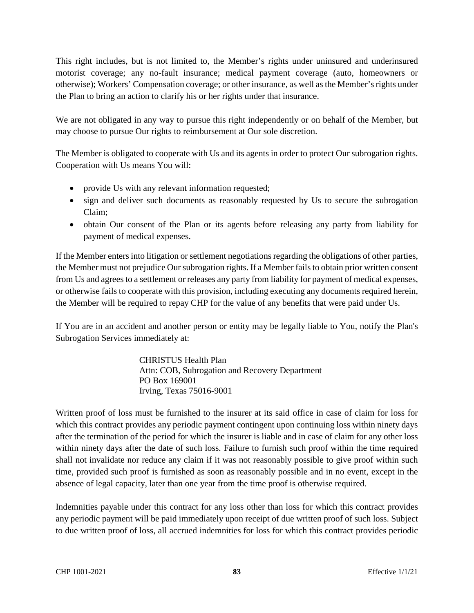This right includes, but is not limited to, the Member's rights under uninsured and underinsured motorist coverage; any no-fault insurance; medical payment coverage (auto, homeowners or otherwise); Workers' Compensation coverage; or other insurance, as well as the Member's rights under the Plan to bring an action to clarify his or her rights under that insurance.

We are not obligated in any way to pursue this right independently or on behalf of the Member, but may choose to pursue Our rights to reimbursement at Our sole discretion.

The Member is obligated to cooperate with Us and its agents in order to protect Our subrogation rights. Cooperation with Us means You will:

- provide Us with any relevant information requested;
- sign and deliver such documents as reasonably requested by Us to secure the subrogation Claim;
- obtain Our consent of the Plan or its agents before releasing any party from liability for payment of medical expenses.

If the Member enters into litigation or settlement negotiations regarding the obligations of other parties, the Member must not prejudice Our subrogation rights. If a Member fails to obtain prior written consent from Us and agrees to a settlement or releases any party from liability for payment of medical expenses, or otherwise fails to cooperate with this provision, including executing any documents required herein, the Member will be required to repay CHP for the value of any benefits that were paid under Us.

If You are in an accident and another person or entity may be legally liable to You, notify the Plan's Subrogation Services immediately at:

> CHRISTUS Health Plan Attn: COB, Subrogation and Recovery Department PO Box 169001 Irving, Texas 75016-9001

Written proof of loss must be furnished to the insurer at its said office in case of claim for loss for which this contract provides any periodic payment contingent upon continuing loss within ninety days after the termination of the period for which the insurer is liable and in case of claim for any other loss within ninety days after the date of such loss. Failure to furnish such proof within the time required shall not invalidate nor reduce any claim if it was not reasonably possible to give proof within such time, provided such proof is furnished as soon as reasonably possible and in no event, except in the absence of legal capacity, later than one year from the time proof is otherwise required.

Indemnities payable under this contract for any loss other than loss for which this contract provides any periodic payment will be paid immediately upon receipt of due written proof of such loss. Subject to due written proof of loss, all accrued indemnities for loss for which this contract provides periodic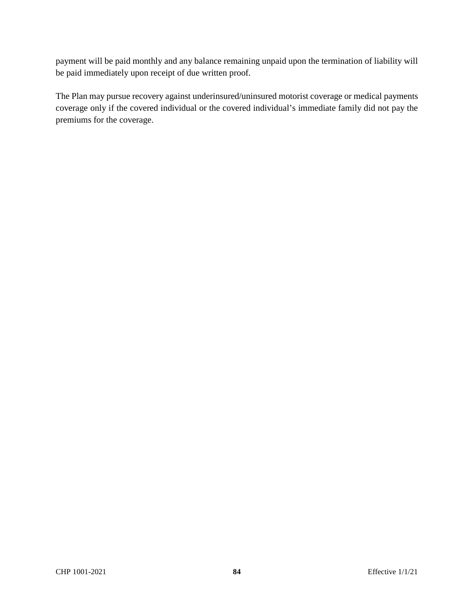payment will be paid monthly and any balance remaining unpaid upon the termination of liability will be paid immediately upon receipt of due written proof.

The Plan may pursue recovery against underinsured/uninsured motorist coverage or medical payments coverage only if the covered individual or the covered individual's immediate family did not pay the premiums for the coverage.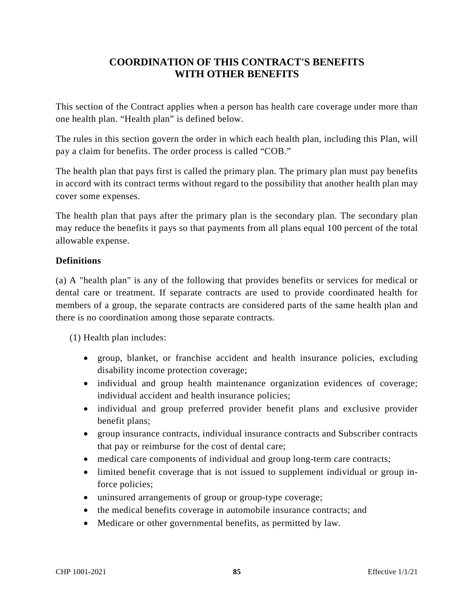# **COORDINATION OF THIS CONTRACT'S BENEFITS WITH OTHER BENEFITS**

This section of the Contract applies when a person has health care coverage under more than one health plan. "Health plan" is defined below.

The rules in this section govern the order in which each health plan, including this Plan, will pay a claim for benefits. The order process is called "COB."

The health plan that pays first is called the primary plan. The primary plan must pay benefits in accord with its contract terms without regard to the possibility that another health plan may cover some expenses.

The health plan that pays after the primary plan is the secondary plan. The secondary plan may reduce the benefits it pays so that payments from all plans equal 100 percent of the total allowable expense.

# **Definitions**

(a) A "health plan" is any of the following that provides benefits or services for medical or dental care or treatment. If separate contracts are used to provide coordinated health for members of a group, the separate contracts are considered parts of the same health plan and there is no coordination among those separate contracts.

(1) Health plan includes:

- group, blanket, or franchise accident and health insurance policies, excluding disability income protection coverage;
- individual and group health maintenance organization evidences of coverage; individual accident and health insurance policies;
- individual and group preferred provider benefit plans and exclusive provider benefit plans;
- group insurance contracts, individual insurance contracts and Subscriber contracts that pay or reimburse for the cost of dental care;
- medical care components of individual and group long-term care contracts;
- limited benefit coverage that is not issued to supplement individual or group inforce policies;
- uninsured arrangements of group or group-type coverage;
- the medical benefits coverage in automobile insurance contracts; and
- Medicare or other governmental benefits, as permitted by law.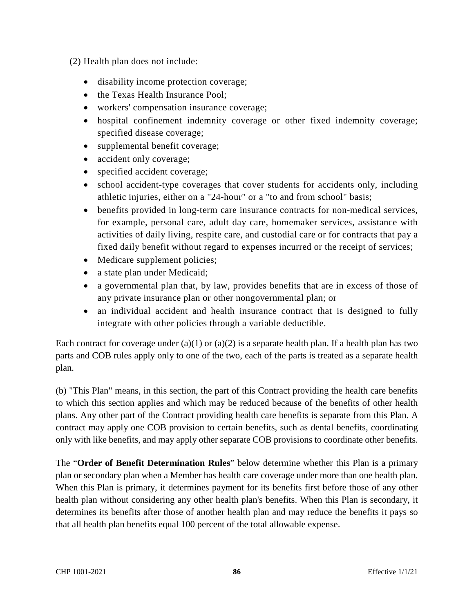- (2) Health plan does not include:
	- disability income protection coverage;
	- the Texas Health Insurance Pool:
	- workers' compensation insurance coverage;
	- hospital confinement indemnity coverage or other fixed indemnity coverage; specified disease coverage;
	- supplemental benefit coverage;
	- accident only coverage;
	- specified accident coverage;
	- school accident-type coverages that cover students for accidents only, including athletic injuries, either on a "24-hour" or a "to and from school" basis;
	- benefits provided in long-term care insurance contracts for non-medical services, for example, personal care, adult day care, homemaker services, assistance with activities of daily living, respite care, and custodial care or for contracts that pay a fixed daily benefit without regard to expenses incurred or the receipt of services;
	- Medicare supplement policies;
	- a state plan under Medicaid;
	- a governmental plan that, by law, provides benefits that are in excess of those of any private insurance plan or other nongovernmental plan; or
	- an individual accident and health insurance contract that is designed to fully integrate with other policies through a variable deductible.

Each contract for coverage under (a)(1) or (a)(2) is a separate health plan. If a health plan has two parts and COB rules apply only to one of the two, each of the parts is treated as a separate health plan.

(b) "This Plan" means, in this section, the part of this Contract providing the health care benefits to which this section applies and which may be reduced because of the benefits of other health plans. Any other part of the Contract providing health care benefits is separate from this Plan. A contract may apply one COB provision to certain benefits, such as dental benefits, coordinating only with like benefits, and may apply other separate COB provisions to coordinate other benefits.

The "**Order of Benefit Determination Rules**" below determine whether this Plan is a primary plan or secondary plan when a Member has health care coverage under more than one health plan. When this Plan is primary, it determines payment for its benefits first before those of any other health plan without considering any other health plan's benefits. When this Plan is secondary, it determines its benefits after those of another health plan and may reduce the benefits it pays so that all health plan benefits equal 100 percent of the total allowable expense.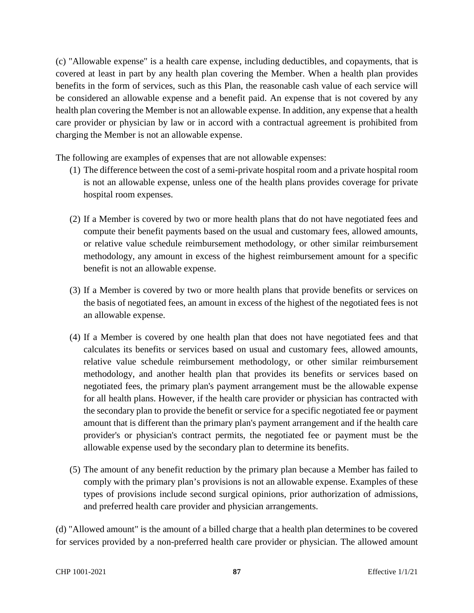(c) "Allowable expense" is a health care expense, including deductibles, and copayments, that is covered at least in part by any health plan covering the Member. When a health plan provides benefits in the form of services, such as this Plan, the reasonable cash value of each service will be considered an allowable expense and a benefit paid. An expense that is not covered by any health plan covering the Member is not an allowable expense. In addition, any expense that a health care provider or physician by law or in accord with a contractual agreement is prohibited from charging the Member is not an allowable expense.

The following are examples of expenses that are not allowable expenses:

- (1) The difference between the cost of a semi-private hospital room and a private hospital room is not an allowable expense, unless one of the health plans provides coverage for private hospital room expenses.
- (2) If a Member is covered by two or more health plans that do not have negotiated fees and compute their benefit payments based on the usual and customary fees, allowed amounts, or relative value schedule reimbursement methodology, or other similar reimbursement methodology, any amount in excess of the highest reimbursement amount for a specific benefit is not an allowable expense.
- (3) If a Member is covered by two or more health plans that provide benefits or services on the basis of negotiated fees, an amount in excess of the highest of the negotiated fees is not an allowable expense.
- (4) If a Member is covered by one health plan that does not have negotiated fees and that calculates its benefits or services based on usual and customary fees, allowed amounts, relative value schedule reimbursement methodology, or other similar reimbursement methodology, and another health plan that provides its benefits or services based on negotiated fees, the primary plan's payment arrangement must be the allowable expense for all health plans. However, if the health care provider or physician has contracted with the secondary plan to provide the benefit or service for a specific negotiated fee or payment amount that is different than the primary plan's payment arrangement and if the health care provider's or physician's contract permits, the negotiated fee or payment must be the allowable expense used by the secondary plan to determine its benefits.
- (5) The amount of any benefit reduction by the primary plan because a Member has failed to comply with the primary plan's provisions is not an allowable expense. Examples of these types of provisions include second surgical opinions, prior authorization of admissions, and preferred health care provider and physician arrangements.

(d) "Allowed amount" is the amount of a billed charge that a health plan determines to be covered for services provided by a non-preferred health care provider or physician. The allowed amount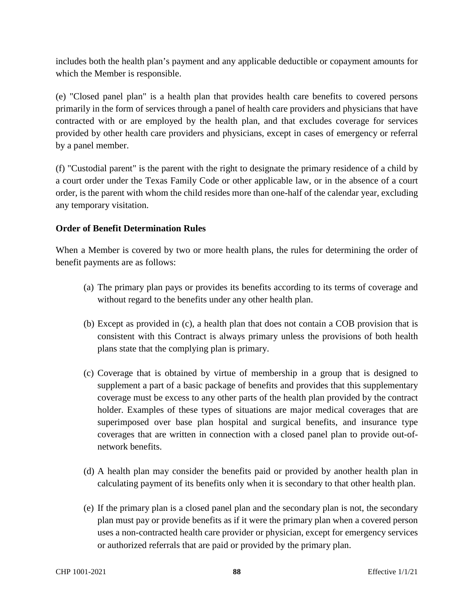includes both the health plan's payment and any applicable deductible or copayment amounts for which the Member is responsible.

(e) "Closed panel plan" is a health plan that provides health care benefits to covered persons primarily in the form of services through a panel of health care providers and physicians that have contracted with or are employed by the health plan, and that excludes coverage for services provided by other health care providers and physicians, except in cases of emergency or referral by a panel member.

(f) "Custodial parent" is the parent with the right to designate the primary residence of a child by a court order under the Texas Family Code or other applicable law, or in the absence of a court order, is the parent with whom the child resides more than one-half of the calendar year, excluding any temporary visitation.

# **Order of Benefit Determination Rules**

When a Member is covered by two or more health plans, the rules for determining the order of benefit payments are as follows:

- (a) The primary plan pays or provides its benefits according to its terms of coverage and without regard to the benefits under any other health plan.
- (b) Except as provided in (c), a health plan that does not contain a COB provision that is consistent with this Contract is always primary unless the provisions of both health plans state that the complying plan is primary.
- (c) Coverage that is obtained by virtue of membership in a group that is designed to supplement a part of a basic package of benefits and provides that this supplementary coverage must be excess to any other parts of the health plan provided by the contract holder. Examples of these types of situations are major medical coverages that are superimposed over base plan hospital and surgical benefits, and insurance type coverages that are written in connection with a closed panel plan to provide out-ofnetwork benefits.
- (d) A health plan may consider the benefits paid or provided by another health plan in calculating payment of its benefits only when it is secondary to that other health plan.
- (e) If the primary plan is a closed panel plan and the secondary plan is not, the secondary plan must pay or provide benefits as if it were the primary plan when a covered person uses a non-contracted health care provider or physician, except for emergency services or authorized referrals that are paid or provided by the primary plan.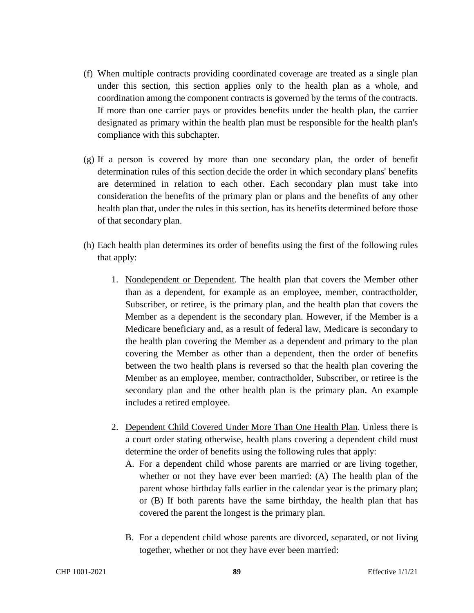- (f) When multiple contracts providing coordinated coverage are treated as a single plan under this section, this section applies only to the health plan as a whole, and coordination among the component contracts is governed by the terms of the contracts. If more than one carrier pays or provides benefits under the health plan, the carrier designated as primary within the health plan must be responsible for the health plan's compliance with this subchapter.
- (g) If a person is covered by more than one secondary plan, the order of benefit determination rules of this section decide the order in which secondary plans' benefits are determined in relation to each other. Each secondary plan must take into consideration the benefits of the primary plan or plans and the benefits of any other health plan that, under the rules in this section, has its benefits determined before those of that secondary plan.
- (h) Each health plan determines its order of benefits using the first of the following rules that apply:
	- 1. Nondependent or Dependent. The health plan that covers the Member other than as a dependent, for example as an employee, member, contractholder, Subscriber, or retiree, is the primary plan, and the health plan that covers the Member as a dependent is the secondary plan. However, if the Member is a Medicare beneficiary and, as a result of federal law, Medicare is secondary to the health plan covering the Member as a dependent and primary to the plan covering the Member as other than a dependent, then the order of benefits between the two health plans is reversed so that the health plan covering the Member as an employee, member, contractholder, Subscriber, or retiree is the secondary plan and the other health plan is the primary plan. An example includes a retired employee.
	- 2. Dependent Child Covered Under More Than One Health Plan. Unless there is a court order stating otherwise, health plans covering a dependent child must determine the order of benefits using the following rules that apply:
		- A. For a dependent child whose parents are married or are living together, whether or not they have ever been married: (A) The health plan of the parent whose birthday falls earlier in the calendar year is the primary plan; or (B) If both parents have the same birthday, the health plan that has covered the parent the longest is the primary plan.
		- B. For a dependent child whose parents are divorced, separated, or not living together, whether or not they have ever been married: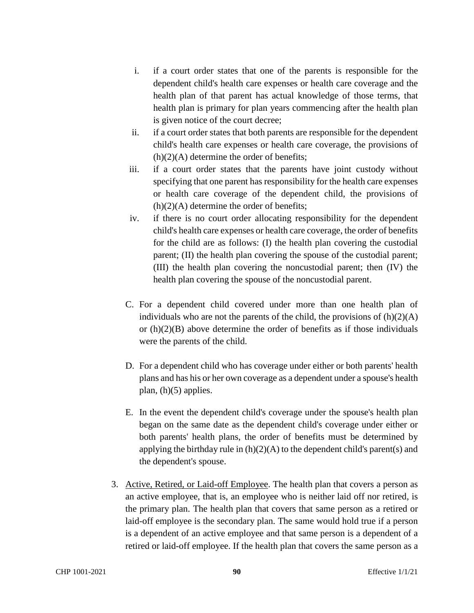- i. if a court order states that one of the parents is responsible for the dependent child's health care expenses or health care coverage and the health plan of that parent has actual knowledge of those terms, that health plan is primary for plan years commencing after the health plan is given notice of the court decree;
- ii. if a court order states that both parents are responsible for the dependent child's health care expenses or health care coverage, the provisions of  $(h)(2)(A)$  determine the order of benefits;
- iii. if a court order states that the parents have joint custody without specifying that one parent has responsibility for the health care expenses or health care coverage of the dependent child, the provisions of  $(h)(2)(A)$  determine the order of benefits;
- iv. if there is no court order allocating responsibility for the dependent child's health care expenses or health care coverage, the order of benefits for the child are as follows: (I) the health plan covering the custodial parent; (II) the health plan covering the spouse of the custodial parent; (III) the health plan covering the noncustodial parent; then (IV) the health plan covering the spouse of the noncustodial parent.
- C. For a dependent child covered under more than one health plan of individuals who are not the parents of the child, the provisions of  $(h)(2)(A)$ or  $(h)(2)(B)$  above determine the order of benefits as if those individuals were the parents of the child.
- D. For a dependent child who has coverage under either or both parents' health plans and has his or her own coverage as a dependent under a spouse's health plan, (h)(5) applies.
- E. In the event the dependent child's coverage under the spouse's health plan began on the same date as the dependent child's coverage under either or both parents' health plans, the order of benefits must be determined by applying the birthday rule in  $(h)(2)(A)$  to the dependent child's parent(s) and the dependent's spouse.
- 3. Active, Retired, or Laid-off Employee. The health plan that covers a person as an active employee, that is, an employee who is neither laid off nor retired, is the primary plan. The health plan that covers that same person as a retired or laid-off employee is the secondary plan. The same would hold true if a person is a dependent of an active employee and that same person is a dependent of a retired or laid-off employee. If the health plan that covers the same person as a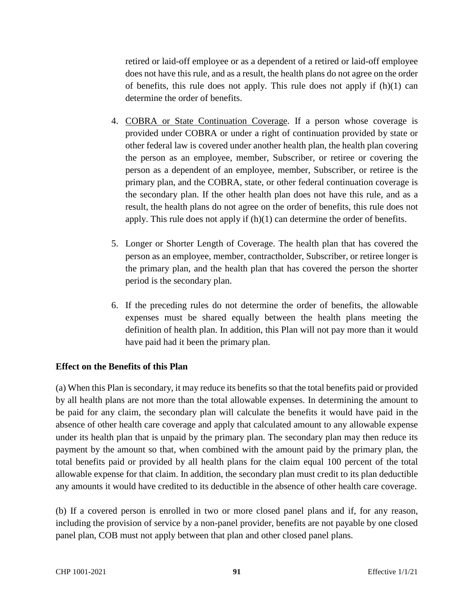retired or laid-off employee or as a dependent of a retired or laid-off employee does not have this rule, and as a result, the health plans do not agree on the order of benefits, this rule does not apply. This rule does not apply if (h)(1) can determine the order of benefits.

- 4. COBRA or State Continuation Coverage. If a person whose coverage is provided under COBRA or under a right of continuation provided by state or other federal law is covered under another health plan, the health plan covering the person as an employee, member, Subscriber, or retiree or covering the person as a dependent of an employee, member, Subscriber, or retiree is the primary plan, and the COBRA, state, or other federal continuation coverage is the secondary plan. If the other health plan does not have this rule, and as a result, the health plans do not agree on the order of benefits, this rule does not apply. This rule does not apply if (h)(1) can determine the order of benefits.
- 5. Longer or Shorter Length of Coverage. The health plan that has covered the person as an employee, member, contractholder, Subscriber, or retiree longer is the primary plan, and the health plan that has covered the person the shorter period is the secondary plan.
- 6. If the preceding rules do not determine the order of benefits, the allowable expenses must be shared equally between the health plans meeting the definition of health plan. In addition, this Plan will not pay more than it would have paid had it been the primary plan.

# **Effect on the Benefits of this Plan**

(a) When this Plan is secondary, it may reduce its benefits so that the total benefits paid or provided by all health plans are not more than the total allowable expenses. In determining the amount to be paid for any claim, the secondary plan will calculate the benefits it would have paid in the absence of other health care coverage and apply that calculated amount to any allowable expense under its health plan that is unpaid by the primary plan. The secondary plan may then reduce its payment by the amount so that, when combined with the amount paid by the primary plan, the total benefits paid or provided by all health plans for the claim equal 100 percent of the total allowable expense for that claim. In addition, the secondary plan must credit to its plan deductible any amounts it would have credited to its deductible in the absence of other health care coverage.

(b) If a covered person is enrolled in two or more closed panel plans and if, for any reason, including the provision of service by a non-panel provider, benefits are not payable by one closed panel plan, COB must not apply between that plan and other closed panel plans.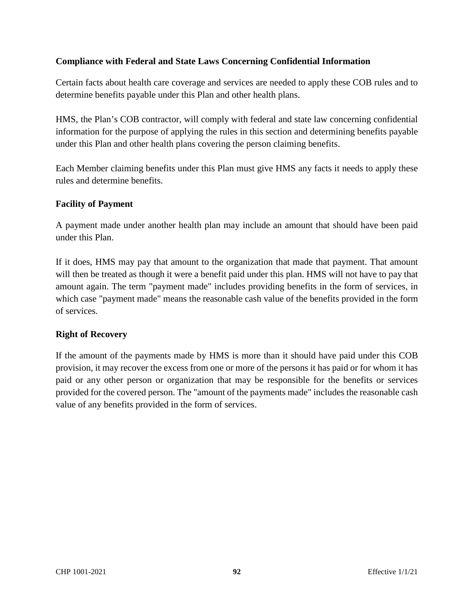# **Compliance with Federal and State Laws Concerning Confidential Information**

Certain facts about health care coverage and services are needed to apply these COB rules and to determine benefits payable under this Plan and other health plans.

HMS, the Plan's COB contractor, will comply with federal and state law concerning confidential information for the purpose of applying the rules in this section and determining benefits payable under this Plan and other health plans covering the person claiming benefits.

Each Member claiming benefits under this Plan must give HMS any facts it needs to apply these rules and determine benefits.

#### **Facility of Payment**

A payment made under another health plan may include an amount that should have been paid under this Plan.

If it does, HMS may pay that amount to the organization that made that payment. That amount will then be treated as though it were a benefit paid under this plan. HMS will not have to pay that amount again. The term "payment made" includes providing benefits in the form of services, in which case "payment made" means the reasonable cash value of the benefits provided in the form of services.

# **Right of Recovery**

If the amount of the payments made by HMS is more than it should have paid under this COB provision, it may recover the excess from one or more of the persons it has paid or for whom it has paid or any other person or organization that may be responsible for the benefits or services provided for the covered person. The "amount of the payments made" includes the reasonable cash value of any benefits provided in the form of services.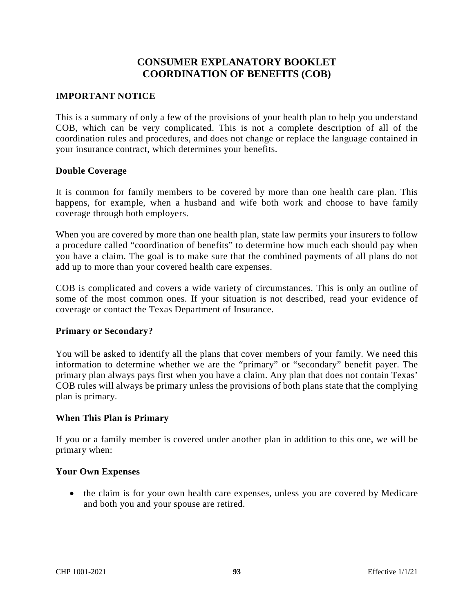# **CONSUMER EXPLANATORY BOOKLET COORDINATION OF BENEFITS (COB)**

### **IMPORTANT NOTICE**

This is a summary of only a few of the provisions of your health plan to help you understand COB, which can be very complicated. This is not a complete description of all of the coordination rules and procedures, and does not change or replace the language contained in your insurance contract, which determines your benefits.

#### **Double Coverage**

It is common for family members to be covered by more than one health care plan. This happens, for example, when a husband and wife both work and choose to have family coverage through both employers.

When you are covered by more than one health plan, state law permits your insurers to follow a procedure called "coordination of benefits" to determine how much each should pay when you have a claim. The goal is to make sure that the combined payments of all plans do not add up to more than your covered health care expenses.

COB is complicated and covers a wide variety of circumstances. This is only an outline of some of the most common ones. If your situation is not described, read your evidence of coverage or contact the Texas Department of Insurance.

#### **Primary or Secondary?**

You will be asked to identify all the plans that cover members of your family. We need this information to determine whether we are the "primary" or "secondary" benefit payer. The primary plan always pays first when you have a claim. Any plan that does not contain Texas' COB rules will always be primary unless the provisions of both plans state that the complying plan is primary.

#### **When This Plan is Primary**

If you or a family member is covered under another plan in addition to this one, we will be primary when:

#### **Your Own Expenses**

• the claim is for your own health care expenses, unless you are covered by Medicare and both you and your spouse are retired.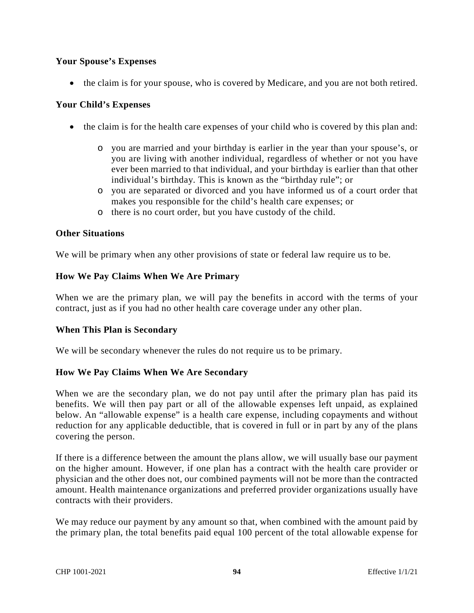## **Your Spouse's Expenses**

• the claim is for your spouse, who is covered by Medicare, and you are not both retired.

### **Your Child's Expenses**

- the claim is for the health care expenses of your child who is covered by this plan and:
	- o you are married and your birthday is earlier in the year than your spouse's, or you are living with another individual, regardless of whether or not you have ever been married to that individual, and your birthday is earlier than that other individual's birthday. This is known as the "birthday rule"; or
	- o you are separated or divorced and you have informed us of a court order that makes you responsible for the child's health care expenses; or
	- o there is no court order, but you have custody of the child.

#### **Other Situations**

We will be primary when any other provisions of state or federal law require us to be.

#### **How We Pay Claims When We Are Primary**

When we are the primary plan, we will pay the benefits in accord with the terms of your contract, just as if you had no other health care coverage under any other plan.

#### **When This Plan is Secondary**

We will be secondary whenever the rules do not require us to be primary.

#### **How We Pay Claims When We Are Secondary**

When we are the secondary plan, we do not pay until after the primary plan has paid its benefits. We will then pay part or all of the allowable expenses left unpaid, as explained below. An "allowable expense" is a health care expense, including copayments and without reduction for any applicable deductible, that is covered in full or in part by any of the plans covering the person.

If there is a difference between the amount the plans allow, we will usually base our payment on the higher amount. However, if one plan has a contract with the health care provider or physician and the other does not, our combined payments will not be more than the contracted amount. Health maintenance organizations and preferred provider organizations usually have contracts with their providers.

We may reduce our payment by any amount so that, when combined with the amount paid by the primary plan, the total benefits paid equal 100 percent of the total allowable expense for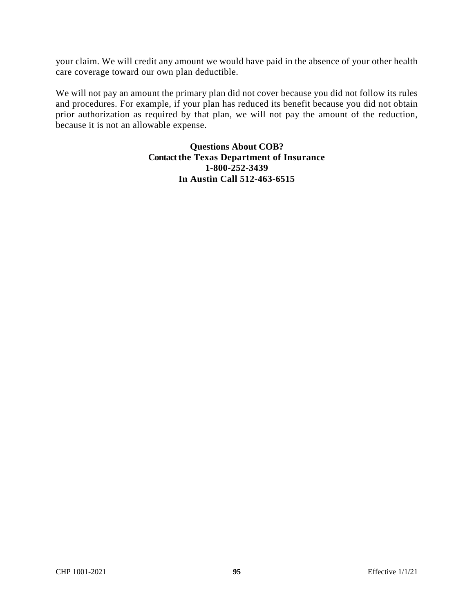your claim. We will credit any amount we would have paid in the absence of your other health care coverage toward our own plan deductible.

We will not pay an amount the primary plan did not cover because you did not follow its rules and procedures. For example, if your plan has reduced its benefit because you did not obtain prior authorization as required by that plan, we will not pay the amount of the reduction, because it is not an allowable expense.

> **Questions About COB? Contact the Texas Department of Insurance 1-800-252-3439 In Austin Call 512-463-6515**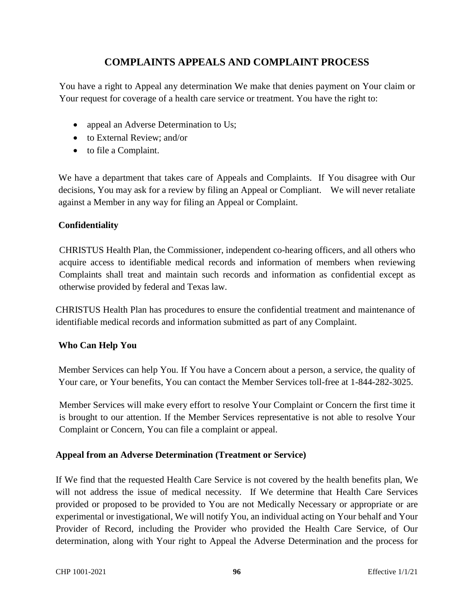# **COMPLAINTS APPEALS AND COMPLAINT PROCESS**

You have a right to Appeal any determination We make that denies payment on Your claim or Your request for coverage of a health care service or treatment. You have the right to:

- appeal an Adverse Determination to Us;
- to External Review; and/or
- to file a Complaint.

We have a department that takes care of Appeals and Complaints. If You disagree with Our decisions, You may ask for a review by filing an Appeal or Compliant. We will never retaliate against a Member in any way for filing an Appeal or Complaint.

## **Confidentiality**

CHRISTUS Health Plan, the Commissioner, independent co-hearing officers, and all others who acquire access to identifiable medical records and information of members when reviewing Complaints shall treat and maintain such records and information as confidential except as otherwise provided by federal and Texas law.

CHRISTUS Health Plan has procedures to ensure the confidential treatment and maintenance of identifiable medical records and information submitted as part of any Complaint.

# **Who Can Help You**

Member Services can help You. If You have a Concern about a person, a service, the quality of Your care, or Your benefits, You can contact the Member Services toll-free at 1-844-282-3025.

Member Services will make every effort to resolve Your Complaint or Concern the first time it is brought to our attention. If the Member Services representative is not able to resolve Your Complaint or Concern, You can file a complaint or appeal.

# **Appeal from an Adverse Determination (Treatment or Service)**

If We find that the requested Health Care Service is not covered by the health benefits plan, We will not address the issue of medical necessity. If We determine that Health Care Services provided or proposed to be provided to You are not Medically Necessary or appropriate or are experimental or investigational, We will notify You, an individual acting on Your behalf and Your Provider of Record, including the Provider who provided the Health Care Service, of Our determination, along with Your right to Appeal the Adverse Determination and the process for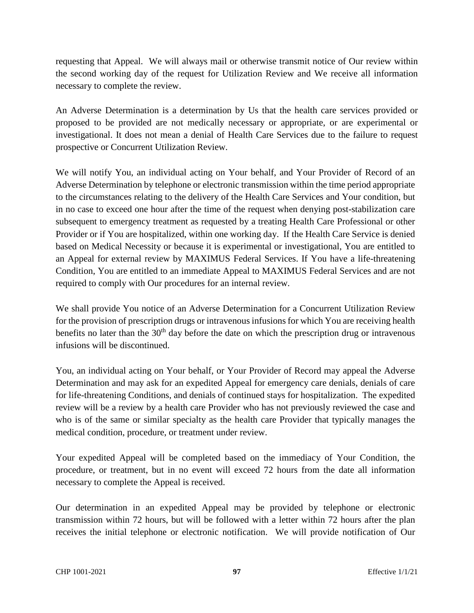requesting that Appeal. We will always mail or otherwise transmit notice of Our review within the second working day of the request for Utilization Review and We receive all information necessary to complete the review.

An Adverse Determination is a determination by Us that the health care services provided or proposed to be provided are not medically necessary or appropriate, or are experimental or investigational. It does not mean a denial of Health Care Services due to the failure to request prospective or Concurrent Utilization Review.

We will notify You, an individual acting on Your behalf, and Your Provider of Record of an Adverse Determination by telephone or electronic transmission within the time period appropriate to the circumstances relating to the delivery of the Health Care Services and Your condition, but in no case to exceed one hour after the time of the request when denying post-stabilization care subsequent to emergency treatment as requested by a treating Health Care Professional or other Provider or if You are hospitalized, within one working day. If the Health Care Service is denied based on Medical Necessity or because it is experimental or investigational, You are entitled to an Appeal for external review by MAXIMUS Federal Services. If You have a life-threatening Condition, You are entitled to an immediate Appeal to MAXIMUS Federal Services and are not required to comply with Our procedures for an internal review.

We shall provide You notice of an Adverse Determination for a Concurrent Utilization Review for the provision of prescription drugs or intravenous infusions for which You are receiving health benefits no later than the  $30<sup>th</sup>$  day before the date on which the prescription drug or intravenous infusions will be discontinued.

You, an individual acting on Your behalf, or Your Provider of Record may appeal the Adverse Determination and may ask for an expedited Appeal for emergency care denials, denials of care for life-threatening Conditions, and denials of continued stays for hospitalization. The expedited review will be a review by a health care Provider who has not previously reviewed the case and who is of the same or similar specialty as the health care Provider that typically manages the medical condition, procedure, or treatment under review.

Your expedited Appeal will be completed based on the immediacy of Your Condition, the procedure, or treatment, but in no event will exceed 72 hours from the date all information necessary to complete the Appeal is received.

Our determination in an expedited Appeal may be provided by telephone or electronic transmission within 72 hours, but will be followed with a letter within 72 hours after the plan receives the initial telephone or electronic notification. We will provide notification of Our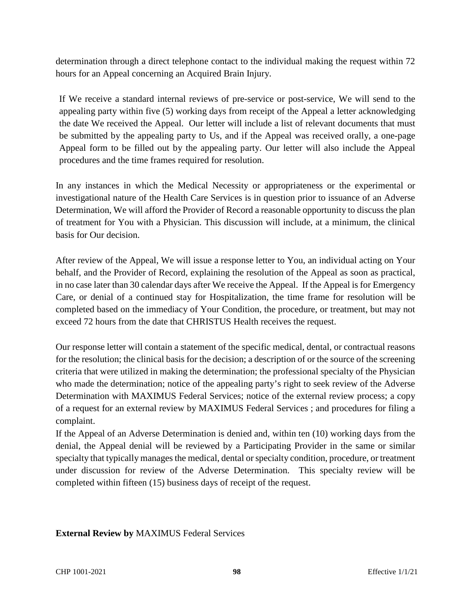determination through a direct telephone contact to the individual making the request within 72 hours for an Appeal concerning an Acquired Brain Injury.

If We receive a standard internal reviews of pre-service or post-service, We will send to the appealing party within five (5) working days from receipt of the Appeal a letter acknowledging the date We received the Appeal. Our letter will include a list of relevant documents that must be submitted by the appealing party to Us, and if the Appeal was received orally, a one-page Appeal form to be filled out by the appealing party. Our letter will also include the Appeal procedures and the time frames required for resolution.

In any instances in which the Medical Necessity or appropriateness or the experimental or investigational nature of the Health Care Services is in question prior to issuance of an Adverse Determination, We will afford the Provider of Record a reasonable opportunity to discuss the plan of treatment for You with a Physician. This discussion will include, at a minimum, the clinical basis for Our decision.

After review of the Appeal, We will issue a response letter to You, an individual acting on Your behalf, and the Provider of Record, explaining the resolution of the Appeal as soon as practical, in no case later than 30 calendar days after We receive the Appeal. If the Appeal is for Emergency Care, or denial of a continued stay for Hospitalization, the time frame for resolution will be completed based on the immediacy of Your Condition, the procedure, or treatment, but may not exceed 72 hours from the date that CHRISTUS Health receives the request.

Our response letter will contain a statement of the specific medical, dental, or contractual reasons for the resolution; the clinical basis for the decision; a description of or the source of the screening criteria that were utilized in making the determination; the professional specialty of the Physician who made the determination; notice of the appealing party's right to seek review of the Adverse Determination with MAXIMUS Federal Services; notice of the external review process; a copy of a request for an external review by MAXIMUS Federal Services ; and procedures for filing a complaint.

If the Appeal of an Adverse Determination is denied and, within ten (10) working days from the denial, the Appeal denial will be reviewed by a Participating Provider in the same or similar specialty that typically manages the medical, dental or specialty condition, procedure, or treatment under discussion for review of the Adverse Determination. This specialty review will be completed within fifteen (15) business days of receipt of the request.

**External Review by** MAXIMUS Federal Services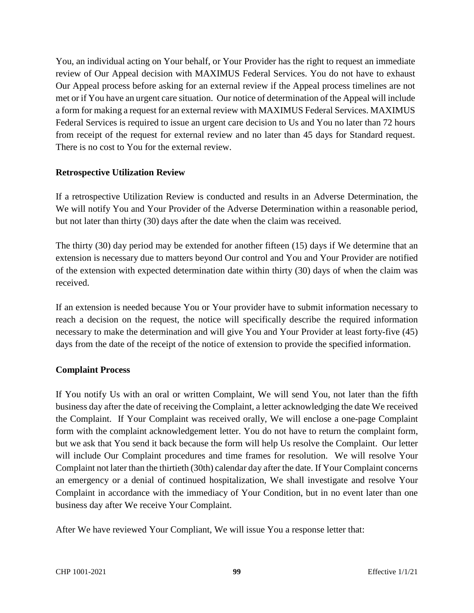You, an individual acting on Your behalf, or Your Provider has the right to request an immediate review of Our Appeal decision with MAXIMUS Federal Services. You do not have to exhaust Our Appeal process before asking for an external review if the Appeal process timelines are not met or if You have an urgent care situation. Our notice of determination of the Appeal will include a form for making a request for an external review with MAXIMUS Federal Services. MAXIMUS Federal Services is required to issue an urgent care decision to Us and You no later than 72 hours from receipt of the request for external review and no later than 45 days for Standard request. There is no cost to You for the external review.

## **Retrospective Utilization Review**

If a retrospective Utilization Review is conducted and results in an Adverse Determination, the We will notify You and Your Provider of the Adverse Determination within a reasonable period, but not later than thirty (30) days after the date when the claim was received.

The thirty (30) day period may be extended for another fifteen (15) days if We determine that an extension is necessary due to matters beyond Our control and You and Your Provider are notified of the extension with expected determination date within thirty (30) days of when the claim was received.

If an extension is needed because You or Your provider have to submit information necessary to reach a decision on the request, the notice will specifically describe the required information necessary to make the determination and will give You and Your Provider at least forty-five (45) days from the date of the receipt of the notice of extension to provide the specified information.

#### **Complaint Process**

If You notify Us with an oral or written Complaint, We will send You, not later than the fifth business day after the date of receiving the Complaint, a letter acknowledging the date We received the Complaint. If Your Complaint was received orally, We will enclose a one-page Complaint form with the complaint acknowledgement letter. You do not have to return the complaint form, but we ask that You send it back because the form will help Us resolve the Complaint. Our letter will include Our Complaint procedures and time frames for resolution. We will resolve Your Complaint not later than the thirtieth (30th) calendar day after the date. If Your Complaint concerns an emergency or a denial of continued hospitalization, We shall investigate and resolve Your Complaint in accordance with the immediacy of Your Condition, but in no event later than one business day after We receive Your Complaint.

After We have reviewed Your Compliant, We will issue You a response letter that: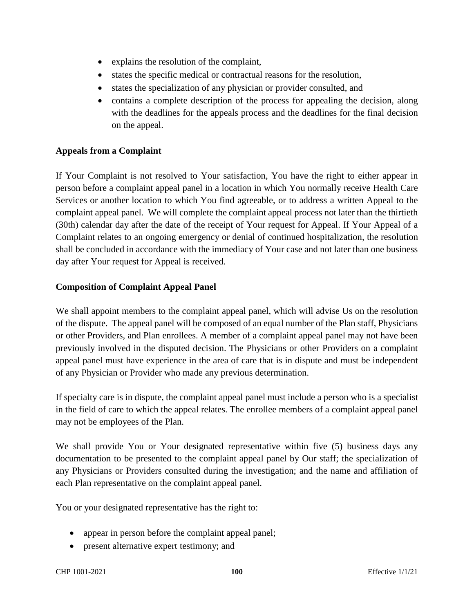- explains the resolution of the complaint,
- states the specific medical or contractual reasons for the resolution,
- states the specialization of any physician or provider consulted, and
- contains a complete description of the process for appealing the decision, along with the deadlines for the appeals process and the deadlines for the final decision on the appeal.

# **Appeals from a Complaint**

If Your Complaint is not resolved to Your satisfaction, You have the right to either appear in person before a complaint appeal panel in a location in which You normally receive Health Care Services or another location to which You find agreeable, or to address a written Appeal to the complaint appeal panel. We will complete the complaint appeal process not later than the thirtieth (30th) calendar day after the date of the receipt of Your request for Appeal. If Your Appeal of a Complaint relates to an ongoing emergency or denial of continued hospitalization, the resolution shall be concluded in accordance with the immediacy of Your case and not later than one business day after Your request for Appeal is received.

# **Composition of Complaint Appeal Panel**

We shall appoint members to the complaint appeal panel, which will advise Us on the resolution of the dispute. The appeal panel will be composed of an equal number of the Plan staff, Physicians or other Providers, and Plan enrollees. A member of a complaint appeal panel may not have been previously involved in the disputed decision. The Physicians or other Providers on a complaint appeal panel must have experience in the area of care that is in dispute and must be independent of any Physician or Provider who made any previous determination.

If specialty care is in dispute, the complaint appeal panel must include a person who is a specialist in the field of care to which the appeal relates. The enrollee members of a complaint appeal panel may not be employees of the Plan.

We shall provide You or Your designated representative within five (5) business days any documentation to be presented to the complaint appeal panel by Our staff; the specialization of any Physicians or Providers consulted during the investigation; and the name and affiliation of each Plan representative on the complaint appeal panel.

You or your designated representative has the right to:

- appear in person before the complaint appeal panel;
- present alternative expert testimony; and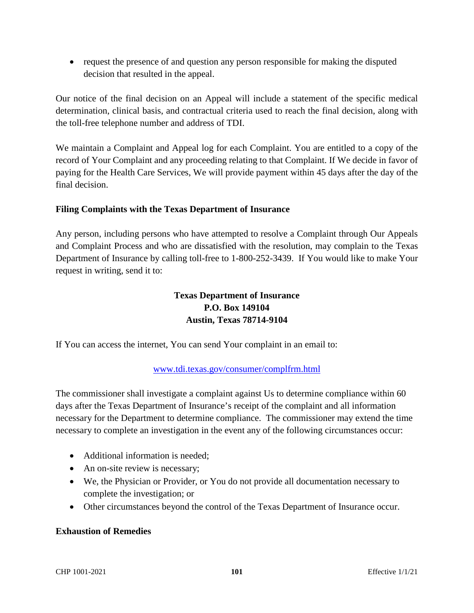• request the presence of and question any person responsible for making the disputed decision that resulted in the appeal.

Our notice of the final decision on an Appeal will include a statement of the specific medical determination, clinical basis, and contractual criteria used to reach the final decision, along with the toll-free telephone number and address of TDI.

We maintain a Complaint and Appeal log for each Complaint. You are entitled to a copy of the record of Your Complaint and any proceeding relating to that Complaint. If We decide in favor of paying for the Health Care Services, We will provide payment within 45 days after the day of the final decision.

# **Filing Complaints with the Texas Department of Insurance**

Any person, including persons who have attempted to resolve a Complaint through Our Appeals and Complaint Process and who are dissatisfied with the resolution, may complain to the Texas Department of Insurance by calling toll-free to 1-800-252-3439. If You would like to make Your request in writing, send it to:

# **Texas Department of Insurance P.O. Box 149104 Austin, Texas 78714-9104**

If You can access the internet, You can send Your complaint in an email to:

# www.tdi.texas.gov/consumer/complfrm.html

The commissioner shall investigate a complaint against Us to determine compliance within 60 days after the Texas Department of Insurance's receipt of the complaint and all information necessary for the Department to determine compliance. The commissioner may extend the time necessary to complete an investigation in the event any of the following circumstances occur:

- Additional information is needed:
- An on-site review is necessary;
- We, the Physician or Provider, or You do not provide all documentation necessary to complete the investigation; or
- Other circumstances beyond the control of the Texas Department of Insurance occur.

# **Exhaustion of Remedies**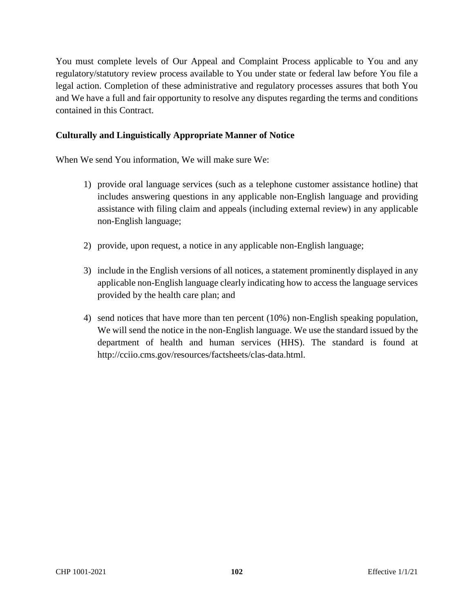You must complete levels of Our Appeal and Complaint Process applicable to You and any regulatory/statutory review process available to You under state or federal law before You file a legal action. Completion of these administrative and regulatory processes assures that both You and We have a full and fair opportunity to resolve any disputes regarding the terms and conditions contained in this Contract.

## **Culturally and Linguistically Appropriate Manner of Notice**

When We send You information, We will make sure We:

- 1) provide oral language services (such as a telephone customer assistance hotline) that includes answering questions in any applicable non-English language and providing assistance with filing claim and appeals (including external review) in any applicable non-English language;
- 2) provide, upon request, a notice in any applicable non-English language;
- 3) include in the English versions of all notices, a statement prominently displayed in any applicable non-English language clearly indicating how to access the language services provided by the health care plan; and
- 4) send notices that have more than ten percent (10%) non-English speaking population, We will send the notice in the non-English language. We use the standard issued by the department of health and human services (HHS). The standard is found at http://cciio.cms.gov/resources/factsheets/clas-data.html.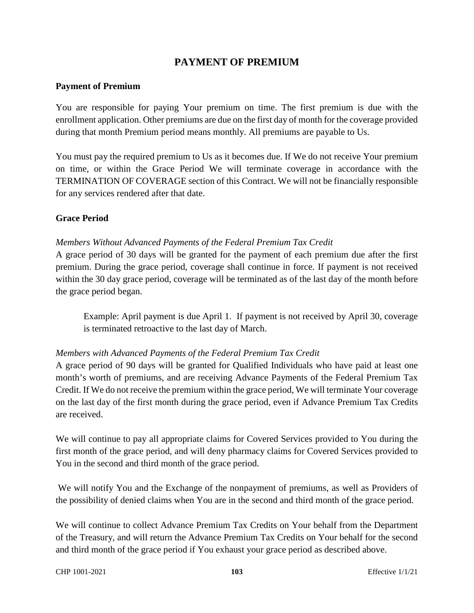# **PAYMENT OF PREMIUM**

#### **Payment of Premium**

You are responsible for paying Your premium on time. The first premium is due with the enrollment application. Other premiums are due on the first day of month for the coverage provided during that month Premium period means monthly. All premiums are payable to Us.

You must pay the required premium to Us as it becomes due. If We do not receive Your premium on time, or within the Grace Period We will terminate coverage in accordance with the TERMINATION OF COVERAGE section of this Contract. We will not be financially responsible for any services rendered after that date.

## **Grace Period**

# *Members Without Advanced Payments of the Federal Premium Tax Credit*

A grace period of 30 days will be granted for the payment of each premium due after the first premium. During the grace period, coverage shall continue in force. If payment is not received within the 30 day grace period, coverage will be terminated as of the last day of the month before the grace period began.

Example: April payment is due April 1. If payment is not received by April 30, coverage is terminated retroactive to the last day of March.

#### *Members with Advanced Payments of the Federal Premium Tax Credit*

A grace period of 90 days will be granted for Qualified Individuals who have paid at least one month's worth of premiums, and are receiving Advance Payments of the Federal Premium Tax Credit. If We do not receive the premium within the grace period, We will terminate Your coverage on the last day of the first month during the grace period, even if Advance Premium Tax Credits are received.

We will continue to pay all appropriate claims for Covered Services provided to You during the first month of the grace period, and will deny pharmacy claims for Covered Services provided to You in the second and third month of the grace period.

 We will notify You and the Exchange of the nonpayment of premiums, as well as Providers of the possibility of denied claims when You are in the second and third month of the grace period.

We will continue to collect Advance Premium Tax Credits on Your behalf from the Department of the Treasury, and will return the Advance Premium Tax Credits on Your behalf for the second and third month of the grace period if You exhaust your grace period as described above.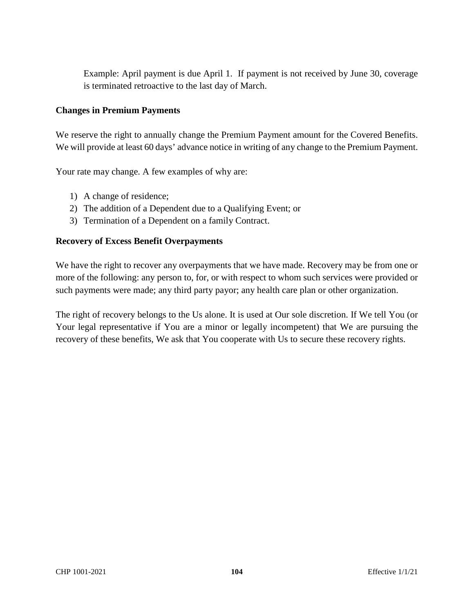Example: April payment is due April 1. If payment is not received by June 30, coverage is terminated retroactive to the last day of March.

## **Changes in Premium Payments**

We reserve the right to annually change the Premium Payment amount for the Covered Benefits. We will provide at least 60 days' advance notice in writing of any change to the Premium Payment.

Your rate may change. A few examples of why are:

- 1) A change of residence;
- 2) The addition of a Dependent due to a Qualifying Event; or
- 3) Termination of a Dependent on a family Contract.

## **Recovery of Excess Benefit Overpayments**

We have the right to recover any overpayments that we have made. Recovery may be from one or more of the following: any person to, for, or with respect to whom such services were provided or such payments were made; any third party payor; any health care plan or other organization.

The right of recovery belongs to the Us alone. It is used at Our sole discretion. If We tell You (or Your legal representative if You are a minor or legally incompetent) that We are pursuing the recovery of these benefits, We ask that You cooperate with Us to secure these recovery rights.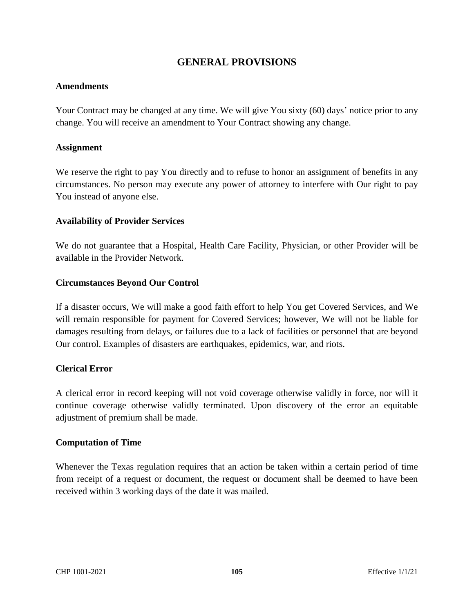# **GENERAL PROVISIONS**

#### **Amendments**

Your Contract may be changed at any time. We will give You sixty (60) days' notice prior to any change. You will receive an amendment to Your Contract showing any change.

#### **Assignment**

We reserve the right to pay You directly and to refuse to honor an assignment of benefits in any circumstances. No person may execute any power of attorney to interfere with Our right to pay You instead of anyone else.

#### **Availability of Provider Services**

We do not guarantee that a Hospital, Health Care Facility, Physician, or other Provider will be available in the Provider Network.

#### **Circumstances Beyond Our Control**

If a disaster occurs, We will make a good faith effort to help You get Covered Services, and We will remain responsible for payment for Covered Services; however, We will not be liable for damages resulting from delays, or failures due to a lack of facilities or personnel that are beyond Our control. Examples of disasters are earthquakes, epidemics, war, and riots.

#### **Clerical Error**

A clerical error in record keeping will not void coverage otherwise validly in force, nor will it continue coverage otherwise validly terminated. Upon discovery of the error an equitable adjustment of premium shall be made.

#### **Computation of Time**

Whenever the Texas regulation requires that an action be taken within a certain period of time from receipt of a request or document, the request or document shall be deemed to have been received within 3 working days of the date it was mailed.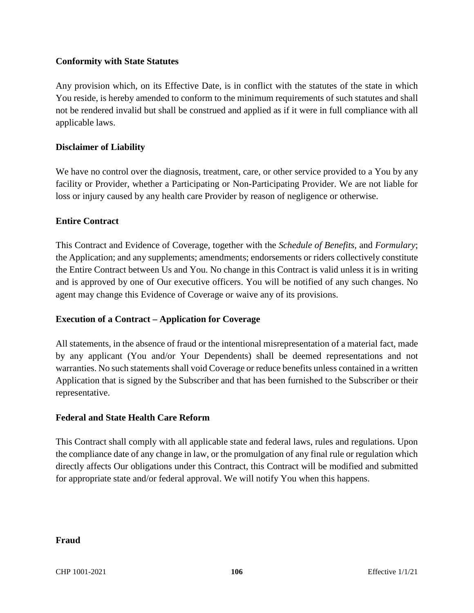## **Conformity with State Statutes**

Any provision which, on its Effective Date, is in conflict with the statutes of the state in which You reside, is hereby amended to conform to the minimum requirements of such statutes and shall not be rendered invalid but shall be construed and applied as if it were in full compliance with all applicable laws.

## **Disclaimer of Liability**

We have no control over the diagnosis, treatment, care, or other service provided to a You by any facility or Provider, whether a Participating or Non-Participating Provider. We are not liable for loss or injury caused by any health care Provider by reason of negligence or otherwise.

#### **Entire Contract**

This Contract and Evidence of Coverage, together with the *Schedule of Benefits,* and *Formulary*; the Application; and any supplements; amendments; endorsements or riders collectively constitute the Entire Contract between Us and You. No change in this Contract is valid unless it is in writing and is approved by one of Our executive officers. You will be notified of any such changes. No agent may change this Evidence of Coverage or waive any of its provisions.

# **Execution of a Contract – Application for Coverage**

All statements, in the absence of fraud or the intentional misrepresentation of a material fact, made by any applicant (You and/or Your Dependents) shall be deemed representations and not warranties. No such statements shall void Coverage or reduce benefits unless contained in a written Application that is signed by the Subscriber and that has been furnished to the Subscriber or their representative.

#### **Federal and State Health Care Reform**

This Contract shall comply with all applicable state and federal laws, rules and regulations. Upon the compliance date of any change in law, or the promulgation of any final rule or regulation which directly affects Our obligations under this Contract, this Contract will be modified and submitted for appropriate state and/or federal approval. We will notify You when this happens.

#### **Fraud**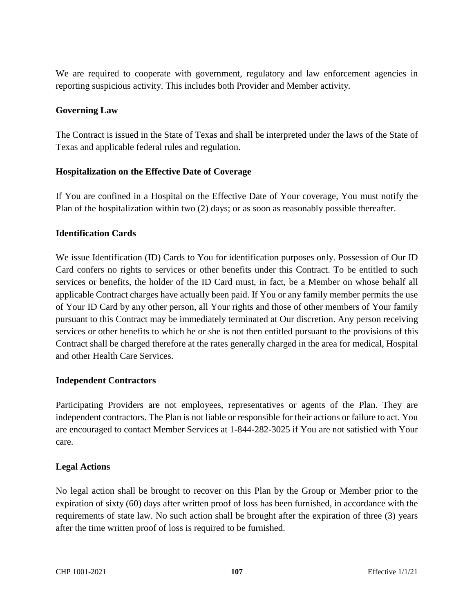We are required to cooperate with government, regulatory and law enforcement agencies in reporting suspicious activity. This includes both Provider and Member activity.

# **Governing Law**

The Contract is issued in the State of Texas and shall be interpreted under the laws of the State of Texas and applicable federal rules and regulation.

## **Hospitalization on the Effective Date of Coverage**

If You are confined in a Hospital on the Effective Date of Your coverage, You must notify the Plan of the hospitalization within two (2) days; or as soon as reasonably possible thereafter.

## **Identification Cards**

We issue Identification (ID) Cards to You for identification purposes only. Possession of Our ID Card confers no rights to services or other benefits under this Contract. To be entitled to such services or benefits, the holder of the ID Card must, in fact, be a Member on whose behalf all applicable Contract charges have actually been paid. If You or any family member permits the use of Your ID Card by any other person, all Your rights and those of other members of Your family pursuant to this Contract may be immediately terminated at Our discretion. Any person receiving services or other benefits to which he or she is not then entitled pursuant to the provisions of this Contract shall be charged therefore at the rates generally charged in the area for medical, Hospital and other Health Care Services.

#### **Independent Contractors**

Participating Providers are not employees, representatives or agents of the Plan. They are independent contractors. The Plan is not liable or responsible for their actions or failure to act. You are encouraged to contact Member Services at 1-844-282-3025 if You are not satisfied with Your care.

# **Legal Actions**

No legal action shall be brought to recover on this Plan by the Group or Member prior to the expiration of sixty (60) days after written proof of loss has been furnished, in accordance with the requirements of state law. No such action shall be brought after the expiration of three (3) years after the time written proof of loss is required to be furnished.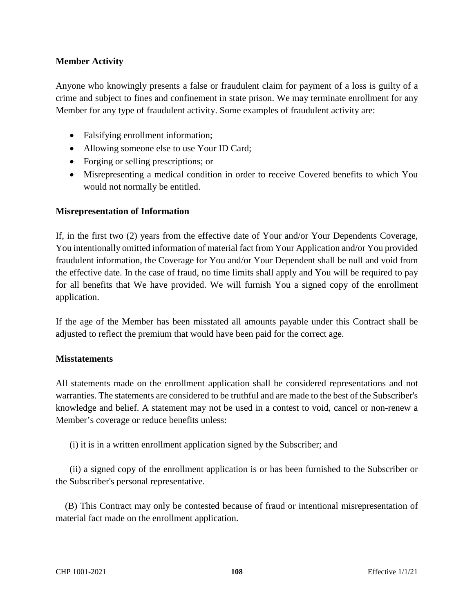## **Member Activity**

Anyone who knowingly presents a false or fraudulent claim for payment of a loss is guilty of a crime and subject to fines and confinement in state prison. We may terminate enrollment for any Member for any type of fraudulent activity. Some examples of fraudulent activity are:

- Falsifying enrollment information;
- Allowing someone else to use Your ID Card;
- Forging or selling prescriptions; or
- Misrepresenting a medical condition in order to receive Covered benefits to which You would not normally be entitled.

## **Misrepresentation of Information**

If, in the first two (2) years from the effective date of Your and/or Your Dependents Coverage, You intentionally omitted information of material fact from Your Application and/or You provided fraudulent information, the Coverage for You and/or Your Dependent shall be null and void from the effective date. In the case of fraud, no time limits shall apply and You will be required to pay for all benefits that We have provided. We will furnish You a signed copy of the enrollment application.

If the age of the Member has been misstated all amounts payable under this Contract shall be adjusted to reflect the premium that would have been paid for the correct age.

#### **Misstatements**

All statements made on the enrollment application shall be considered representations and not warranties. The statements are considered to be truthful and are made to the best of the Subscriber's knowledge and belief. A statement may not be used in a contest to void, cancel or non-renew a Member's coverage or reduce benefits unless:

(i) it is in a written enrollment application signed by the Subscriber; and

 (ii) a signed copy of the enrollment application is or has been furnished to the Subscriber or the Subscriber's personal representative.

 (B) This Contract may only be contested because of fraud or intentional misrepresentation of material fact made on the enrollment application.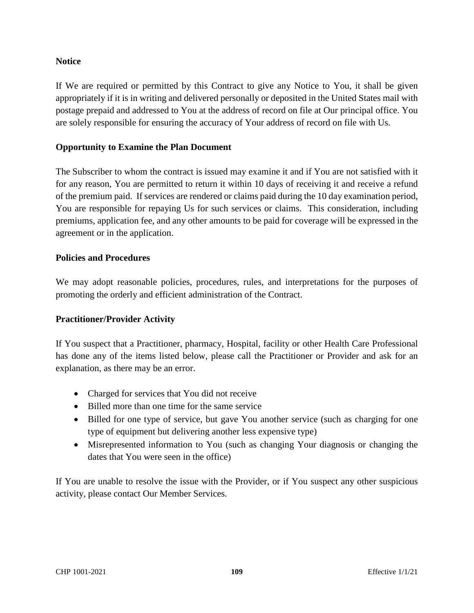### **Notice**

If We are required or permitted by this Contract to give any Notice to You, it shall be given appropriately if it is in writing and delivered personally or deposited in the United States mail with postage prepaid and addressed to You at the address of record on file at Our principal office. You are solely responsible for ensuring the accuracy of Your address of record on file with Us.

### **Opportunity to Examine the Plan Document**

The Subscriber to whom the contract is issued may examine it and if You are not satisfied with it for any reason, You are permitted to return it within 10 days of receiving it and receive a refund of the premium paid. If services are rendered or claims paid during the 10 day examination period, You are responsible for repaying Us for such services or claims. This consideration, including premiums, application fee, and any other amounts to be paid for coverage will be expressed in the agreement or in the application.

#### **Policies and Procedures**

We may adopt reasonable policies, procedures, rules, and interpretations for the purposes of promoting the orderly and efficient administration of the Contract.

#### **Practitioner/Provider Activity**

If You suspect that a Practitioner, pharmacy, Hospital, facility or other Health Care Professional has done any of the items listed below, please call the Practitioner or Provider and ask for an explanation, as there may be an error.

- Charged for services that You did not receive
- Billed more than one time for the same service
- Billed for one type of service, but gave You another service (such as charging for one type of equipment but delivering another less expensive type)
- Misrepresented information to You (such as changing Your diagnosis or changing the dates that You were seen in the office)

If You are unable to resolve the issue with the Provider, or if You suspect any other suspicious activity, please contact Our Member Services.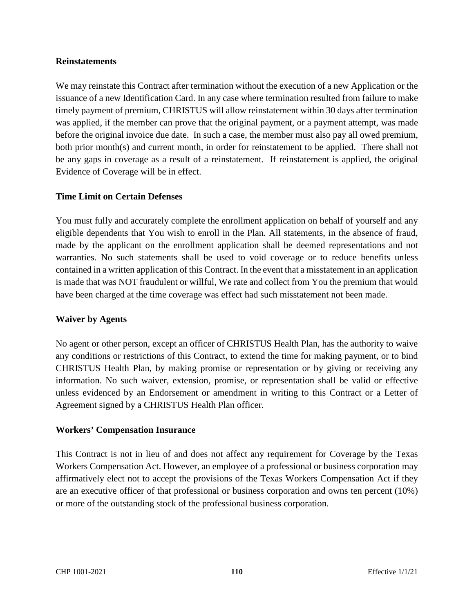#### **Reinstatements**

We may reinstate this Contract after termination without the execution of a new Application or the issuance of a new Identification Card. In any case where termination resulted from failure to make timely payment of premium, CHRISTUS will allow reinstatement within 30 days after termination was applied, if the member can prove that the original payment, or a payment attempt, was made before the original invoice due date. In such a case, the member must also pay all owed premium, both prior month(s) and current month, in order for reinstatement to be applied. There shall not be any gaps in coverage as a result of a reinstatement. If reinstatement is applied, the original Evidence of Coverage will be in effect.

#### **Time Limit on Certain Defenses**

You must fully and accurately complete the enrollment application on behalf of yourself and any eligible dependents that You wish to enroll in the Plan. All statements, in the absence of fraud, made by the applicant on the enrollment application shall be deemed representations and not warranties. No such statements shall be used to void coverage or to reduce benefits unless contained in a written application of this Contract. In the event that a misstatement in an application is made that was NOT fraudulent or willful, We rate and collect from You the premium that would have been charged at the time coverage was effect had such misstatement not been made.

#### **Waiver by Agents**

No agent or other person, except an officer of CHRISTUS Health Plan, has the authority to waive any conditions or restrictions of this Contract, to extend the time for making payment, or to bind CHRISTUS Health Plan, by making promise or representation or by giving or receiving any information. No such waiver, extension, promise, or representation shall be valid or effective unless evidenced by an Endorsement or amendment in writing to this Contract or a Letter of Agreement signed by a CHRISTUS Health Plan officer.

#### **Workers' Compensation Insurance**

This Contract is not in lieu of and does not affect any requirement for Coverage by the Texas Workers Compensation Act. However, an employee of a professional or business corporation may affirmatively elect not to accept the provisions of the Texas Workers Compensation Act if they are an executive officer of that professional or business corporation and owns ten percent (10%) or more of the outstanding stock of the professional business corporation.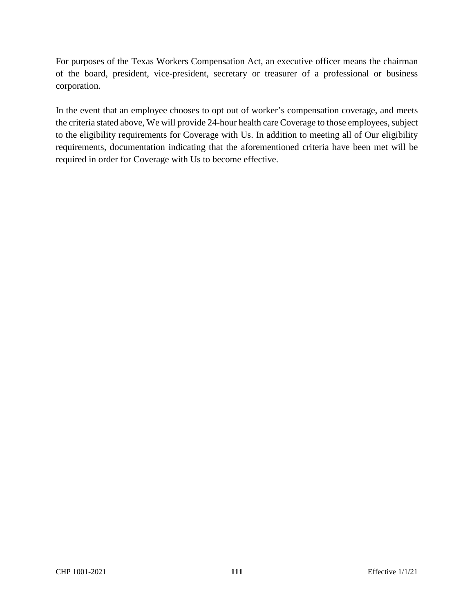For purposes of the Texas Workers Compensation Act, an executive officer means the chairman of the board, president, vice-president, secretary or treasurer of a professional or business corporation.

In the event that an employee chooses to opt out of worker's compensation coverage, and meets the criteria stated above, We will provide 24-hour health care Coverage to those employees, subject to the eligibility requirements for Coverage with Us. In addition to meeting all of Our eligibility requirements, documentation indicating that the aforementioned criteria have been met will be required in order for Coverage with Us to become effective.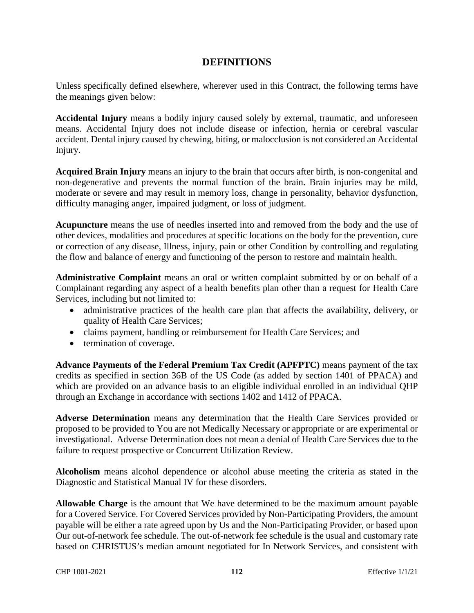## **DEFINITIONS**

Unless specifically defined elsewhere, wherever used in this Contract, the following terms have the meanings given below:

**Accidental Injury** means a bodily injury caused solely by external, traumatic, and unforeseen means. Accidental Injury does not include disease or infection, hernia or cerebral vascular accident. Dental injury caused by chewing, biting, or malocclusion is not considered an Accidental Injury.

**Acquired Brain Injury** means an injury to the brain that occurs after birth, is non-congenital and non-degenerative and prevents the normal function of the brain. Brain injuries may be mild, moderate or severe and may result in memory loss, change in personality, behavior dysfunction, difficulty managing anger, impaired judgment, or loss of judgment.

**Acupuncture** means the use of needles inserted into and removed from the body and the use of other devices, modalities and procedures at specific locations on the body for the prevention, cure or correction of any disease, Illness, injury, pain or other Condition by controlling and regulating the flow and balance of energy and functioning of the person to restore and maintain health.

**Administrative Complaint** means an oral or written complaint submitted by or on behalf of a Complainant regarding any aspect of a health benefits plan other than a request for Health Care Services, including but not limited to:

- administrative practices of the health care plan that affects the availability, delivery, or quality of Health Care Services;
- claims payment, handling or reimbursement for Health Care Services; and
- termination of coverage.

**Advance Payments of the Federal Premium Tax Credit (APFPTC)** means payment of the tax credits as specified in section 36B of the US Code (as added by section 1401 of PPACA) and which are provided on an advance basis to an eligible individual enrolled in an individual QHP through an Exchange in accordance with sections 1402 and 1412 of PPACA.

**Adverse Determination** means any determination that the Health Care Services provided or proposed to be provided to You are not Medically Necessary or appropriate or are experimental or investigational. Adverse Determination does not mean a denial of Health Care Services due to the failure to request prospective or Concurrent Utilization Review.

**Alcoholism** means alcohol dependence or alcohol abuse meeting the criteria as stated in the Diagnostic and Statistical Manual IV for these disorders.

**Allowable Charge** is the amount that We have determined to be the maximum amount payable for a Covered Service. For Covered Services provided by Non-Participating Providers, the amount payable will be either a rate agreed upon by Us and the Non-Participating Provider, or based upon Our out-of-network fee schedule. The out-of-network fee schedule is the usual and customary rate based on CHRISTUS's median amount negotiated for In Network Services, and consistent with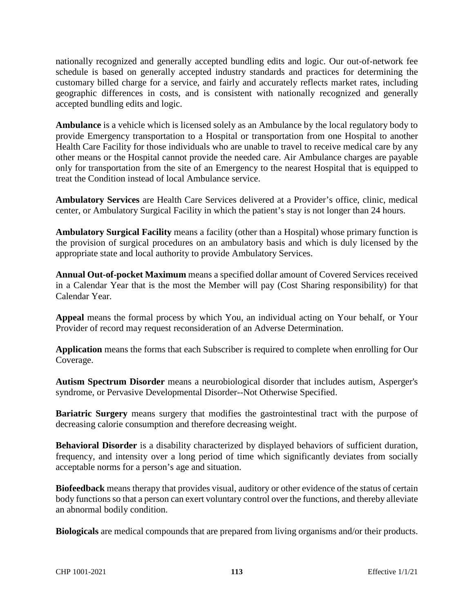nationally recognized and generally accepted bundling edits and logic. Our out-of-network fee schedule is based on generally accepted industry standards and practices for determining the customary billed charge for a service, and fairly and accurately reflects market rates, including geographic differences in costs, and is consistent with nationally recognized and generally accepted bundling edits and logic.

**Ambulance** is a vehicle which is licensed solely as an Ambulance by the local regulatory body to provide Emergency transportation to a Hospital or transportation from one Hospital to another Health Care Facility for those individuals who are unable to travel to receive medical care by any other means or the Hospital cannot provide the needed care. Air Ambulance charges are payable only for transportation from the site of an Emergency to the nearest Hospital that is equipped to treat the Condition instead of local Ambulance service.

**Ambulatory Services** are Health Care Services delivered at a Provider's office, clinic, medical center, or Ambulatory Surgical Facility in which the patient's stay is not longer than 24 hours.

**Ambulatory Surgical Facility** means a facility (other than a Hospital) whose primary function is the provision of surgical procedures on an ambulatory basis and which is duly licensed by the appropriate state and local authority to provide Ambulatory Services.

**Annual Out-of-pocket Maximum** means a specified dollar amount of Covered Services received in a Calendar Year that is the most the Member will pay (Cost Sharing responsibility) for that Calendar Year.

**Appeal** means the formal process by which You, an individual acting on Your behalf, or Your Provider of record may request reconsideration of an Adverse Determination.

**Application** means the forms that each Subscriber is required to complete when enrolling for Our Coverage.

**Autism Spectrum Disorder** means a neurobiological disorder that includes autism, Asperger's syndrome, or Pervasive Developmental Disorder--Not Otherwise Specified.

**Bariatric Surgery** means surgery that modifies the gastrointestinal tract with the purpose of decreasing calorie consumption and therefore decreasing weight.

**Behavioral Disorder** is a disability characterized by displayed behaviors of sufficient duration, frequency, and intensity over a long period of time which significantly deviates from socially acceptable norms for a person's age and situation.

**Biofeedback** means therapy that provides visual, auditory or other evidence of the status of certain body functions so that a person can exert voluntary control over the functions, and thereby alleviate an abnormal bodily condition.

**Biologicals** are medical compounds that are prepared from living organisms and/or their products.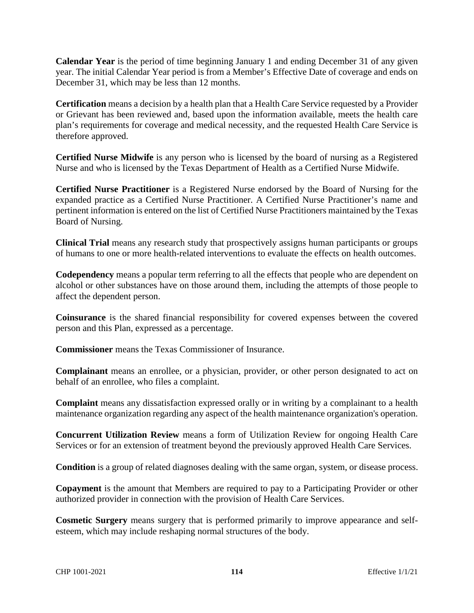**Calendar Year** is the period of time beginning January 1 and ending December 31 of any given year. The initial Calendar Year period is from a Member's Effective Date of coverage and ends on December 31, which may be less than 12 months.

**Certification** means a decision by a health plan that a Health Care Service requested by a Provider or Grievant has been reviewed and, based upon the information available, meets the health care plan's requirements for coverage and medical necessity, and the requested Health Care Service is therefore approved.

**Certified Nurse Midwife** is any person who is licensed by the board of nursing as a Registered Nurse and who is licensed by the Texas Department of Health as a Certified Nurse Midwife.

**Certified Nurse Practitioner** is a Registered Nurse endorsed by the Board of Nursing for the expanded practice as a Certified Nurse Practitioner. A Certified Nurse Practitioner's name and pertinent information is entered on the list of Certified Nurse Practitioners maintained by the Texas Board of Nursing.

**Clinical Trial** means any research study that prospectively assigns human participants or groups of humans to one or more health-related interventions to evaluate the effects on health outcomes.

**Codependency** means a popular term referring to all the effects that people who are dependent on alcohol or other substances have on those around them, including the attempts of those people to affect the dependent person.

**Coinsurance** is the shared financial responsibility for covered expenses between the covered person and this Plan, expressed as a percentage.

**Commissioner** means the Texas Commissioner of Insurance.

**Complainant** means an enrollee, or a physician, provider, or other person designated to act on behalf of an enrollee, who files a complaint.

**Complaint** means any dissatisfaction expressed orally or in writing by a complainant to a health maintenance organization regarding any aspect of the health maintenance organization's operation.

**Concurrent Utilization Review** means a form of Utilization Review for ongoing Health Care Services or for an extension of treatment beyond the previously approved Health Care Services.

**Condition** is a group of related diagnoses dealing with the same organ, system, or disease process.

**Copayment** is the amount that Members are required to pay to a Participating Provider or other authorized provider in connection with the provision of Health Care Services.

**Cosmetic Surgery** means surgery that is performed primarily to improve appearance and selfesteem, which may include reshaping normal structures of the body.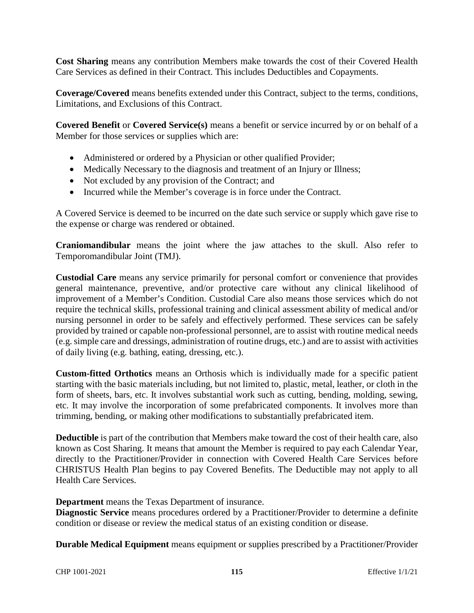**Cost Sharing** means any contribution Members make towards the cost of their Covered Health Care Services as defined in their Contract. This includes Deductibles and Copayments.

**Coverage/Covered** means benefits extended under this Contract, subject to the terms, conditions, Limitations, and Exclusions of this Contract.

**Covered Benefit** or **Covered Service(s)** means a benefit or service incurred by or on behalf of a Member for those services or supplies which are:

- Administered or ordered by a Physician or other qualified Provider;
- Medically Necessary to the diagnosis and treatment of an Injury or Illness;
- Not excluded by any provision of the Contract; and
- Incurred while the Member's coverage is in force under the Contract.

A Covered Service is deemed to be incurred on the date such service or supply which gave rise to the expense or charge was rendered or obtained.

**Craniomandibular** means the joint where the jaw attaches to the skull. Also refer to Temporomandibular Joint (TMJ).

**Custodial Care** means any service primarily for personal comfort or convenience that provides general maintenance, preventive, and/or protective care without any clinical likelihood of improvement of a Member's Condition. Custodial Care also means those services which do not require the technical skills, professional training and clinical assessment ability of medical and/or nursing personnel in order to be safely and effectively performed. These services can be safely provided by trained or capable non-professional personnel, are to assist with routine medical needs (e.g. simple care and dressings, administration of routine drugs, etc.) and are to assist with activities of daily living (e.g. bathing, eating, dressing, etc.).

**Custom-fitted Orthotics** means an Orthosis which is individually made for a specific patient starting with the basic materials including, but not limited to, plastic, metal, leather, or cloth in the form of sheets, bars, etc. It involves substantial work such as cutting, bending, molding, sewing, etc. It may involve the incorporation of some prefabricated components. It involves more than trimming, bending, or making other modifications to substantially prefabricated item.

**Deductible** is part of the contribution that Members make toward the cost of their health care, also known as Cost Sharing. It means that amount the Member is required to pay each Calendar Year, directly to the Practitioner/Provider in connection with Covered Health Care Services before CHRISTUS Health Plan begins to pay Covered Benefits. The Deductible may not apply to all Health Care Services.

**Department** means the Texas Department of insurance.

**Diagnostic Service** means procedures ordered by a Practitioner/Provider to determine a definite condition or disease or review the medical status of an existing condition or disease.

**Durable Medical Equipment** means equipment or supplies prescribed by a Practitioner/Provider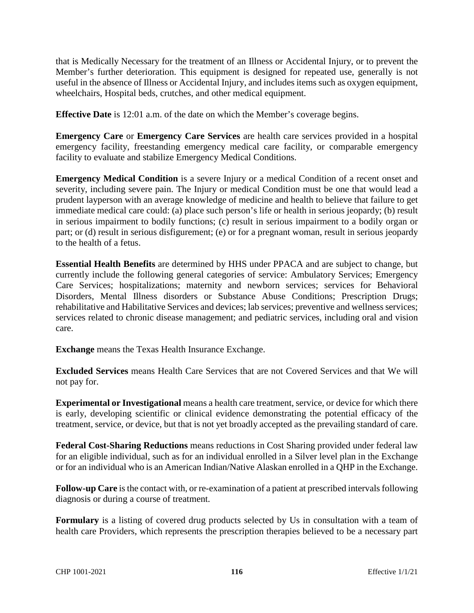that is Medically Necessary for the treatment of an Illness or Accidental Injury, or to prevent the Member's further deterioration. This equipment is designed for repeated use, generally is not useful in the absence of Illness or Accidental Injury, and includes items such as oxygen equipment, wheelchairs, Hospital beds, crutches, and other medical equipment.

**Effective Date** is 12:01 a.m. of the date on which the Member's coverage begins.

**Emergency Care** or **Emergency Care Services** are health care services provided in a hospital emergency facility, freestanding emergency medical care facility, or comparable emergency facility to evaluate and stabilize Emergency Medical Conditions.

**Emergency Medical Condition** is a severe Injury or a medical Condition of a recent onset and severity, including severe pain. The Injury or medical Condition must be one that would lead a prudent layperson with an average knowledge of medicine and health to believe that failure to get immediate medical care could: (a) place such person's life or health in serious jeopardy; (b) result in serious impairment to bodily functions; (c) result in serious impairment to a bodily organ or part; or (d) result in serious disfigurement; (e) or for a pregnant woman, result in serious jeopardy to the health of a fetus.

**Essential Health Benefits** are determined by HHS under PPACA and are subject to change, but currently include the following general categories of service: Ambulatory Services; Emergency Care Services; hospitalizations; maternity and newborn services; services for Behavioral Disorders, Mental Illness disorders or Substance Abuse Conditions; Prescription Drugs; rehabilitative and Habilitative Services and devices; lab services; preventive and wellness services; services related to chronic disease management; and pediatric services, including oral and vision care.

**Exchange** means the Texas Health Insurance Exchange.

**Excluded Services** means Health Care Services that are not Covered Services and that We will not pay for.

**Experimental or Investigational** means a health care treatment, service, or device for which there is early, developing scientific or clinical evidence demonstrating the potential efficacy of the treatment, service, or device, but that is not yet broadly accepted as the prevailing standard of care.

**Federal Cost-Sharing Reductions** means reductions in Cost Sharing provided under federal law for an eligible individual, such as for an individual enrolled in a Silver level plan in the Exchange or for an individual who is an American Indian/Native Alaskan enrolled in a QHP in the Exchange.

**Follow-up Care** is the contact with, or re-examination of a patient at prescribed intervals following diagnosis or during a course of treatment.

**Formulary** is a listing of covered drug products selected by Us in consultation with a team of health care Providers, which represents the prescription therapies believed to be a necessary part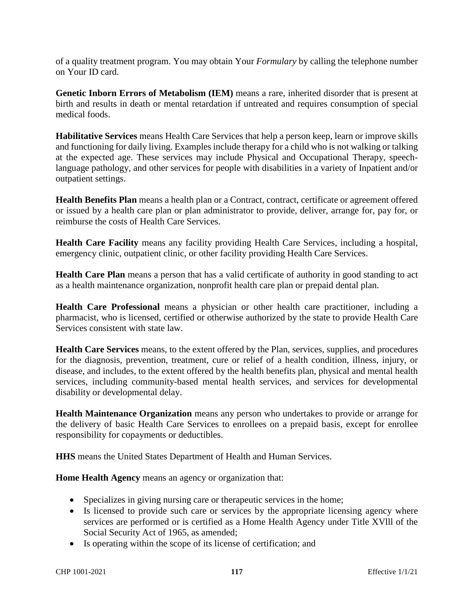of a quality treatment program. You may obtain Your *Formulary* by calling the telephone number on Your ID card.

**Genetic Inborn Errors of Metabolism (IEM)** means a rare, inherited disorder that is present at birth and results in death or mental retardation if untreated and requires consumption of special medical foods.

**Habilitative Services** means Health Care Services that help a person keep, learn or improve skills and functioning for daily living. Examples include therapy for a child who is not walking or talking at the expected age. These services may include Physical and Occupational Therapy, speechlanguage pathology, and other services for people with disabilities in a variety of Inpatient and/or outpatient settings.

**Health Benefits Plan** means a health plan or a Contract, contract, certificate or agreement offered or issued by a health care plan or plan administrator to provide, deliver, arrange for, pay for, or reimburse the costs of Health Care Services.

**Health Care Facility** means any facility providing Health Care Services, including a hospital, emergency clinic, outpatient clinic, or other facility providing Health Care Services.

**Health Care Plan** means a person that has a valid certificate of authority in good standing to act as a health maintenance organization, nonprofit health care plan or prepaid dental plan.

**Health Care Professional** means a physician or other health care practitioner, including a pharmacist, who is licensed, certified or otherwise authorized by the state to provide Health Care Services consistent with state law.

**Health Care Services** means, to the extent offered by the Plan, services, supplies, and procedures for the diagnosis, prevention, treatment, cure or relief of a health condition, illness, injury, or disease, and includes, to the extent offered by the health benefits plan, physical and mental health services, including community-based mental health services, and services for developmental disability or developmental delay.

**Health Maintenance Organization** means any person who undertakes to provide or arrange for the delivery of basic Health Care Services to enrollees on a prepaid basis, except for enrollee responsibility for copayments or deductibles.

**HHS** means the United States Department of Health and Human Services.

**Home Health Agency** means an agency or organization that:

- Specializes in giving nursing care or therapeutic services in the home;
- Is licensed to provide such care or services by the appropriate licensing agency where services are performed or is certified as a Home Health Agency under Title XVlll of the Social Security Act of 1965, as amended;
- Is operating within the scope of its license of certification; and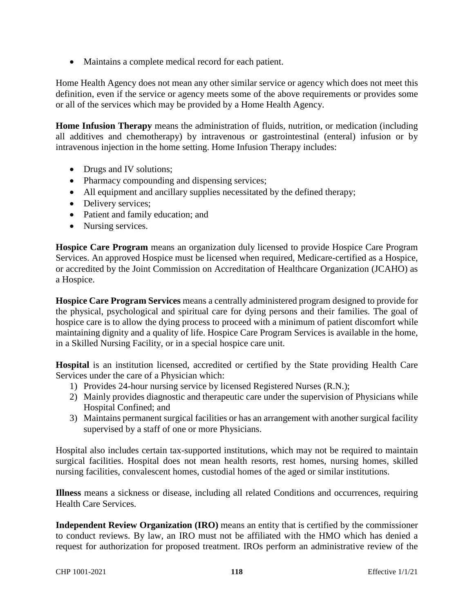Maintains a complete medical record for each patient.

Home Health Agency does not mean any other similar service or agency which does not meet this definition, even if the service or agency meets some of the above requirements or provides some or all of the services which may be provided by a Home Health Agency.

**Home Infusion Therapy** means the administration of fluids, nutrition, or medication (including all additives and chemotherapy) by intravenous or gastrointestinal (enteral) infusion or by intravenous injection in the home setting. Home Infusion Therapy includes:

- Drugs and IV solutions;
- Pharmacy compounding and dispensing services;
- All equipment and ancillary supplies necessitated by the defined therapy;
- Delivery services;
- Patient and family education; and
- Nursing services.

**Hospice Care Program** means an organization duly licensed to provide Hospice Care Program Services. An approved Hospice must be licensed when required, Medicare-certified as a Hospice, or accredited by the Joint Commission on Accreditation of Healthcare Organization (JCAHO) as a Hospice.

**Hospice Care Program Services** means a centrally administered program designed to provide for the physical, psychological and spiritual care for dying persons and their families. The goal of hospice care is to allow the dying process to proceed with a minimum of patient discomfort while maintaining dignity and a quality of life. Hospice Care Program Services is available in the home, in a Skilled Nursing Facility, or in a special hospice care unit.

**Hospital** is an institution licensed, accredited or certified by the State providing Health Care Services under the care of a Physician which:

- 1) Provides 24-hour nursing service by licensed Registered Nurses (R.N.);
- 2) Mainly provides diagnostic and therapeutic care under the supervision of Physicians while Hospital Confined; and
- 3) Maintains permanent surgical facilities or has an arrangement with another surgical facility supervised by a staff of one or more Physicians.

Hospital also includes certain tax-supported institutions, which may not be required to maintain surgical facilities. Hospital does not mean health resorts, rest homes, nursing homes, skilled nursing facilities, convalescent homes, custodial homes of the aged or similar institutions.

**Illness** means a sickness or disease, including all related Conditions and occurrences, requiring Health Care Services.

**Independent Review Organization (IRO)** means an entity that is certified by the commissioner to conduct reviews. By law, an IRO must not be affiliated with the HMO which has denied a request for authorization for proposed treatment. IROs perform an administrative review of the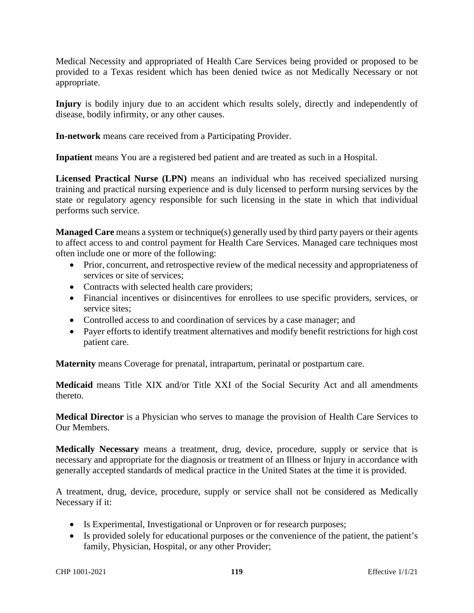Medical Necessity and appropriated of Health Care Services being provided or proposed to be provided to a Texas resident which has been denied twice as not Medically Necessary or not appropriate.

**Injury** is bodily injury due to an accident which results solely, directly and independently of disease, bodily infirmity, or any other causes.

**In-network** means care received from a Participating Provider.

**Inpatient** means You are a registered bed patient and are treated as such in a Hospital.

**Licensed Practical Nurse (LPN)** means an individual who has received specialized nursing training and practical nursing experience and is duly licensed to perform nursing services by the state or regulatory agency responsible for such licensing in the state in which that individual performs such service.

**Managed Care** means a system or technique(s) generally used by third party payers or their agents to affect access to and control payment for Health Care Services. Managed care techniques most often include one or more of the following:

- Prior, concurrent, and retrospective review of the medical necessity and appropriateness of services or site of services;
- Contracts with selected health care providers;
- Financial incentives or disincentives for enrollees to use specific providers, services, or service sites;
- Controlled access to and coordination of services by a case manager; and
- Payer efforts to identify treatment alternatives and modify benefit restrictions for high cost patient care.

**Maternity** means Coverage for prenatal, intrapartum, perinatal or postpartum care.

**Medicaid** means Title XIX and/or Title XXI of the Social Security Act and all amendments thereto.

**Medical Director** is a Physician who serves to manage the provision of Health Care Services to Our Members.

**Medically Necessary** means a treatment, drug, device, procedure, supply or service that is necessary and appropriate for the diagnosis or treatment of an Illness or Injury in accordance with generally accepted standards of medical practice in the United States at the time it is provided.

A treatment, drug, device, procedure, supply or service shall not be considered as Medically Necessary if it:

- Is Experimental, Investigational or Unproven or for research purposes;
- Is provided solely for educational purposes or the convenience of the patient, the patient's family, Physician, Hospital, or any other Provider;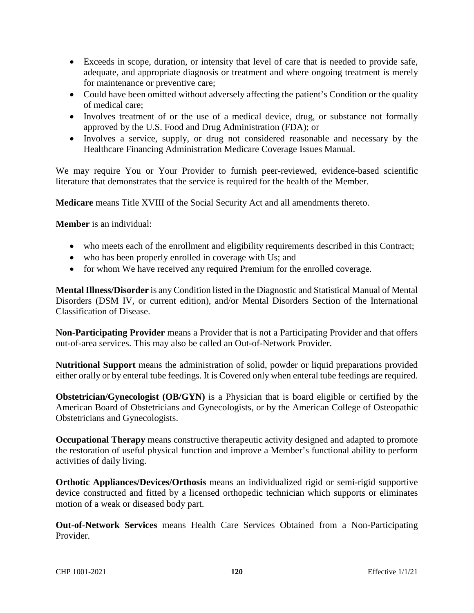- Exceeds in scope, duration, or intensity that level of care that is needed to provide safe, adequate, and appropriate diagnosis or treatment and where ongoing treatment is merely for maintenance or preventive care;
- Could have been omitted without adversely affecting the patient's Condition or the quality of medical care;
- Involves treatment of or the use of a medical device, drug, or substance not formally approved by the U.S. Food and Drug Administration (FDA); or
- Involves a service, supply, or drug not considered reasonable and necessary by the Healthcare Financing Administration Medicare Coverage Issues Manual.

We may require You or Your Provider to furnish peer-reviewed, evidence-based scientific literature that demonstrates that the service is required for the health of the Member.

**Medicare** means Title XVIII of the Social Security Act and all amendments thereto.

**Member** is an individual:

- who meets each of the enrollment and eligibility requirements described in this Contract;
- who has been properly enrolled in coverage with Us; and
- for whom We have received any required Premium for the enrolled coverage.

**Mental Illness/Disorder** is any Condition listed in the Diagnostic and Statistical Manual of Mental Disorders (DSM IV, or current edition), and/or Mental Disorders Section of the International Classification of Disease.

**Non-Participating Provider** means a Provider that is not a Participating Provider and that offers out-of-area services. This may also be called an Out-of-Network Provider.

**Nutritional Support** means the administration of solid, powder or liquid preparations provided either orally or by enteral tube feedings. It is Covered only when enteral tube feedings are required.

**Obstetrician/Gynecologist (OB/GYN)** is a Physician that is board eligible or certified by the American Board of Obstetricians and Gynecologists, or by the American College of Osteopathic Obstetricians and Gynecologists.

**Occupational Therapy** means constructive therapeutic activity designed and adapted to promote the restoration of useful physical function and improve a Member's functional ability to perform activities of daily living.

**Orthotic Appliances/Devices/Orthosis** means an individualized rigid or semi-rigid supportive device constructed and fitted by a licensed orthopedic technician which supports or eliminates motion of a weak or diseased body part.

**Out-of-Network Services** means Health Care Services Obtained from a Non-Participating Provider.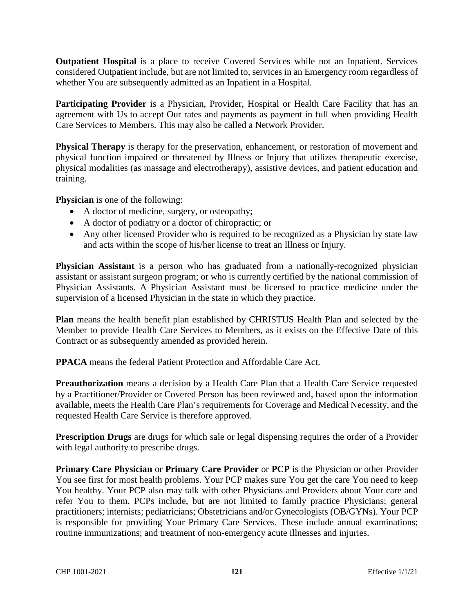**Outpatient Hospital** is a place to receive Covered Services while not an Inpatient. Services considered Outpatient include, but are not limited to, services in an Emergency room regardless of whether You are subsequently admitted as an Inpatient in a Hospital.

Participating Provider is a Physician, Provider, Hospital or Health Care Facility that has an agreement with Us to accept Our rates and payments as payment in full when providing Health Care Services to Members. This may also be called a Network Provider.

**Physical Therapy** is therapy for the preservation, enhancement, or restoration of movement and physical function impaired or threatened by Illness or Injury that utilizes therapeutic exercise, physical modalities (as massage and electrotherapy), assistive devices, and patient education and training.

**Physician** is one of the following:

- A doctor of medicine, surgery, or osteopathy;
- A doctor of podiatry or a doctor of chiropractic; or
- Any other licensed Provider who is required to be recognized as a Physician by state law and acts within the scope of his/her license to treat an Illness or Injury.

**Physician Assistant** is a person who has graduated from a nationally-recognized physician assistant or assistant surgeon program; or who is currently certified by the national commission of Physician Assistants. A Physician Assistant must be licensed to practice medicine under the supervision of a licensed Physician in the state in which they practice.

**Plan** means the health benefit plan established by CHRISTUS Health Plan and selected by the Member to provide Health Care Services to Members, as it exists on the Effective Date of this Contract or as subsequently amended as provided herein.

**PPACA** means the federal Patient Protection and Affordable Care Act.

**Preauthorization** means a decision by a Health Care Plan that a Health Care Service requested by a Practitioner/Provider or Covered Person has been reviewed and, based upon the information available, meets the Health Care Plan's requirements for Coverage and Medical Necessity, and the requested Health Care Service is therefore approved.

**Prescription Drugs** are drugs for which sale or legal dispensing requires the order of a Provider with legal authority to prescribe drugs.

**Primary Care Physician** or **Primary Care Provider** or **PCP** is the Physician or other Provider You see first for most health problems. Your PCP makes sure You get the care You need to keep You healthy. Your PCP also may talk with other Physicians and Providers about Your care and refer You to them. PCPs include, but are not limited to family practice Physicians; general practitioners; internists; pediatricians; Obstetricians and/or Gynecologists (OB/GYNs). Your PCP is responsible for providing Your Primary Care Services. These include annual examinations; routine immunizations; and treatment of non-emergency acute illnesses and injuries.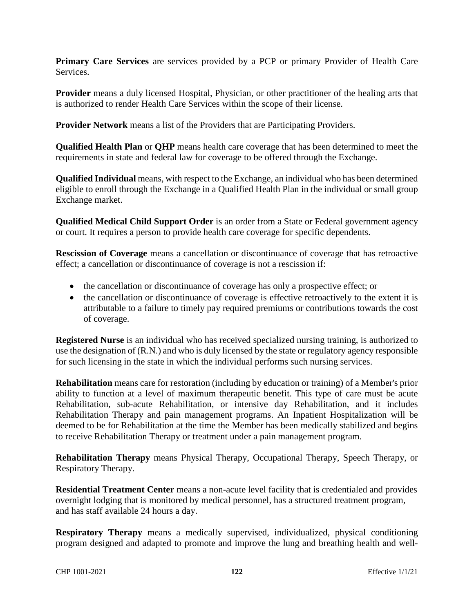**Primary Care Services** are services provided by a PCP or primary Provider of Health Care Services.

**Provider** means a duly licensed Hospital, Physician, or other practitioner of the healing arts that is authorized to render Health Care Services within the scope of their license.

**Provider Network** means a list of the Providers that are Participating Providers.

**Qualified Health Plan** or **QHP** means health care coverage that has been determined to meet the requirements in state and federal law for coverage to be offered through the Exchange.

**Qualified Individual** means, with respect to the Exchange, an individual who has been determined eligible to enroll through the Exchange in a Qualified Health Plan in the individual or small group Exchange market.

**Qualified Medical Child Support Order** is an order from a State or Federal government agency or court. It requires a person to provide health care coverage for specific dependents.

**Rescission of Coverage** means a cancellation or discontinuance of coverage that has retroactive effect; a cancellation or discontinuance of coverage is not a rescission if:

- the cancellation or discontinuance of coverage has only a prospective effect; or
- the cancellation or discontinuance of coverage is effective retroactively to the extent it is attributable to a failure to timely pay required premiums or contributions towards the cost of coverage.

**Registered Nurse** is an individual who has received specialized nursing training, is authorized to use the designation of (R.N.) and who is duly licensed by the state or regulatory agency responsible for such licensing in the state in which the individual performs such nursing services.

**Rehabilitation** means care for restoration (including by education or training) of a Member's prior ability to function at a level of maximum therapeutic benefit. This type of care must be acute Rehabilitation, sub-acute Rehabilitation, or intensive day Rehabilitation, and it includes Rehabilitation Therapy and pain management programs. An Inpatient Hospitalization will be deemed to be for Rehabilitation at the time the Member has been medically stabilized and begins to receive Rehabilitation Therapy or treatment under a pain management program.

**Rehabilitation Therapy** means Physical Therapy, Occupational Therapy, Speech Therapy, or Respiratory Therapy.

**Residential Treatment Center** means a non-acute level facility that is credentialed and provides overnight lodging that is monitored by medical personnel, has a structured treatment program, and has staff available 24 hours a day.

**Respiratory Therapy** means a medically supervised, individualized, physical conditioning program designed and adapted to promote and improve the lung and breathing health and well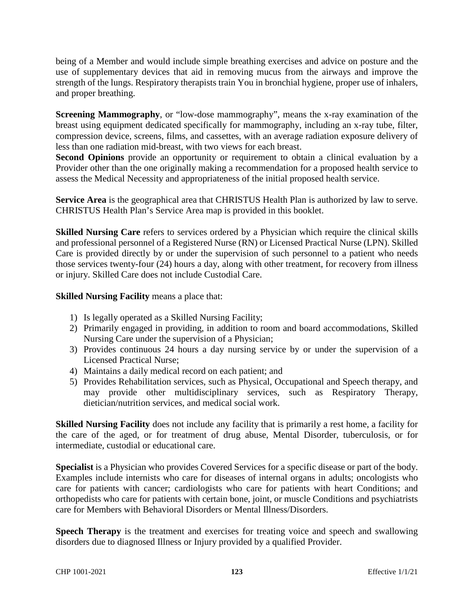being of a Member and would include simple breathing exercises and advice on posture and the use of supplementary devices that aid in removing mucus from the airways and improve the strength of the lungs. Respiratory therapists train You in bronchial hygiene, proper use of inhalers, and proper breathing.

**Screening Mammography**, or "low-dose mammography", means the x-ray examination of the breast using equipment dedicated specifically for mammography, including an x-ray tube, filter, compression device, screens, films, and cassettes, with an average radiation exposure delivery of less than one radiation mid-breast, with two views for each breast.

**Second Opinions** provide an opportunity or requirement to obtain a clinical evaluation by a Provider other than the one originally making a recommendation for a proposed health service to assess the Medical Necessity and appropriateness of the initial proposed health service.

**Service Area** is the geographical area that CHRISTUS Health Plan is authorized by law to serve. CHRISTUS Health Plan's Service Area map is provided in this booklet.

**Skilled Nursing Care** refers to services ordered by a Physician which require the clinical skills and professional personnel of a Registered Nurse (RN) or Licensed Practical Nurse (LPN). Skilled Care is provided directly by or under the supervision of such personnel to a patient who needs those services twenty-four (24) hours a day, along with other treatment, for recovery from illness or injury. Skilled Care does not include Custodial Care.

**Skilled Nursing Facility** means a place that:

- 1) Is legally operated as a Skilled Nursing Facility;
- 2) Primarily engaged in providing, in addition to room and board accommodations, Skilled Nursing Care under the supervision of a Physician;
- 3) Provides continuous 24 hours a day nursing service by or under the supervision of a Licensed Practical Nurse;
- 4) Maintains a daily medical record on each patient; and
- 5) Provides Rehabilitation services, such as Physical, Occupational and Speech therapy, and may provide other multidisciplinary services, such as Respiratory Therapy, dietician/nutrition services, and medical social work.

**Skilled Nursing Facility** does not include any facility that is primarily a rest home, a facility for the care of the aged, or for treatment of drug abuse, Mental Disorder, tuberculosis, or for intermediate, custodial or educational care.

**Specialist** is a Physician who provides Covered Services for a specific disease or part of the body. Examples include internists who care for diseases of internal organs in adults; oncologists who care for patients with cancer; cardiologists who care for patients with heart Conditions; and orthopedists who care for patients with certain bone, joint, or muscle Conditions and psychiatrists care for Members with Behavioral Disorders or Mental Illness/Disorders.

**Speech Therapy** is the treatment and exercises for treating voice and speech and swallowing disorders due to diagnosed Illness or Injury provided by a qualified Provider.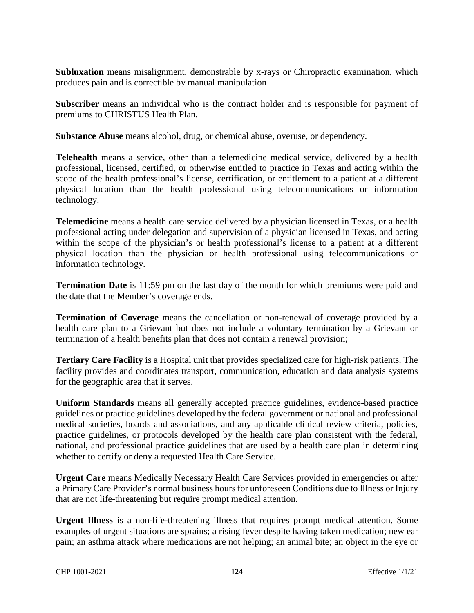**Subluxation** means misalignment, demonstrable by x-rays or Chiropractic examination, which produces pain and is correctible by manual manipulation

**Subscriber** means an individual who is the contract holder and is responsible for payment of premiums to CHRISTUS Health Plan.

**Substance Abuse** means alcohol, drug, or chemical abuse, overuse, or dependency.

**Telehealth** means a service, other than a telemedicine medical service, delivered by a health professional, licensed, certified, or otherwise entitled to practice in Texas and acting within the scope of the health professional's license, certification, or entitlement to a patient at a different physical location than the health professional using telecommunications or information technology.

**Telemedicine** means a health care service delivered by a physician licensed in Texas, or a health professional acting under delegation and supervision of a physician licensed in Texas, and acting within the scope of the physician's or health professional's license to a patient at a different physical location than the physician or health professional using telecommunications or information technology.

**Termination Date** is 11:59 pm on the last day of the month for which premiums were paid and the date that the Member's coverage ends.

**Termination of Coverage** means the cancellation or non-renewal of coverage provided by a health care plan to a Grievant but does not include a voluntary termination by a Grievant or termination of a health benefits plan that does not contain a renewal provision;

**Tertiary Care Facility** is a Hospital unit that provides specialized care for high-risk patients. The facility provides and coordinates transport, communication, education and data analysis systems for the geographic area that it serves.

**Uniform Standards** means all generally accepted practice guidelines, evidence-based practice guidelines or practice guidelines developed by the federal government or national and professional medical societies, boards and associations, and any applicable clinical review criteria, policies, practice guidelines, or protocols developed by the health care plan consistent with the federal, national, and professional practice guidelines that are used by a health care plan in determining whether to certify or deny a requested Health Care Service.

**Urgent Care** means Medically Necessary Health Care Services provided in emergencies or after a Primary Care Provider's normal business hours for unforeseen Conditions due to Illness or Injury that are not life-threatening but require prompt medical attention.

**Urgent Illness** is a non-life-threatening illness that requires prompt medical attention. Some examples of urgent situations are sprains; a rising fever despite having taken medication; new ear pain; an asthma attack where medications are not helping; an animal bite; an object in the eye or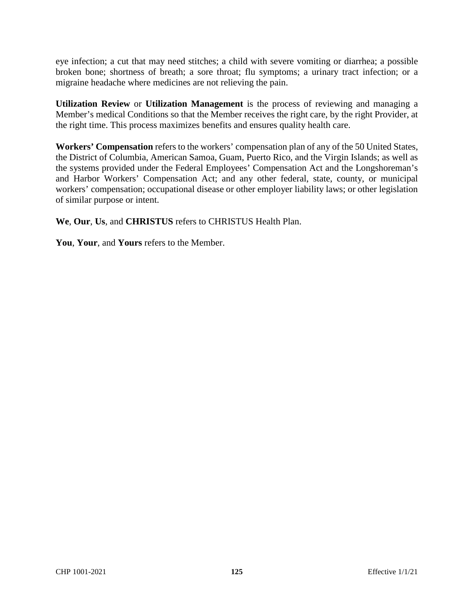eye infection; a cut that may need stitches; a child with severe vomiting or diarrhea; a possible broken bone; shortness of breath; a sore throat; flu symptoms; a urinary tract infection; or a migraine headache where medicines are not relieving the pain.

**Utilization Review** or **Utilization Management** is the process of reviewing and managing a Member's medical Conditions so that the Member receives the right care, by the right Provider, at the right time. This process maximizes benefits and ensures quality health care.

**Workers' Compensation** refers to the workers' compensation plan of any of the 50 United States, the District of Columbia, American Samoa, Guam, Puerto Rico, and the Virgin Islands; as well as the systems provided under the Federal Employees' Compensation Act and the Longshoreman's and Harbor Workers' Compensation Act; and any other federal, state, county, or municipal workers' compensation; occupational disease or other employer liability laws; or other legislation of similar purpose or intent.

**We**, **Our**, **Us**, and **CHRISTUS** refers to CHRISTUS Health Plan.

**You**, **Your**, and **Yours** refers to the Member.